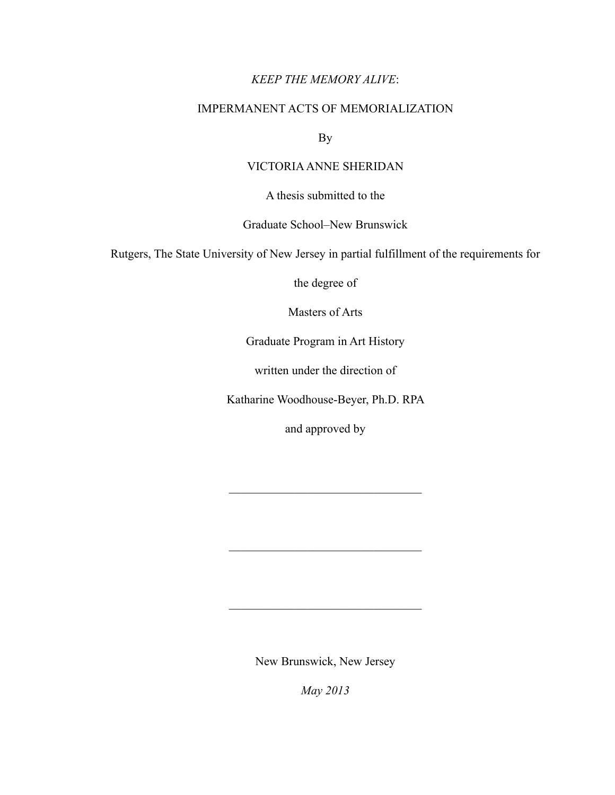# *KEEP THE MEMORY ALIVE*:

# IMPERMANENT ACTS OF MEMORIALIZATION

By

# VICTORIA ANNE SHERIDAN

A thesis submitted to the

# Graduate School–New Brunswick

Rutgers, The State University of New Jersey in partial fulfillment of the requirements for

the degree of

Masters of Arts

Graduate Program in Art History

written under the direction of

Katharine Woodhouse-Beyer, Ph.D. RPA

and approved by

 $\mathcal{L}_\text{max}$  , where  $\mathcal{L}_\text{max}$  is the set of the set of the set of the set of the set of the set of the set of the set of the set of the set of the set of the set of the set of the set of the set of the set of the se

 $\mathcal{L}_\text{max}$ 

 $\mathcal{L}_\text{max}$  , where  $\mathcal{L}_\text{max}$  is the set of the set of the set of the set of the set of the set of the set of the set of the set of the set of the set of the set of the set of the set of the set of the set of the se

New Brunswick, New Jersey

*May 2013*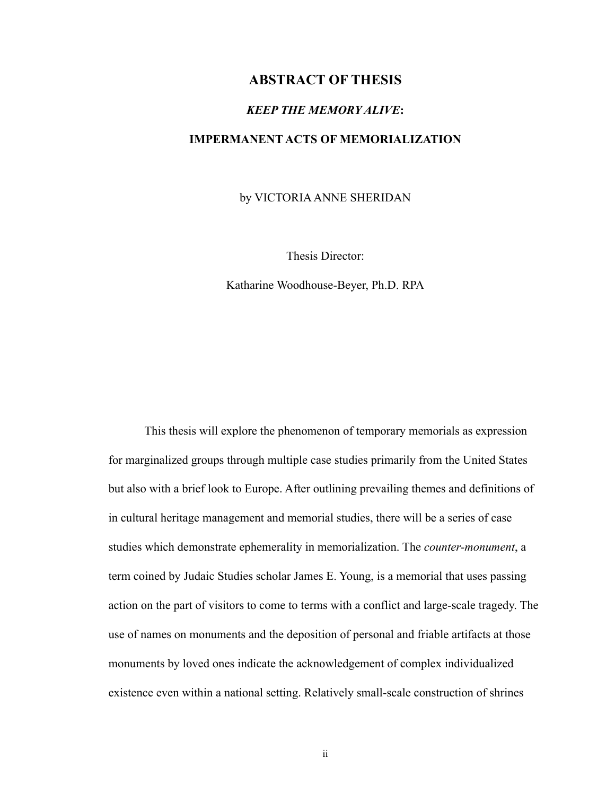# **ABSTRACT OF THESIS**

### *KEEP THE MEMORY ALIVE***:**

### **IMPERMANENT ACTS OF MEMORIALIZATION**

by VICTORIA ANNE SHERIDAN

Thesis Director:

Katharine Woodhouse-Beyer, Ph.D. RPA

 This thesis will explore the phenomenon of temporary memorials as expression for marginalized groups through multiple case studies primarily from the United States but also with a brief look to Europe. After outlining prevailing themes and definitions of in cultural heritage management and memorial studies, there will be a series of case studies which demonstrate ephemerality in memorialization. The *counter-monument*, a term coined by Judaic Studies scholar James E. Young, is a memorial that uses passing action on the part of visitors to come to terms with a conflict and large-scale tragedy. The use of names on monuments and the deposition of personal and friable artifacts at those monuments by loved ones indicate the acknowledgement of complex individualized existence even within a national setting. Relatively small-scale construction of shrines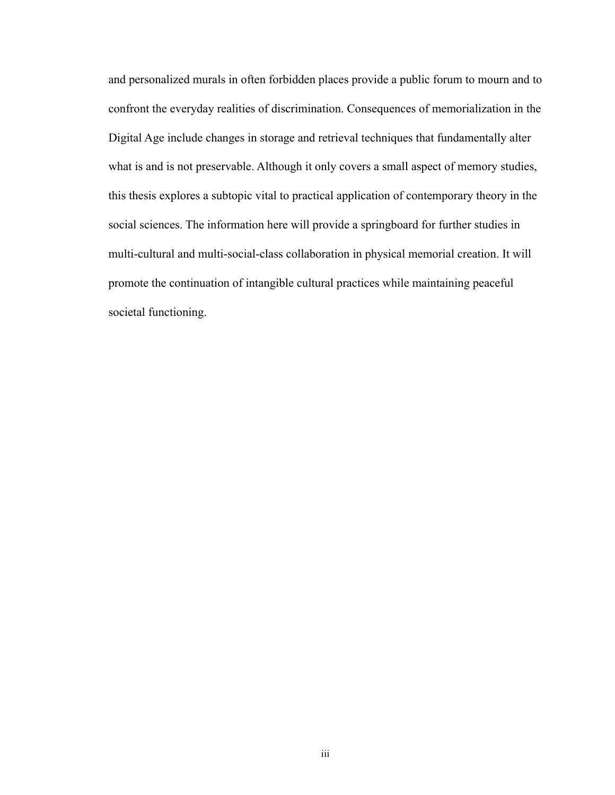and personalized murals in often forbidden places provide a public forum to mourn and to confront the everyday realities of discrimination. Consequences of memorialization in the Digital Age include changes in storage and retrieval techniques that fundamentally alter what is and is not preservable. Although it only covers a small aspect of memory studies, this thesis explores a subtopic vital to practical application of contemporary theory in the social sciences. The information here will provide a springboard for further studies in multi-cultural and multi-social-class collaboration in physical memorial creation. It will promote the continuation of intangible cultural practices while maintaining peaceful societal functioning.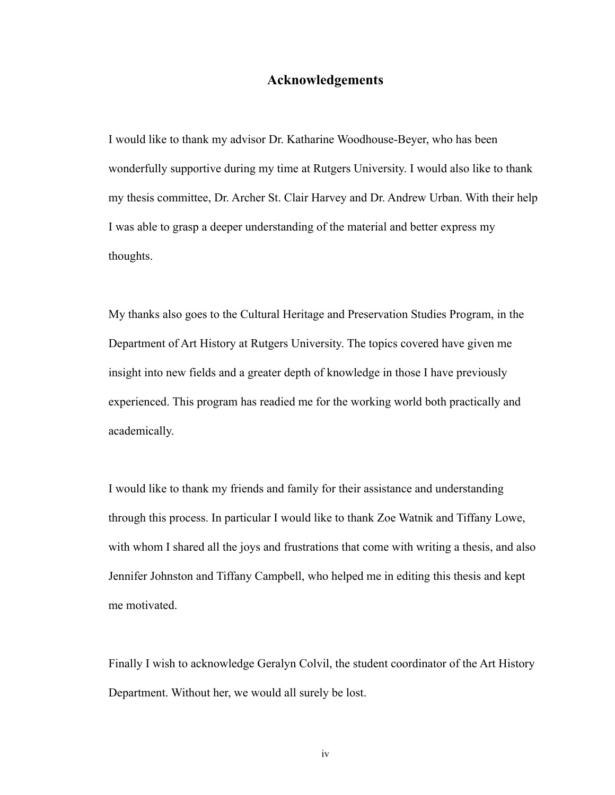## **Acknowledgements**

I would like to thank my advisor Dr. Katharine Woodhouse-Beyer, who has been wonderfully supportive during my time at Rutgers University. I would also like to thank my thesis committee, Dr. Archer St. Clair Harvey and Dr. Andrew Urban. With their help I was able to grasp a deeper understanding of the material and better express my thoughts.

My thanks also goes to the Cultural Heritage and Preservation Studies Program, in the Department of Art History at Rutgers University. The topics covered have given me insight into new fields and a greater depth of knowledge in those I have previously experienced. This program has readied me for the working world both practically and academically.

I would like to thank my friends and family for their assistance and understanding through this process. In particular I would like to thank Zoe Watnik and Tiffany Lowe, with whom I shared all the joys and frustrations that come with writing a thesis, and also Jennifer Johnston and Tiffany Campbell, who helped me in editing this thesis and kept me motivated.

Finally I wish to acknowledge Geralyn Colvil, the student coordinator of the Art History Department. Without her, we would all surely be lost.

iv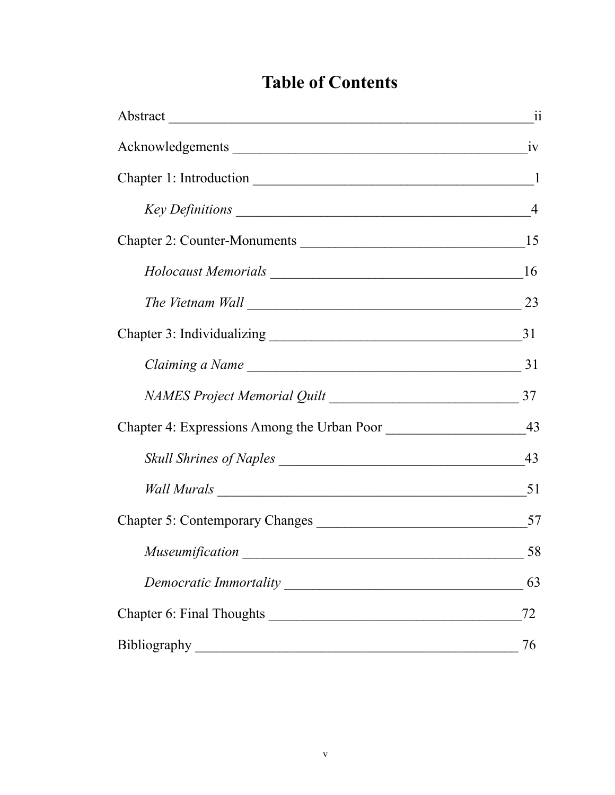# **Table of Contents**

| Abstract 11     |    |
|-----------------|----|
|                 |    |
|                 |    |
|                 |    |
|                 |    |
|                 |    |
|                 |    |
|                 |    |
|                 |    |
|                 |    |
|                 |    |
|                 |    |
|                 | 51 |
|                 |    |
| Museumification | 58 |
|                 | 63 |
|                 | 72 |
| Bibliography    | 76 |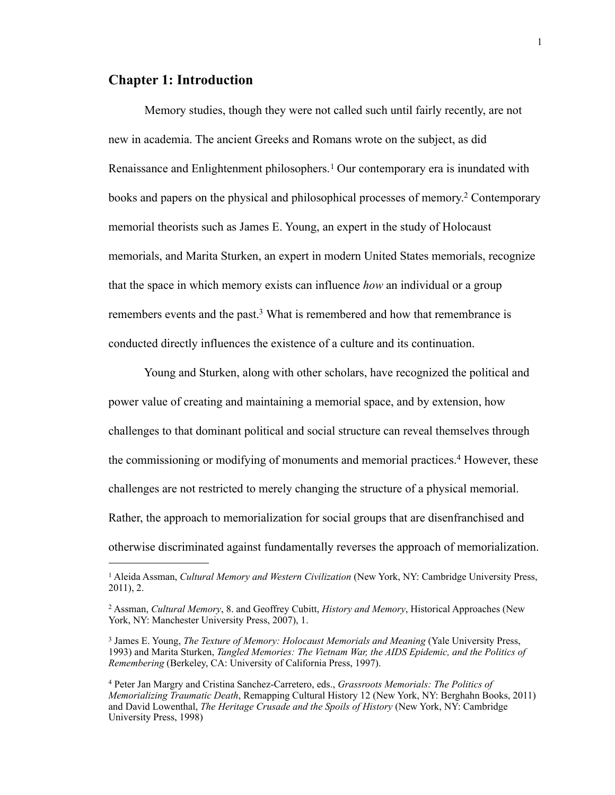# **Chapter 1: Introduction**

Memory studies, though they were not called such until fairly recently, are not new in academia. The ancient Greeks and Romans wrote on the subject, as did Renaissance and Enlightenment philosophers.<sup>1</sup> Our contemporary era is inundated with books and papers on the physical and philosophical processes of memory[.2](#page-5-1) Contemporary memorial theorists such as James E. Young, an expert in the study of Holocaust memorials, and Marita Sturken, an expert in modern United States memorials, recognize that the space in which memory exists can influence *how* an individual or a group remembers events and the past.<sup>3</sup> What is remembered and how that remembrance is conducted directly influences the existence of a culture and its continuation.

 Young and Sturken, along with other scholars, have recognized the political and power value of creating and maintaining a memorial space, and by extension, how challenges to that dominant political and social structure can reveal themselves through the commissioning or modifying of monuments and memorial practices.[4](#page-5-3) However, these challenges are not restricted to merely changing the structure of a physical memorial. Rather, the approach to memorialization for social groups that are disenfranchised and otherwise discriminated against fundamentally reverses the approach of memorialization.

<span id="page-5-0"></span><sup>1</sup> Aleida Assman, *Cultural Memory and Western Civilization* (New York, NY: Cambridge University Press, 2011), 2.

<span id="page-5-1"></span><sup>2</sup> Assman, *Cultural Memory*, 8. and Geoffrey Cubitt, *History and Memory*, Historical Approaches (New York, NY: Manchester University Press, 2007), 1.

<span id="page-5-2"></span><sup>3</sup> James E. Young, *The Texture of Memory: Holocaust Memorials and Meaning* (Yale University Press, 1993) and Marita Sturken, *Tangled Memories: The Vietnam War, the AIDS Epidemic, and the Politics of Remembering* (Berkeley, CA: University of California Press, 1997).

<span id="page-5-3"></span><sup>4</sup> Peter Jan Margry and Cristina Sanchez-Carretero, eds., *Grassroots Memorials: The Politics of Memorializing Traumatic Death*, Remapping Cultural History 12 (New York, NY: Berghahn Books, 2011) and David Lowenthal, *The Heritage Crusade and the Spoils of History* (New York, NY: Cambridge University Press, 1998)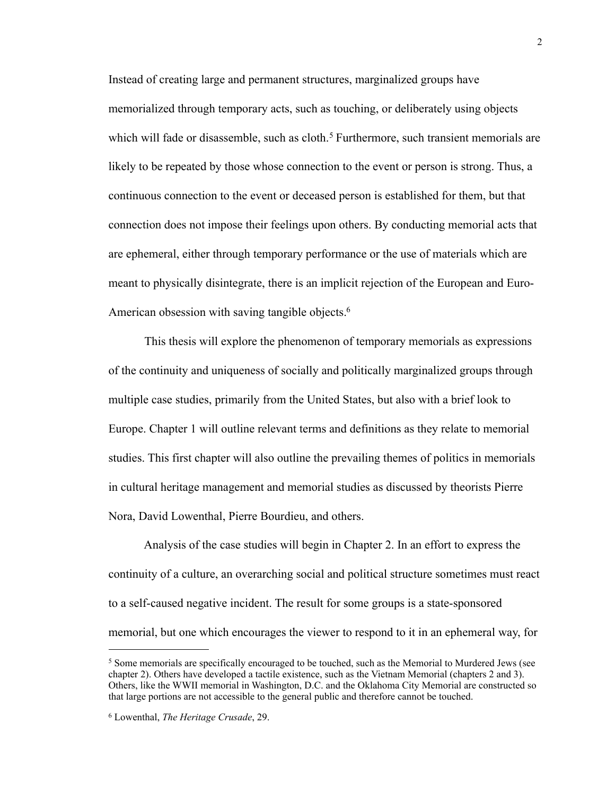Instead of creating large and permanent structures, marginalized groups have memorialized through temporary acts, such as touching, or deliberately using objects which will fade or disassemble, such as cloth.<sup>5</sup> Furthermore, such transient memorials are likely to be repeated by those whose connection to the event or person is strong. Thus, a continuous connection to the event or deceased person is established for them, but that connection does not impose their feelings upon others. By conducting memorial acts that are ephemeral, either through temporary performance or the use of materials which are meant to physically disintegrate, there is an implicit rejection of the European and Euro-American obsession with saving tangible objects.<sup>6</sup>

 This thesis will explore the phenomenon of temporary memorials as expressions of the continuity and uniqueness of socially and politically marginalized groups through multiple case studies, primarily from the United States, but also with a brief look to Europe. Chapter 1 will outline relevant terms and definitions as they relate to memorial studies. This first chapter will also outline the prevailing themes of politics in memorials in cultural heritage management and memorial studies as discussed by theorists Pierre Nora, David Lowenthal, Pierre Bourdieu, and others.

 Analysis of the case studies will begin in Chapter 2. In an effort to express the continuity of a culture, an overarching social and political structure sometimes must react to a self-caused negative incident. The result for some groups is a state-sponsored memorial, but one which encourages the viewer to respond to it in an ephemeral way, for

<span id="page-6-0"></span><sup>5</sup> Some memorials are specifically encouraged to be touched, such as the Memorial to Murdered Jews (see chapter 2). Others have developed a tactile existence, such as the Vietnam Memorial (chapters 2 and 3). Others, like the WWII memorial in Washington, D.C. and the Oklahoma City Memorial are constructed so that large portions are not accessible to the general public and therefore cannot be touched.

<span id="page-6-1"></span><sup>6</sup> Lowenthal, *The Heritage Crusade*, 29.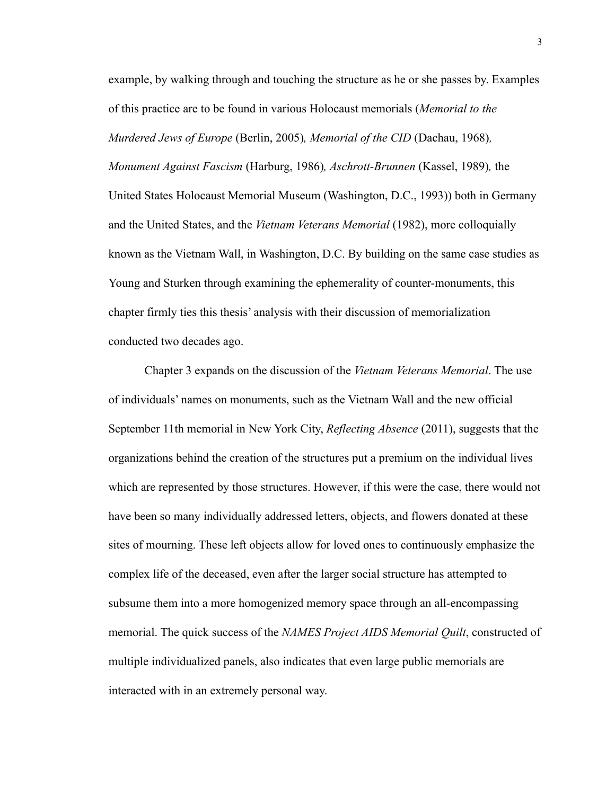example, by walking through and touching the structure as he or she passes by. Examples of this practice are to be found in various Holocaust memorials (*Memorial to the Murdered Jews of Europe* (Berlin, 2005)*, Memorial of the CID* (Dachau, 1968)*, Monument Against Fascism* (Harburg, 1986)*, Aschrott-Brunnen* (Kassel, 1989)*,* the United States Holocaust Memorial Museum (Washington, D.C., 1993)) both in Germany and the United States, and the *Vietnam Veterans Memorial* (1982), more colloquially known as the Vietnam Wall, in Washington, D.C. By building on the same case studies as Young and Sturken through examining the ephemerality of counter-monuments, this chapter firmly ties this thesis' analysis with their discussion of memorialization conducted two decades ago.

 Chapter 3 expands on the discussion of the *Vietnam Veterans Memorial*. The use of individuals' names on monuments, such as the Vietnam Wall and the new official September 11th memorial in New York City, *Reflecting Absence* (2011), suggests that the organizations behind the creation of the structures put a premium on the individual lives which are represented by those structures. However, if this were the case, there would not have been so many individually addressed letters, objects, and flowers donated at these sites of mourning. These left objects allow for loved ones to continuously emphasize the complex life of the deceased, even after the larger social structure has attempted to subsume them into a more homogenized memory space through an all-encompassing memorial. The quick success of the *NAMES Project AIDS Memorial Quilt*, constructed of multiple individualized panels, also indicates that even large public memorials are interacted with in an extremely personal way.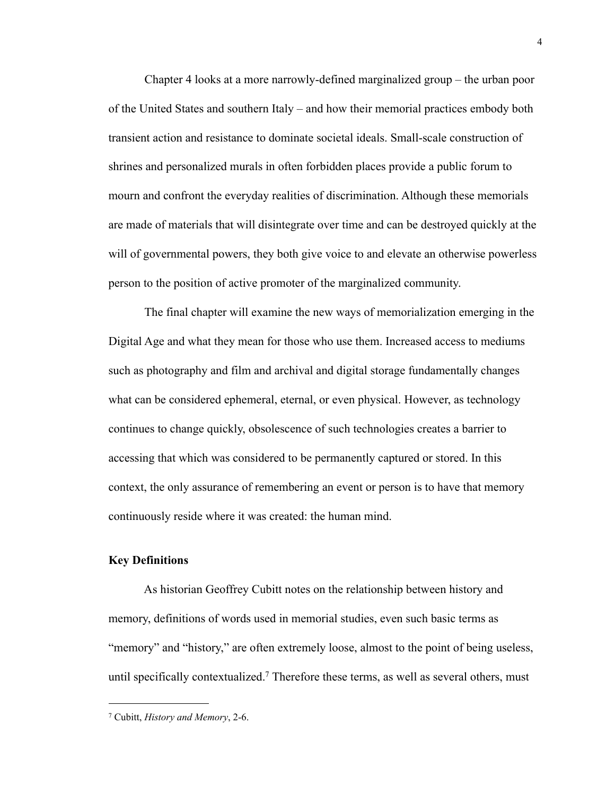Chapter 4 looks at a more narrowly-defined marginalized group – the urban poor of the United States and southern Italy – and how their memorial practices embody both transient action and resistance to dominate societal ideals. Small-scale construction of shrines and personalized murals in often forbidden places provide a public forum to mourn and confront the everyday realities of discrimination. Although these memorials are made of materials that will disintegrate over time and can be destroyed quickly at the will of governmental powers, they both give voice to and elevate an otherwise powerless person to the position of active promoter of the marginalized community.

 The final chapter will examine the new ways of memorialization emerging in the Digital Age and what they mean for those who use them. Increased access to mediums such as photography and film and archival and digital storage fundamentally changes what can be considered ephemeral, eternal, or even physical. However, as technology continues to change quickly, obsolescence of such technologies creates a barrier to accessing that which was considered to be permanently captured or stored. In this context, the only assurance of remembering an event or person is to have that memory continuously reside where it was created: the human mind.

### **Key Definitions**

 As historian Geoffrey Cubitt notes on the relationship between history and memory, definitions of words used in memorial studies, even such basic terms as "memory" and "history," are often extremely loose, almost to the point of being useless, until specifically contextualized.<sup>7</sup> Therefore these terms, as well as several others, must

<span id="page-8-0"></span><sup>7</sup> Cubitt, *History and Memory*, 2-6.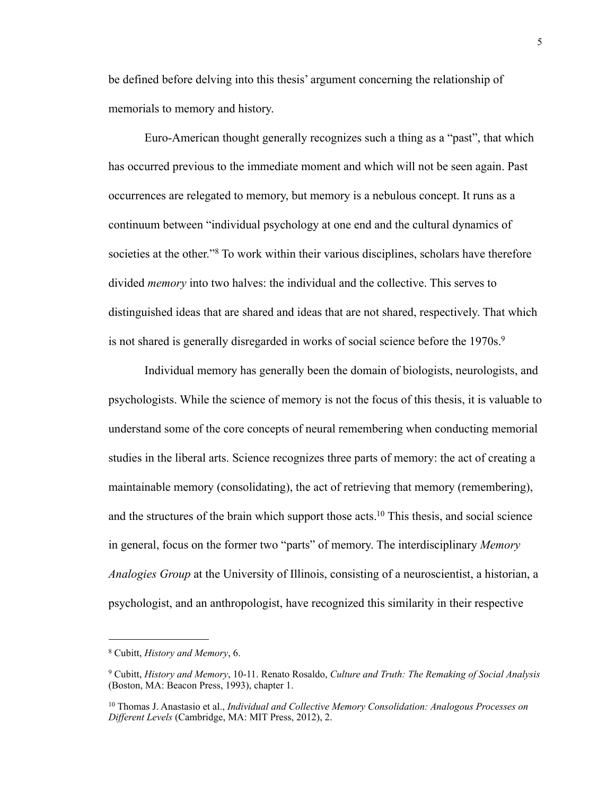be defined before delving into this thesis' argument concerning the relationship of memorials to memory and history.

 Euro-American thought generally recognizes such a thing as a "past", that which has occurred previous to the immediate moment and which will not be seen again. Past occurrences are relegated to memory, but memory is a nebulous concept. It runs as a continuum between "individual psychology at one end and the cultural dynamics of societies at the other."<sup>8</sup> To work within their various disciplines, scholars have therefore divided *memory* into two halves: the individual and the collective. This serves to distinguished ideas that are shared and ideas that are not shared, respectively. That which is not shared is generally disregarded in works of social science before the 1970s.<sup>9</sup>

 Individual memory has generally been the domain of biologists, neurologists, and psychologists. While the science of memory is not the focus of this thesis, it is valuable to understand some of the core concepts of neural remembering when conducting memorial studies in the liberal arts. Science recognizes three parts of memory: the act of creating a maintainable memory (consolidating), the act of retrieving that memory (remembering), and the structures of the brain which support those acts[.10](#page-9-2) This thesis, and social science in general, focus on the former two "parts" of memory. The interdisciplinary *Memory Analogies Group* at the University of Illinois, consisting of a neuroscientist, a historian, a psychologist, and an anthropologist, have recognized this similarity in their respective

<span id="page-9-0"></span><sup>8</sup> Cubitt, *History and Memory*, 6.

<span id="page-9-1"></span><sup>9</sup> Cubitt, *History and Memory*, 10-11. Renato Rosaldo, *Culture and Truth: The Remaking of Social Analysis* (Boston, MA: Beacon Press, 1993), chapter 1.

<span id="page-9-2"></span><sup>10</sup> Thomas J. Anastasio et al., *Individual and Collective Memory Consolidation: Analogous Processes on Different Levels* (Cambridge, MA: MIT Press, 2012), 2.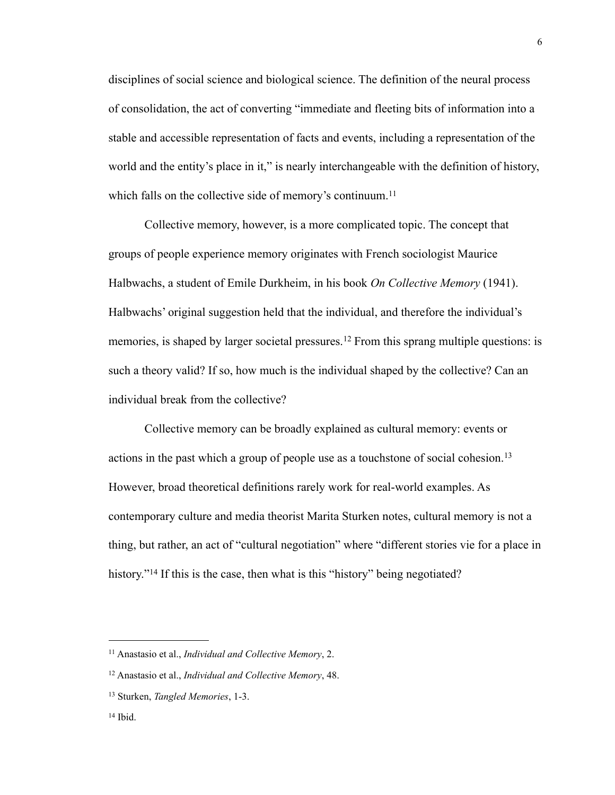disciplines of social science and biological science. The definition of the neural process of consolidation, the act of converting "immediate and fleeting bits of information into a stable and accessible representation of facts and events, including a representation of the world and the entity's place in it," is nearly interchangeable with the definition of history, which falls on the collective side of memory's continuum.<sup>[11](#page-10-0)</sup>

 Collective memory, however, is a more complicated topic. The concept that groups of people experience memory originates with French sociologist Maurice Halbwachs, a student of Emile Durkheim, in his book *On Collective Memory* (1941). Halbwachs' original suggestion held that the individual, and therefore the individual's memories, is shaped by larger societal pressures.<sup>12</sup> From this sprang multiple questions: is such a theory valid? If so, how much is the individual shaped by the collective? Can an individual break from the collective?

 Collective memory can be broadly explained as cultural memory: events or actions in the past which a group of people use as a touchstone of social cohesion.<sup>[13](#page-10-2)</sup> However, broad theoretical definitions rarely work for real-world examples. As contemporary culture and media theorist Marita Sturken notes, cultural memory is not a thing, but rather, an act of "cultural negotiation" where "different stories vie for a place in history."<sup>14</sup> If this is the case, then what is this "history" being negotiated?

<span id="page-10-0"></span><sup>11</sup> Anastasio et al., *Individual and Collective Memory*, 2.

<span id="page-10-1"></span><sup>12</sup> Anastasio et al., *Individual and Collective Memory*, 48.

<span id="page-10-2"></span><sup>13</sup> Sturken, *Tangled Memories*, 1-3.

<span id="page-10-3"></span> $14$  Ibid.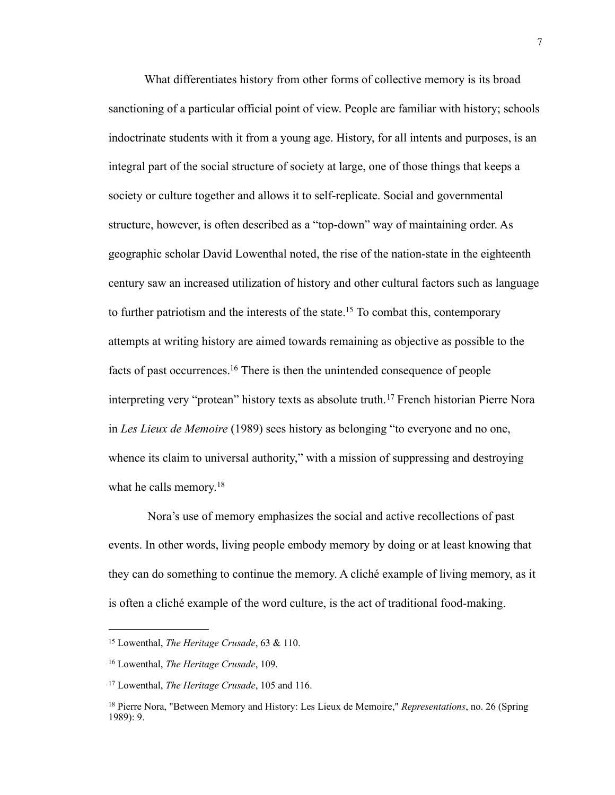What differentiates history from other forms of collective memory is its broad sanctioning of a particular official point of view. People are familiar with history; schools indoctrinate students with it from a young age. History, for all intents and purposes, is an integral part of the social structure of society at large, one of those things that keeps a society or culture together and allows it to self-replicate. Social and governmental structure, however, is often described as a "top-down" way of maintaining order. As geographic scholar David Lowenthal noted, the rise of the nation-state in the eighteenth century saw an increased utilization of history and other cultural factors such as language to further patriotism and the interests of the state[.15](#page-11-0) To combat this, contemporary attempts at writing history are aimed towards remaining as objective as possible to the facts of past occurrences[.16](#page-11-1) There is then the unintended consequence of people interpreting very "protean" history texts as absolute truth.[17](#page-11-2) French historian Pierre Nora in *Les Lieux de Memoire* (1989) sees history as belonging "to everyone and no one, whence its claim to universal authority," with a mission of suppressing and destroying what he calls memory.<sup>[18](#page-11-3)</sup>

 Nora's use of memory emphasizes the social and active recollections of past events. In other words, living people embody memory by doing or at least knowing that they can do something to continue the memory. A cliché example of living memory, as it is often a cliché example of the word culture, is the act of traditional food-making.

<span id="page-11-0"></span><sup>15</sup> Lowenthal, *The Heritage Crusade*, 63 & 110.

<span id="page-11-1"></span><sup>16</sup> Lowenthal, *The Heritage Crusade*, 109.

<span id="page-11-2"></span><sup>17</sup> Lowenthal, *The Heritage Crusade*, 105 and 116.

<span id="page-11-3"></span><sup>18</sup> Pierre Nora, "Between Memory and History: Les Lieux de Memoire," *Representations*, no. 26 (Spring 1989): 9.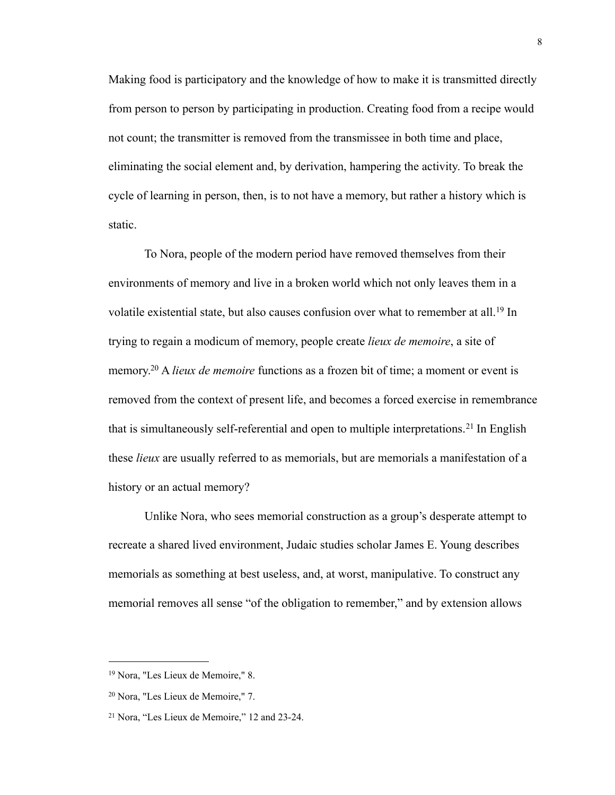Making food is participatory and the knowledge of how to make it is transmitted directly from person to person by participating in production. Creating food from a recipe would not count; the transmitter is removed from the transmissee in both time and place, eliminating the social element and, by derivation, hampering the activity. To break the cycle of learning in person, then, is to not have a memory, but rather a history which is static.

 To Nora, people of the modern period have removed themselves from their environments of memory and live in a broken world which not only leaves them in a volatile existential state, but also causes confusion over what to remember at all.<sup>19</sup> In trying to regain a modicum of memory, people create *lieux de memoire*, a site of memory[.20](#page-12-1) A *lieux de memoire* functions as a frozen bit of time; a moment or event is removed from the context of present life, and becomes a forced exercise in remembrance that is simultaneously self-referential and open to multiple interpretations.[21](#page-12-2) In English these *lieux* are usually referred to as memorials, but are memorials a manifestation of a history or an actual memory?

 Unlike Nora, who sees memorial construction as a group's desperate attempt to recreate a shared lived environment, Judaic studies scholar James E. Young describes memorials as something at best useless, and, at worst, manipulative. To construct any memorial removes all sense "of the obligation to remember," and by extension allows

<span id="page-12-0"></span><sup>19</sup> Nora, "Les Lieux de Memoire," 8.

<span id="page-12-1"></span><sup>20</sup> Nora, "Les Lieux de Memoire," 7.

<span id="page-12-2"></span><sup>21</sup> Nora, "Les Lieux de Memoire," 12 and 23-24.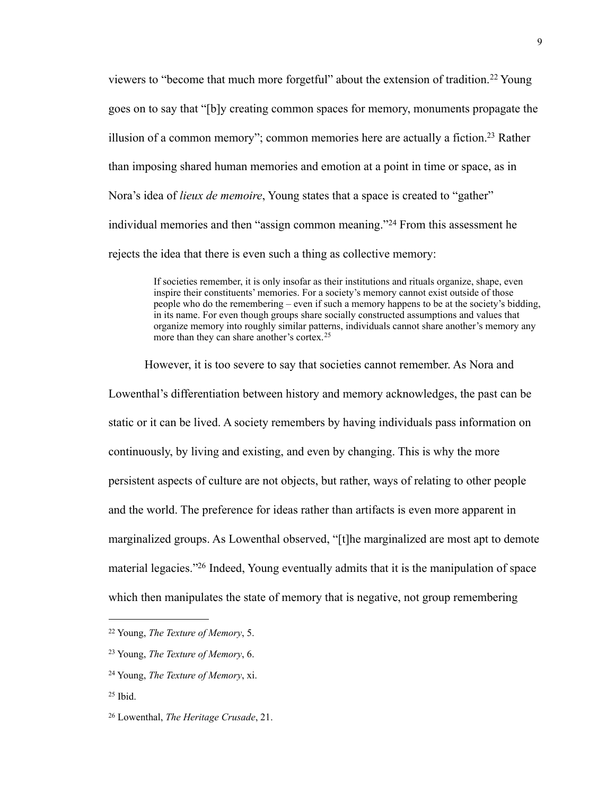viewers to "become that much more forgetful" about the extension of tradition.<sup>22</sup> Young goes on to say that "[b]y creating common spaces for memory, monuments propagate the illusion of a common memory"; common memories here are actually a fiction.<sup>23</sup> Rather than imposing shared human memories and emotion at a point in time or space, as in Nora's idea of *lieux de memoire*, Young states that a space is created to "gather" individual memories and then "assign common meaning."[24](#page-13-2) From this assessment he rejects the idea that there is even such a thing as collective memory:

> If societies remember, it is only insofar as their institutions and rituals organize, shape, even inspire their constituents' memories. For a society's memory cannot exist outside of those people who do the remembering – even if such a memory happens to be at the society's bidding, in its name. For even though groups share socially constructed assumptions and values that organize memory into roughly similar patterns, individuals cannot share another's memory any more than they can share another's cortex.[25](#page-13-3)

 However, it is too severe to say that societies cannot remember. As Nora and Lowenthal's differentiation between history and memory acknowledges, the past can be static or it can be lived. A society remembers by having individuals pass information on continuously, by living and existing, and even by changing. This is why the more persistent aspects of culture are not objects, but rather, ways of relating to other people and the world. The preference for ideas rather than artifacts is even more apparent in marginalized groups. As Lowenthal observed, "[t]he marginalized are most apt to demote material legacies.["26](#page-13-4) Indeed, Young eventually admits that it is the manipulation of space which then manipulates the state of memory that is negative, not group remembering

<span id="page-13-0"></span><sup>22</sup> Young, *The Texture of Memory*, 5.

<span id="page-13-1"></span><sup>23</sup> Young, *The Texture of Memory*, 6.

<span id="page-13-2"></span><sup>24</sup> Young, *The Texture of Memory*, xi.

<span id="page-13-3"></span> $25$  Ibid.

<span id="page-13-4"></span><sup>26</sup> Lowenthal, *The Heritage Crusade*, 21.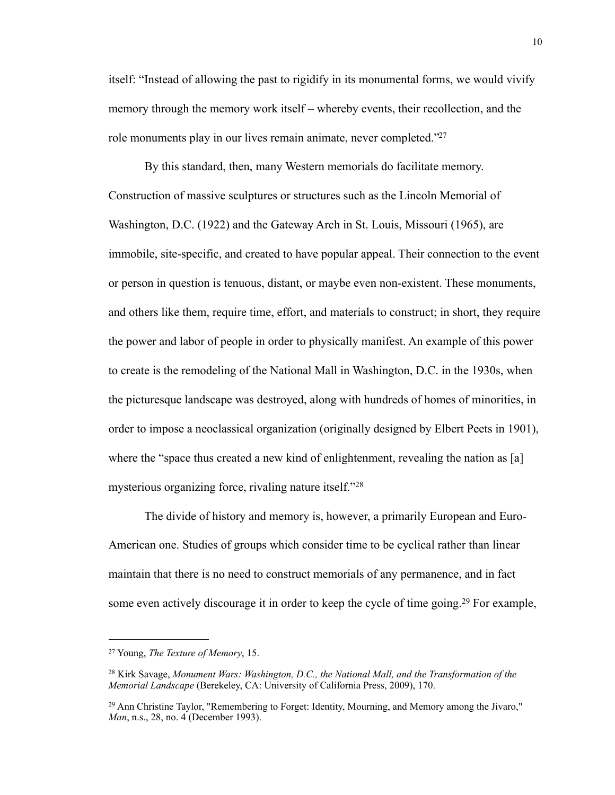itself: "Instead of allowing the past to rigidify in its monumental forms, we would vivify memory through the memory work itself – whereby events, their recollection, and the role monuments play in our lives remain animate, never completed."<sup>27</sup>

 By this standard, then, many Western memorials do facilitate memory. Construction of massive sculptures or structures such as the Lincoln Memorial of Washington, D.C. (1922) and the Gateway Arch in St. Louis, Missouri (1965), are immobile, site-specific, and created to have popular appeal. Their connection to the event or person in question is tenuous, distant, or maybe even non-existent. These monuments, and others like them, require time, effort, and materials to construct; in short, they require the power and labor of people in order to physically manifest. An example of this power to create is the remodeling of the National Mall in Washington, D.C. in the 1930s, when the picturesque landscape was destroyed, along with hundreds of homes of minorities, in order to impose a neoclassical organization (originally designed by Elbert Peets in 1901), where the "space thus created a new kind of enlightenment, revealing the nation as [a] mysterious organizing force, rivaling nature itself.["28](#page-14-1)

 The divide of history and memory is, however, a primarily European and Euro-American one. Studies of groups which consider time to be cyclical rather than linear maintain that there is no need to construct memorials of any permanence, and in fact some even actively discourage it in order to keep the cycle of time going.<sup>29</sup> For example,

<span id="page-14-0"></span><sup>27</sup> Young, *The Texture of Memory*, 15.

<span id="page-14-1"></span><sup>28</sup> Kirk Savage, *Monument Wars: Washington, D.C., the National Mall, and the Transformation of the Memorial Landscape* (Berekeley, CA: University of California Press, 2009), 170.

<span id="page-14-2"></span><sup>&</sup>lt;sup>29</sup> Ann Christine Taylor, "Remembering to Forget: Identity, Mourning, and Memory among the Jivaro," *Man*, n.s., 28, no. 4 (December 1993).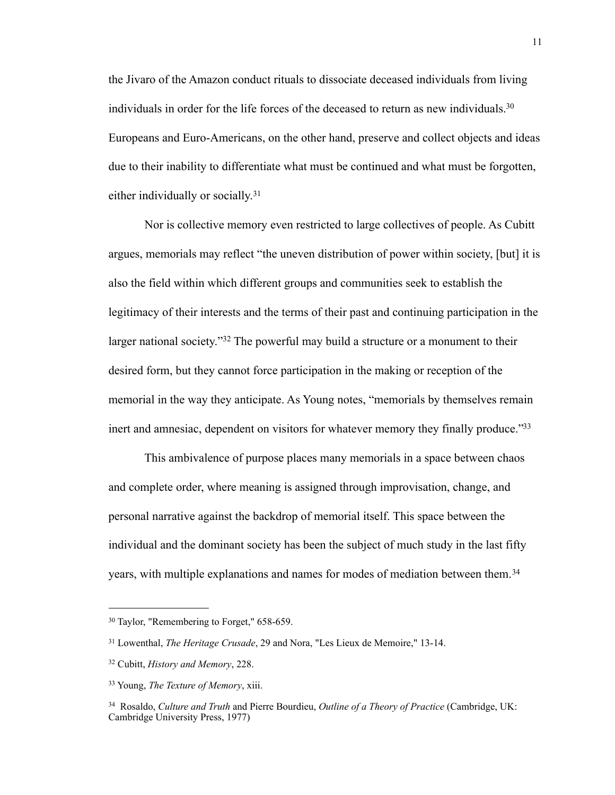the Jivaro of the Amazon conduct rituals to dissociate deceased individuals from living individuals in order for the life forces of the deceased to return as new individuals.<sup>30</sup> Europeans and Euro-Americans, on the other hand, preserve and collect objects and ideas due to their inability to differentiate what must be continued and what must be forgotten, either individually or socially.[31](#page-15-1)

 Nor is collective memory even restricted to large collectives of people. As Cubitt argues, memorials may reflect "the uneven distribution of power within society, [but] it is also the field within which different groups and communities seek to establish the legitimacy of their interests and the terms of their past and continuing participation in the larger national society."<sup>32</sup> The powerful may build a structure or a monument to their desired form, but they cannot force participation in the making or reception of the memorial in the way they anticipate. As Young notes, "memorials by themselves remain inert and amnesiac, dependent on visitors for whatever memory they finally produce.["33](#page-15-3)

 This ambivalence of purpose places many memorials in a space between chaos and complete order, where meaning is assigned through improvisation, change, and personal narrative against the backdrop of memorial itself. This space between the individual and the dominant society has been the subject of much study in the last fifty years, with multiple explanations and names for modes of mediation between them.<sup>[34](#page-15-4)</sup>

<span id="page-15-0"></span><sup>30</sup> Taylor, "Remembering to Forget," 658-659.

<span id="page-15-1"></span><sup>31</sup> Lowenthal, *The Heritage Crusade*, 29 and Nora, "Les Lieux de Memoire," 13-14.

<span id="page-15-2"></span><sup>32</sup> Cubitt, *History and Memory*, 228.

<span id="page-15-3"></span><sup>33</sup> Young, *The Texture of Memory*, xiii.

<span id="page-15-4"></span><sup>34</sup> Rosaldo, *Culture and Truth* and Pierre Bourdieu, *Outline of a Theory of Practice* (Cambridge, UK: Cambridge University Press, 1977)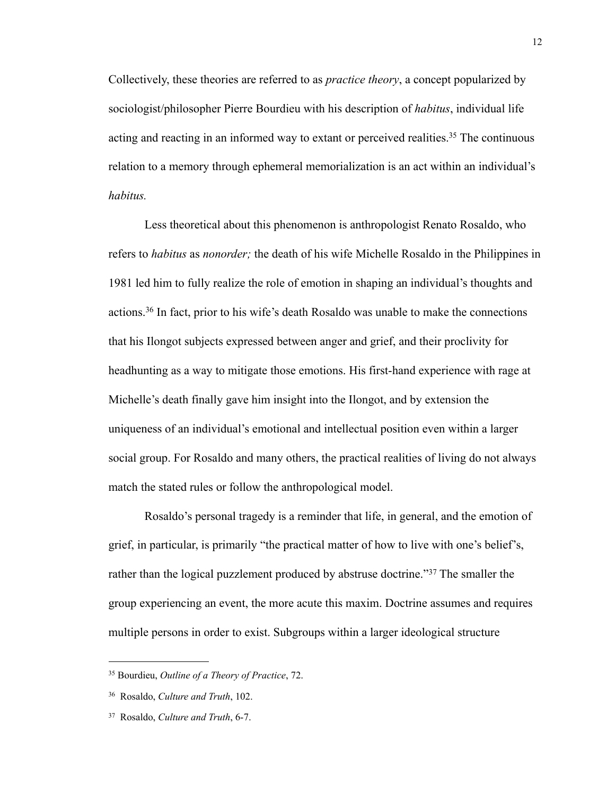Collectively, these theories are referred to as *practice theory*, a concept popularized by sociologist/philosopher Pierre Bourdieu with his description of *habitus*, individual life acting and reacting in an informed way to extant or perceived realities.<sup>35</sup> The continuous relation to a memory through ephemeral memorialization is an act within an individual's *habitus.*

 Less theoretical about this phenomenon is anthropologist Renato Rosaldo, who refers to *habitus* as *nonorder;* the death of his wife Michelle Rosaldo in the Philippines in 1981 led him to fully realize the role of emotion in shaping an individual's thoughts and actions.[36](#page-16-1) In fact, prior to his wife's death Rosaldo was unable to make the connections that his Ilongot subjects expressed between anger and grief, and their proclivity for headhunting as a way to mitigate those emotions. His first-hand experience with rage at Michelle's death finally gave him insight into the Ilongot, and by extension the uniqueness of an individual's emotional and intellectual position even within a larger social group. For Rosaldo and many others, the practical realities of living do not always match the stated rules or follow the anthropological model.

 Rosaldo's personal tragedy is a reminder that life, in general, and the emotion of grief, in particular, is primarily "the practical matter of how to live with one's belief's, rather than the logical puzzlement produced by abstruse doctrine."<sup>37</sup> The smaller the group experiencing an event, the more acute this maxim. Doctrine assumes and requires multiple persons in order to exist. Subgroups within a larger ideological structure

<span id="page-16-0"></span><sup>35</sup> Bourdieu, *Outline of a Theory of Practice*, 72.

<span id="page-16-1"></span><sup>36</sup> Rosaldo, *Culture and Truth*, 102.

<span id="page-16-2"></span><sup>37</sup> Rosaldo, *Culture and Truth*, 6-7.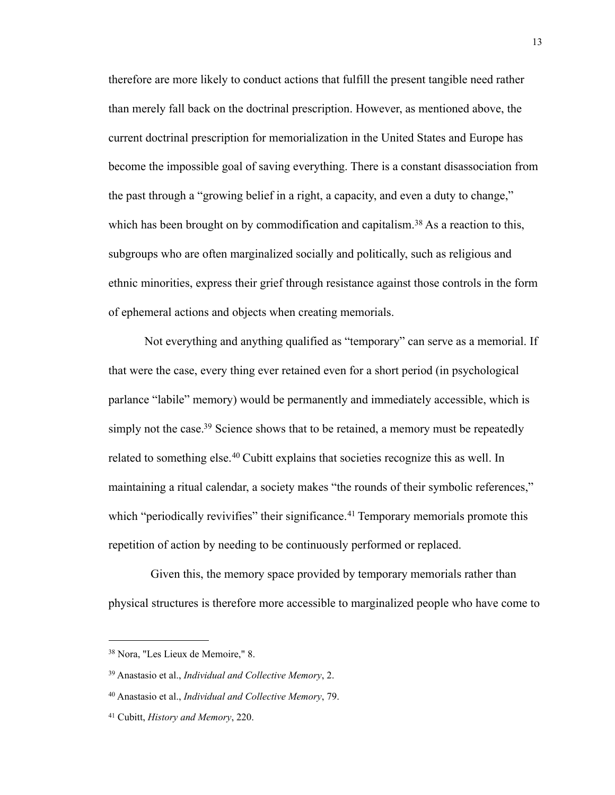therefore are more likely to conduct actions that fulfill the present tangible need rather than merely fall back on the doctrinal prescription. However, as mentioned above, the current doctrinal prescription for memorialization in the United States and Europe has become the impossible goal of saving everything. There is a constant disassociation from the past through a "growing belief in a right, a capacity, and even a duty to change," which has been brought on by commodification and capitalism.<sup>38</sup> As a reaction to this, subgroups who are often marginalized socially and politically, such as religious and ethnic minorities, express their grief through resistance against those controls in the form of ephemeral actions and objects when creating memorials.

 Not everything and anything qualified as "temporary" can serve as a memorial. If that were the case, every thing ever retained even for a short period (in psychological parlance "labile" memory) would be permanently and immediately accessible, which is simply not the case.<sup>39</sup> Science shows that to be retained, a memory must be repeatedly related to something else.<sup>40</sup> Cubitt explains that societies recognize this as well. In maintaining a ritual calendar, a society makes "the rounds of their symbolic references," which "periodically revivifies" their significance.<sup>41</sup> Temporary memorials promote this repetition of action by needing to be continuously performed or replaced.

 Given this, the memory space provided by temporary memorials rather than physical structures is therefore more accessible to marginalized people who have come to

<span id="page-17-0"></span><sup>38</sup> Nora, "Les Lieux de Memoire," 8.

<span id="page-17-1"></span><sup>39</sup> Anastasio et al., *Individual and Collective Memory*, 2.

<span id="page-17-2"></span><sup>40</sup> Anastasio et al., *Individual and Collective Memory*, 79.

<span id="page-17-3"></span><sup>41</sup> Cubitt, *History and Memory*, 220.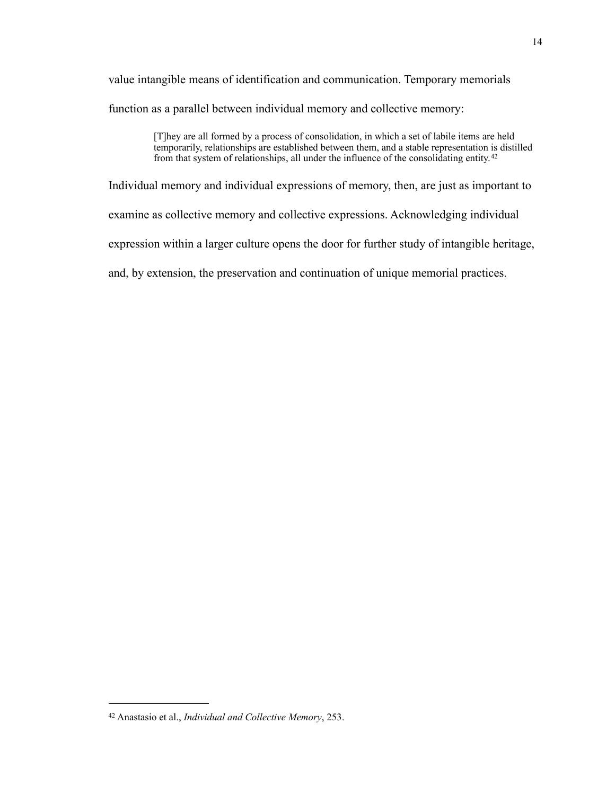value intangible means of identification and communication. Temporary memorials function as a parallel between individual memory and collective memory:

> [T]hey are all formed by a process of consolidation, in which a set of labile items are held temporarily, relationships are established between them, and a stable representation is distilled from that system of relationships, all under the influence of the consolidating entity.[42](#page-18-0)

Individual memory and individual expressions of memory, then, are just as important to examine as collective memory and collective expressions. Acknowledging individual expression within a larger culture opens the door for further study of intangible heritage, and, by extension, the preservation and continuation of unique memorial practices.

<span id="page-18-0"></span><sup>42</sup> Anastasio et al., *Individual and Collective Memory*, 253.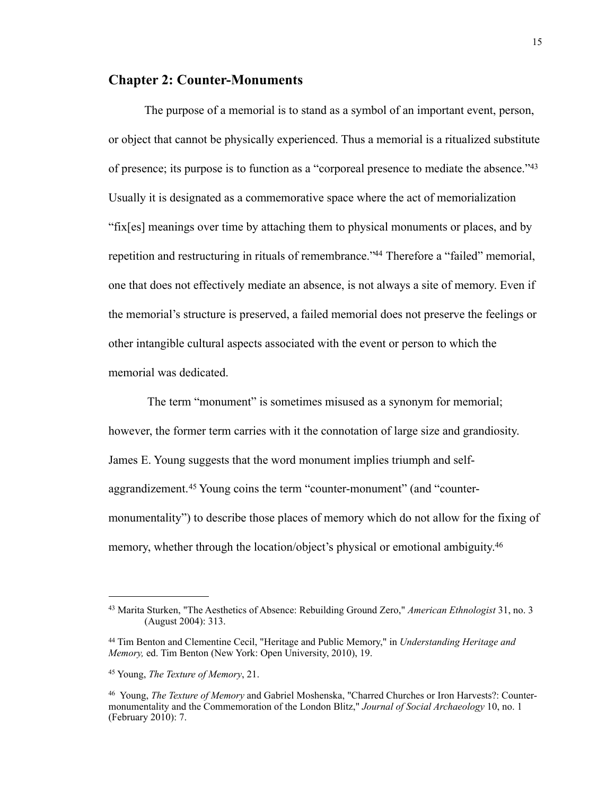### **Chapter 2: Counter-Monuments**

 The purpose of a memorial is to stand as a symbol of an important event, person, or object that cannot be physically experienced. Thus a memorial is a ritualized substitute of presence; its purpose is to function as a "corporeal presence to mediate the absence.["43](#page-19-0) Usually it is designated as a commemorative space where the act of memorialization "fix[es] meanings over time by attaching them to physical monuments or places, and by repetition and restructuring in rituals of remembrance.["44](#page-19-1) Therefore a "failed" memorial, one that does not effectively mediate an absence, is not always a site of memory. Even if the memorial's structure is preserved, a failed memorial does not preserve the feelings or other intangible cultural aspects associated with the event or person to which the memorial was dedicated.

 The term "monument" is sometimes misused as a synonym for memorial; however, the former term carries with it the connotation of large size and grandiosity. James E. Young suggests that the word monument implies triumph and selfaggrandizement.[45](#page-19-2) Young coins the term "counter-monument" (and "countermonumentality") to describe those places of memory which do not allow for the fixing of memory, whether through the location/object's physical or emotional ambiguity.<sup>46</sup>

<span id="page-19-0"></span><sup>43</sup> Marita Sturken, "The Aesthetics of Absence: Rebuilding Ground Zero," *American Ethnologist* 31, no. 3 (August 2004): 313.

<span id="page-19-1"></span><sup>44</sup> Tim Benton and Clementine Cecil, "Heritage and Public Memory," in *Understanding Heritage and Memory,* ed. Tim Benton (New York: Open University, 2010), 19.

<span id="page-19-2"></span><sup>45</sup> Young, *The Texture of Memory*, 21.

<span id="page-19-3"></span><sup>46</sup> Young, *The Texture of Memory* and Gabriel Moshenska, "Charred Churches or Iron Harvests?: Countermonumentality and the Commemoration of the London Blitz," *Journal of Social Archaeology* 10, no. 1 (February 2010): 7.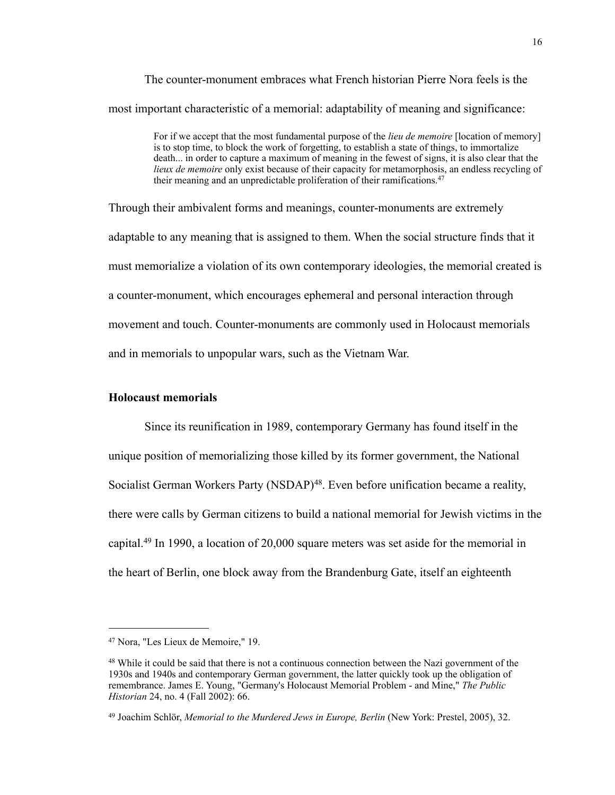The counter-monument embraces what French historian Pierre Nora feels is the most important characteristic of a memorial: adaptability of meaning and significance:

> For if we accept that the most fundamental purpose of the *lieu de memoire* [location of memory] is to stop time, to block the work of forgetting, to establish a state of things, to immortalize death... in order to capture a maximum of meaning in the fewest of signs, it is also clear that the *lieux de memoire* only exist because of their capacity for metamorphosis, an endless recycling of their meaning and an unpredictable proliferation of their ramifications.<sup>[47](#page-20-0)</sup>

Through their ambivalent forms and meanings, counter-monuments are extremely adaptable to any meaning that is assigned to them. When the social structure finds that it must memorialize a violation of its own contemporary ideologies, the memorial created is a counter-monument, which encourages ephemeral and personal interaction through movement and touch. Counter-monuments are commonly used in Holocaust memorials and in memorials to unpopular wars, such as the Vietnam War.

#### **Holocaust memorials**

 Since its reunification in 1989, contemporary Germany has found itself in the unique position of memorializing those killed by its former government, the National Socialist German Workers Party (NSDAP)<sup>48</sup>. Even before unification became a reality, there were calls by German citizens to build a national memorial for Jewish victims in the capital.[49](#page-20-2) In 1990, a location of 20,000 square meters was set aside for the memorial in the heart of Berlin, one block away from the Brandenburg Gate, itself an eighteenth

<span id="page-20-0"></span><sup>47</sup> Nora, "Les Lieux de Memoire," 19.

<span id="page-20-1"></span><sup>&</sup>lt;sup>48</sup> While it could be said that there is not a continuous connection between the Nazi government of the 1930s and 1940s and contemporary German government, the latter quickly took up the obligation of remembrance. James E. Young, "Germany's Holocaust Memorial Problem - and Mine," *The Public Historian* 24, no. 4 (Fall 2002): 66.

<span id="page-20-2"></span><sup>49</sup> Joachim Schlör, *Memorial to the Murdered Jews in Europe, Berlin* (New York: Prestel, 2005), 32.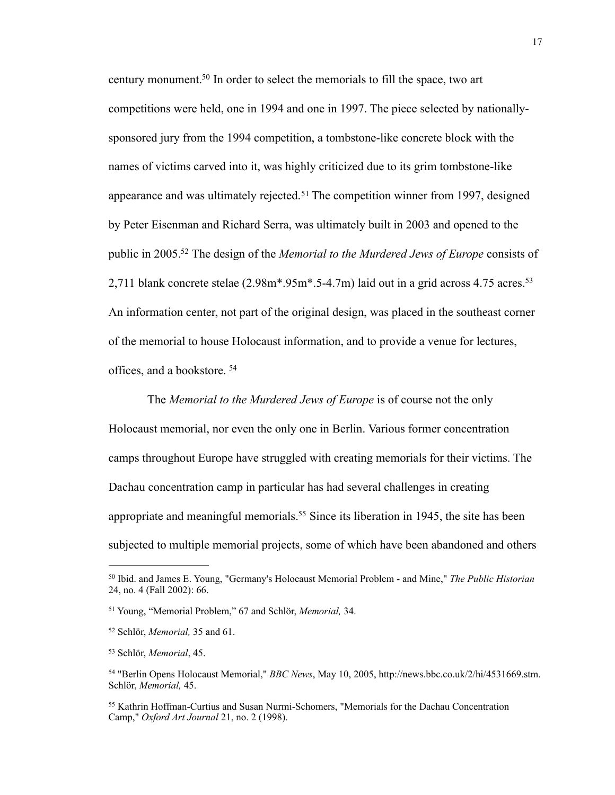century monument[.50](#page-21-0) In order to select the memorials to fill the space, two art competitions were held, one in 1994 and one in 1997. The piece selected by nationallysponsored jury from the 1994 competition, a tombstone-like concrete block with the names of victims carved into it, was highly criticized due to its grim tombstone-like appearance and was ultimately rejected.<sup>51</sup> The competition winner from 1997, designed by Peter Eisenman and Richard Serra, was ultimately built in 2003 and opened to the public in 2005[.52](#page-21-2) The design of the *Memorial to the Murdered Jews of Europe* consists of 2,711 blank concrete stelae  $(2.98m^* . 95m^* . 5-4.7m)$  laid out in a grid across 4.75 acres.<sup>53</sup> An information center, not part of the original design, was placed in the southeast corner of the memorial to house Holocaust information, and to provide a venue for lectures, offices, and a bookstore. [54](#page-21-4)

 The *Memorial to the Murdered Jews of Europe* is of course not the only Holocaust memorial, nor even the only one in Berlin. Various former concentration camps throughout Europe have struggled with creating memorials for their victims. The Dachau concentration camp in particular has had several challenges in creating appropriate and meaningful memorials.<sup>55</sup> Since its liberation in 1945, the site has been subjected to multiple memorial projects, some of which have been abandoned and others

<span id="page-21-0"></span><sup>50</sup> Ibid. and James E. Young, "Germany's Holocaust Memorial Problem - and Mine," *The Public Historian* 24, no. 4 (Fall 2002): 66.

<span id="page-21-1"></span><sup>51</sup> Young, "Memorial Problem," 67 and Schlör, *Memorial,* 34.

<span id="page-21-2"></span><sup>52</sup> Schlör, *Memorial,* 35 and 61.

<span id="page-21-3"></span><sup>53</sup> Schlör, *Memorial*, 45.

<span id="page-21-4"></span><sup>54 &</sup>quot;Berlin Opens Holocaust Memorial," *BBC News*, May 10, 2005,<http://news.bbc.co.uk/2/hi/>4531669.stm. Schlör, *Memorial,* 45.

<span id="page-21-5"></span><sup>55</sup> Kathrin Hoffman-Curtius and Susan Nurmi-Schomers, "Memorials for the Dachau Concentration Camp," *Oxford Art Journal* 21, no. 2 (1998).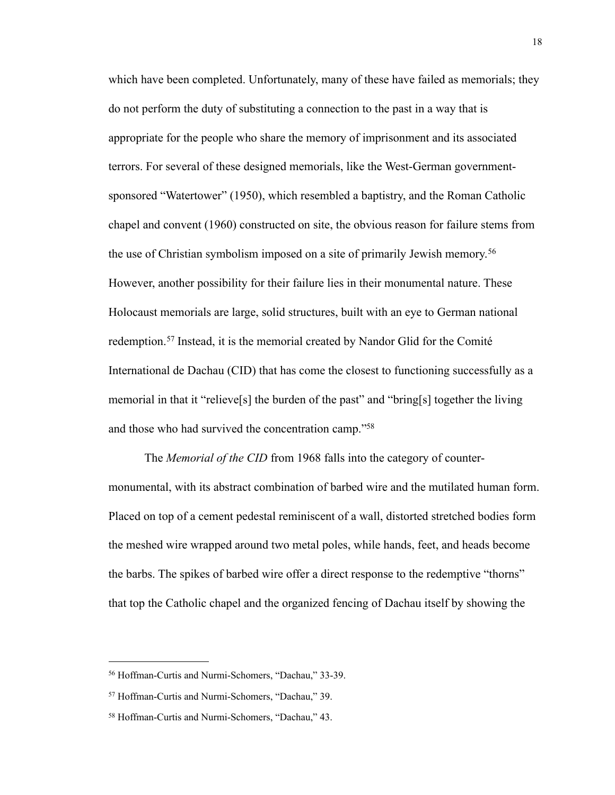which have been completed. Unfortunately, many of these have failed as memorials; they do not perform the duty of substituting a connection to the past in a way that is appropriate for the people who share the memory of imprisonment and its associated terrors. For several of these designed memorials, like the West-German governmentsponsored "Watertower" (1950), which resembled a baptistry, and the Roman Catholic chapel and convent (1960) constructed on site, the obvious reason for failure stems from the use of Christian symbolism imposed on a site of primarily Jewish memory.[56](#page-22-0) However, another possibility for their failure lies in their monumental nature. These Holocaust memorials are large, solid structures, built with an eye to German national redemption.[57](#page-22-1) Instead, it is the memorial created by Nandor Glid for the Comité International de Dachau (CID) that has come the closest to functioning successfully as a memorial in that it "relieve[s] the burden of the past" and "bring[s] together the living and those who had survived the concentration camp.["58](#page-22-2)

 The *Memorial of the CID* from 1968 falls into the category of countermonumental, with its abstract combination of barbed wire and the mutilated human form. Placed on top of a cement pedestal reminiscent of a wall, distorted stretched bodies form the meshed wire wrapped around two metal poles, while hands, feet, and heads become the barbs. The spikes of barbed wire offer a direct response to the redemptive "thorns" that top the Catholic chapel and the organized fencing of Dachau itself by showing the

<span id="page-22-0"></span><sup>56</sup> Hoffman-Curtis and Nurmi-Schomers, "Dachau," 33-39.

<span id="page-22-1"></span><sup>57</sup> Hoffman-Curtis and Nurmi-Schomers, "Dachau," 39.

<span id="page-22-2"></span><sup>58</sup> Hoffman-Curtis and Nurmi-Schomers, "Dachau," 43.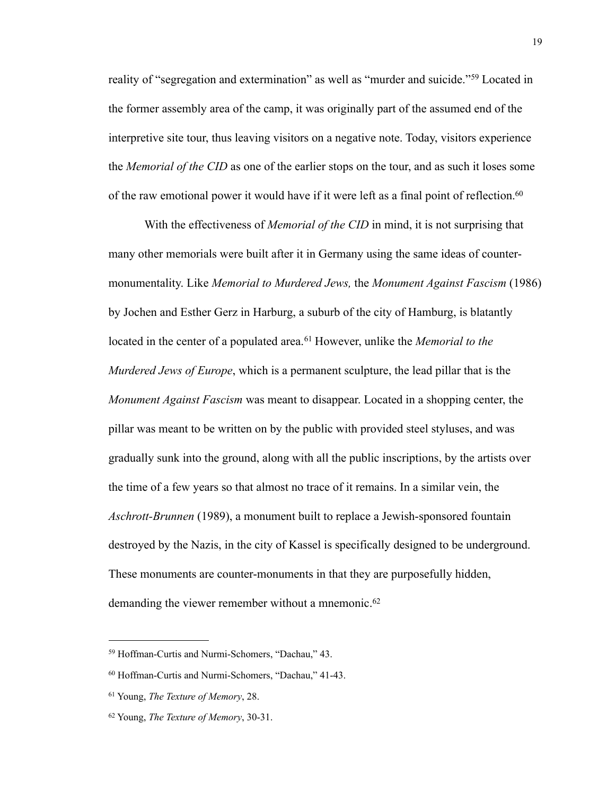reality of "segregation and extermination" as well as "murder and suicide."[59](#page-23-0) Located in the former assembly area of the camp, it was originally part of the assumed end of the interpretive site tour, thus leaving visitors on a negative note. Today, visitors experience the *Memorial of the CID* as one of the earlier stops on the tour, and as such it loses some of the raw emotional power it would have if it were left as a final point of reflection.<sup>60</sup>

 With the effectiveness of *Memorial of the CID* in mind, it is not surprising that many other memorials were built after it in Germany using the same ideas of countermonumentality. Like *Memorial to Murdered Jews,* the *Monument Against Fascism* (1986) by Jochen and Esther Gerz in Harburg, a suburb of the city of Hamburg, is blatantly located in the center of a populated area.<sup>61</sup> However, unlike the *Memorial to the Murdered Jews of Europe*, which is a permanent sculpture, the lead pillar that is the *Monument Against Fascism* was meant to disappear. Located in a shopping center, the pillar was meant to be written on by the public with provided steel styluses, and was gradually sunk into the ground, along with all the public inscriptions, by the artists over the time of a few years so that almost no trace of it remains. In a similar vein, the *Aschrott-Brunnen* (1989), a monument built to replace a Jewish-sponsored fountain destroyed by the Nazis, in the city of Kassel is specifically designed to be underground. These monuments are counter-monuments in that they are purposefully hidden, demanding the viewer remember without a mnemonic.<sup>[62](#page-23-3)</sup>

<span id="page-23-0"></span><sup>59</sup> Hoffman-Curtis and Nurmi-Schomers, "Dachau," 43.

<span id="page-23-1"></span><sup>60</sup> Hoffman-Curtis and Nurmi-Schomers, "Dachau," 41-43.

<span id="page-23-2"></span><sup>61</sup> Young, *The Texture of Memory*, 28.

<span id="page-23-3"></span><sup>62</sup> Young, *The Texture of Memory*, 30-31.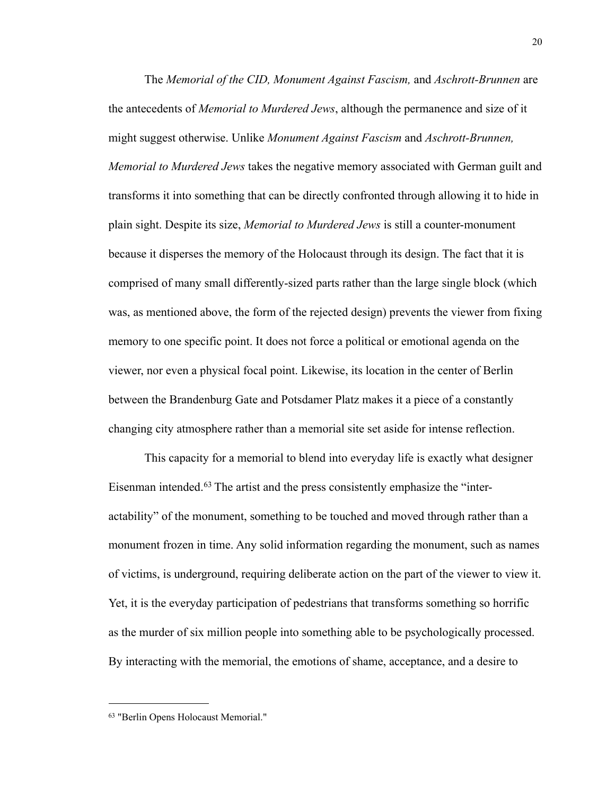The *Memorial of the CID, Monument Against Fascism,* and *Aschrott-Brunnen* are the antecedents of *Memorial to Murdered Jews*, although the permanence and size of it might suggest otherwise. Unlike *Monument Against Fascism* and *Aschrott-Brunnen, Memorial to Murdered Jews* takes the negative memory associated with German guilt and transforms it into something that can be directly confronted through allowing it to hide in plain sight. Despite its size, *Memorial to Murdered Jews* is still a counter-monument because it disperses the memory of the Holocaust through its design. The fact that it is comprised of many small differently-sized parts rather than the large single block (which was, as mentioned above, the form of the rejected design) prevents the viewer from fixing memory to one specific point. It does not force a political or emotional agenda on the viewer, nor even a physical focal point. Likewise, its location in the center of Berlin between the Brandenburg Gate and Potsdamer Platz makes it a piece of a constantly changing city atmosphere rather than a memorial site set aside for intense reflection.

 This capacity for a memorial to blend into everyday life is exactly what designer Eisenman intended.<sup>63</sup> The artist and the press consistently emphasize the "interactability" of the monument, something to be touched and moved through rather than a monument frozen in time. Any solid information regarding the monument, such as names of victims, is underground, requiring deliberate action on the part of the viewer to view it. Yet, it is the everyday participation of pedestrians that transforms something so horrific as the murder of six million people into something able to be psychologically processed. By interacting with the memorial, the emotions of shame, acceptance, and a desire to

<span id="page-24-0"></span><sup>63 &</sup>quot;Berlin Opens Holocaust Memorial."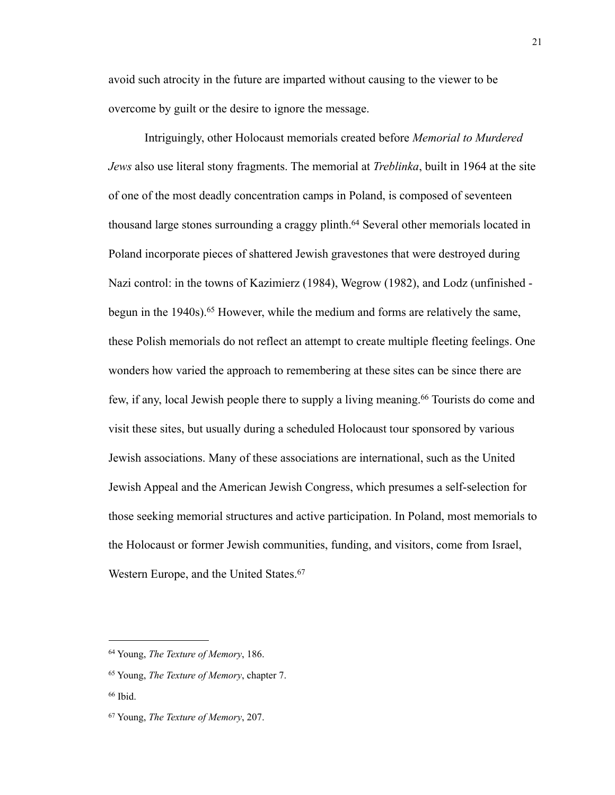avoid such atrocity in the future are imparted without causing to the viewer to be overcome by guilt or the desire to ignore the message.

 Intriguingly, other Holocaust memorials created before *Memorial to Murdered Jews* also use literal stony fragments. The memorial at *Treblinka*, built in 1964 at the site of one of the most deadly concentration camps in Poland, is composed of seventeen thousand large stones surrounding a craggy plinth.<sup>64</sup> Several other memorials located in Poland incorporate pieces of shattered Jewish gravestones that were destroyed during Nazi control: in the towns of Kazimierz (1984), Wegrow (1982), and Lodz (unfinished begun in the 1940s).[65](#page-25-1) However, while the medium and forms are relatively the same, these Polish memorials do not reflect an attempt to create multiple fleeting feelings. One wonders how varied the approach to remembering at these sites can be since there are few, if any, local Jewish people there to supply a living meaning[.66](#page-25-2) Tourists do come and visit these sites, but usually during a scheduled Holocaust tour sponsored by various Jewish associations. Many of these associations are international, such as the United Jewish Appeal and the American Jewish Congress, which presumes a self-selection for those seeking memorial structures and active participation. In Poland, most memorials to the Holocaust or former Jewish communities, funding, and visitors, come from Israel, Western Europe, and the United States.<sup>[67](#page-25-3)</sup>

<span id="page-25-0"></span><sup>64</sup> Young, *The Texture of Memory*, 186.

<span id="page-25-1"></span><sup>65</sup> Young, *The Texture of Memory*, chapter 7.

<span id="page-25-2"></span><sup>66</sup> Ibid.

<span id="page-25-3"></span><sup>67</sup> Young, *The Texture of Memory*, 207.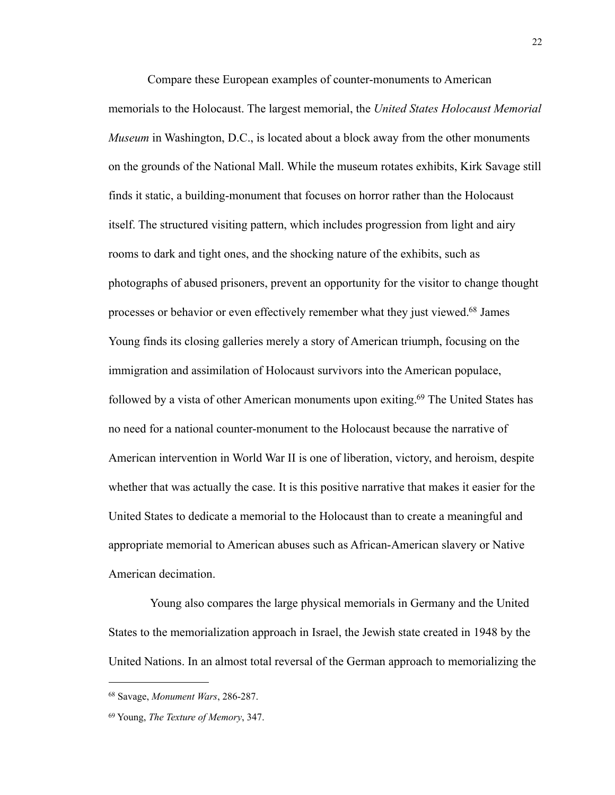Compare these European examples of counter-monuments to American memorials to the Holocaust. The largest memorial, the *United States Holocaust Memorial Museum* in Washington, D.C., is located about a block away from the other monuments on the grounds of the National Mall. While the museum rotates exhibits, Kirk Savage still finds it static, a building-monument that focuses on horror rather than the Holocaust itself. The structured visiting pattern, which includes progression from light and airy rooms to dark and tight ones, and the shocking nature of the exhibits, such as photographs of abused prisoners, prevent an opportunity for the visitor to change thought processes or behavior or even effectively remember what they just viewed[.68](#page-26-0) James Young finds its closing galleries merely a story of American triumph, focusing on the immigration and assimilation of Holocaust survivors into the American populace, followed by a vista of other American monuments upon exiting.<sup>69</sup> The United States has no need for a national counter-monument to the Holocaust because the narrative of American intervention in World War II is one of liberation, victory, and heroism, despite whether that was actually the case. It is this positive narrative that makes it easier for the United States to dedicate a memorial to the Holocaust than to create a meaningful and appropriate memorial to American abuses such as African-American slavery or Native American decimation.

 Young also compares the large physical memorials in Germany and the United States to the memorialization approach in Israel, the Jewish state created in 1948 by the United Nations. In an almost total reversal of the German approach to memorializing the

<span id="page-26-0"></span><sup>68</sup> Savage, *Monument Wars*, 286-287.

<span id="page-26-1"></span><sup>69</sup> Young, *The Texture of Memory*, 347.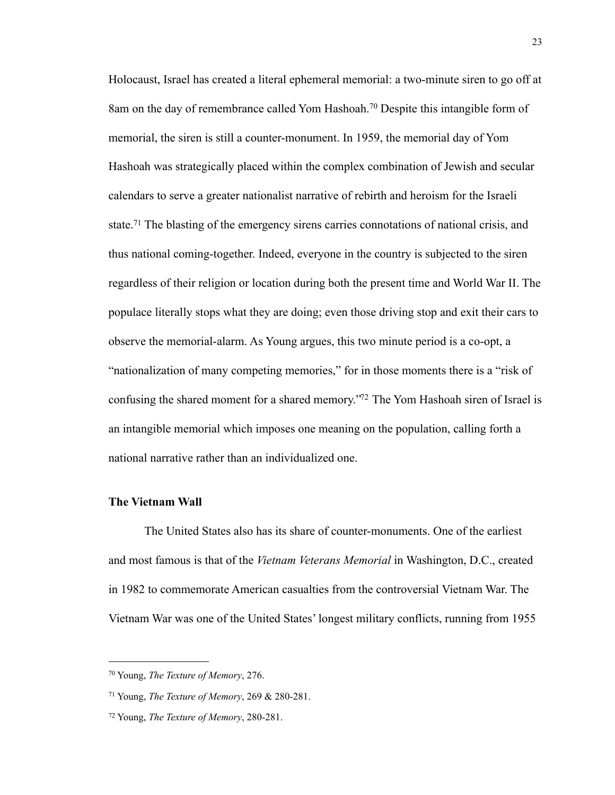Holocaust, Israel has created a literal ephemeral memorial: a two-minute siren to go off at 8am on the day of remembrance called Yom Hashoah.[70](#page-27-0) Despite this intangible form of memorial, the siren is still a counter-monument. In 1959, the memorial day of Yom Hashoah was strategically placed within the complex combination of Jewish and secular calendars to serve a greater nationalist narrative of rebirth and heroism for the Israeli state.<sup>71</sup> The blasting of the emergency sirens carries connotations of national crisis, and thus national coming-together. Indeed, everyone in the country is subjected to the siren regardless of their religion or location during both the present time and World War II. The populace literally stops what they are doing; even those driving stop and exit their cars to observe the memorial-alarm. As Young argues, this two minute period is a co-opt, a "nationalization of many competing memories," for in those moments there is a "risk of confusing the shared moment for a shared memory.["72](#page-27-2) The Yom Hashoah siren of Israel is an intangible memorial which imposes one meaning on the population, calling forth a national narrative rather than an individualized one.

### **The Vietnam Wall**

 The United States also has its share of counter-monuments. One of the earliest and most famous is that of the *Vietnam Veterans Memorial* in Washington, D.C., created in 1982 to commemorate American casualties from the controversial Vietnam War. The Vietnam War was one of the United States' longest military conflicts, running from 1955

<span id="page-27-0"></span><sup>70</sup> Young, *The Texture of Memory*, 276.

<span id="page-27-1"></span><sup>71</sup> Young, *The Texture of Memory*, 269 & 280-281.

<span id="page-27-2"></span><sup>72</sup> Young, *The Texture of Memory*, 280-281.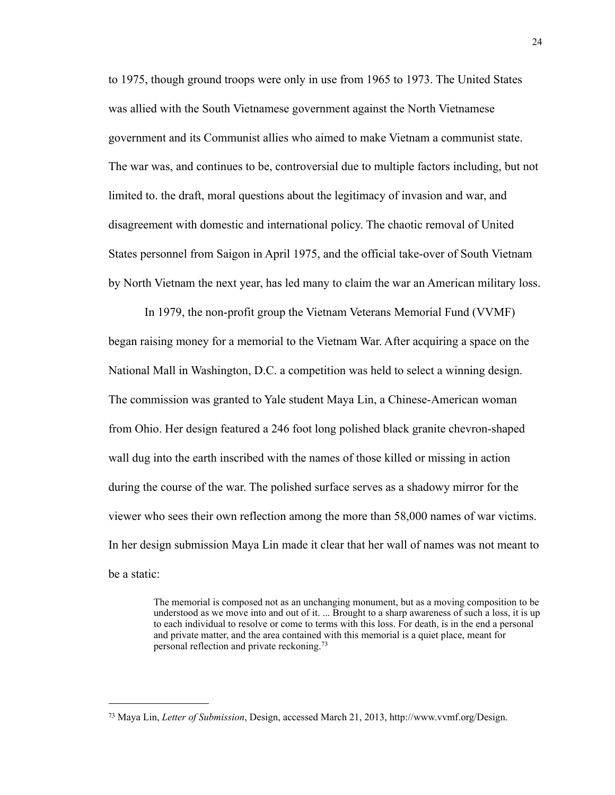to 1975, though ground troops were only in use from 1965 to 1973. The United States was allied with the South Vietnamese government against the North Vietnamese government and its Communist allies who aimed to make Vietnam a communist state. The war was, and continues to be, controversial due to multiple factors including, but not limited to. the draft, moral questions about the legitimacy of invasion and war, and disagreement with domestic and international policy. The chaotic removal of United States personnel from Saigon in April 1975, and the official take-over of South Vietnam by North Vietnam the next year, has led many to claim the war an American military loss.

 In 1979, the non-profit group the Vietnam Veterans Memorial Fund (VVMF) began raising money for a memorial to the Vietnam War. After acquiring a space on the National Mall in Washington, D.C. a competition was held to select a winning design. The commission was granted to Yale student Maya Lin, a Chinese-American woman from Ohio. Her design featured a 246 foot long polished black granite chevron-shaped wall dug into the earth inscribed with the names of those killed or missing in action during the course of the war. The polished surface serves as a shadowy mirror for the viewer who sees their own reflection among the more than 58,000 names of war victims. In her design submission Maya Lin made it clear that her wall of names was not meant to be a static:

> The memorial is composed not as an unchanging monument, but as a moving composition to be understood as we move into and out of it. ... Brought to a sharp awareness of such a loss, it is up to each individual to resolve or come to terms with this loss. For death, is in the end a personal and private matter, and the area contained with this memorial is a quiet place, meant for personal reflection and private reckoning.[73](#page-28-0)

<span id="page-28-0"></span><sup>73</sup> Maya Lin, *Letter of Submission*, Design, accessed March 21, 2013, http://www.vvmf.org/Design.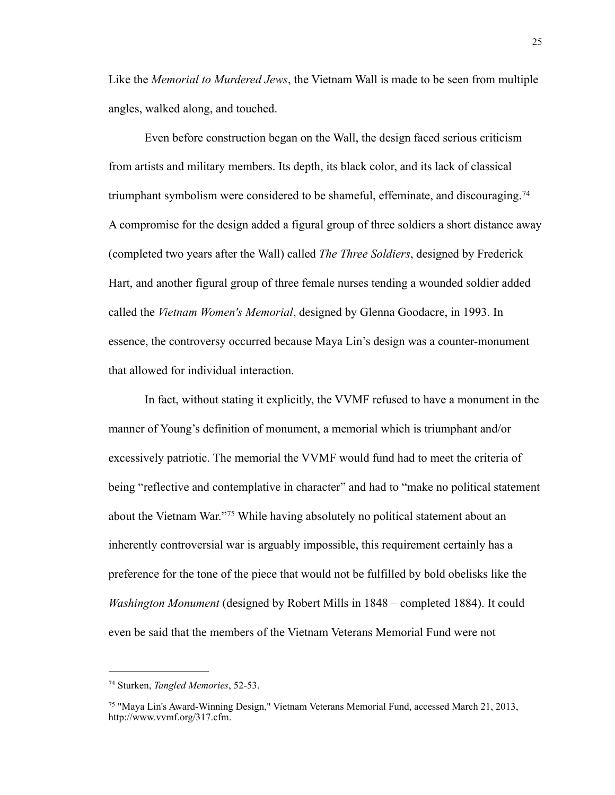Like the *Memorial to Murdered Jews*, the Vietnam Wall is made to be seen from multiple angles, walked along, and touched.

 Even before construction began on the Wall, the design faced serious criticism from artists and military members. Its depth, its black color, and its lack of classical triumphant symbolism were considered to be shameful, effeminate, and discouraging.[74](#page-29-0) A compromise for the design added a figural group of three soldiers a short distance away (completed two years after the Wall) called *The Three Soldiers*, designed by Frederick Hart, and another figural group of three female nurses tending a wounded soldier added called the *Vietnam Women's Memorial*, designed by Glenna Goodacre, in 1993. In essence, the controversy occurred because Maya Lin's design was a counter-monument that allowed for individual interaction.

 In fact, without stating it explicitly, the VVMF refused to have a monument in the manner of Young's definition of monument, a memorial which is triumphant and/or excessively patriotic. The memorial the VVMF would fund had to meet the criteria of being "reflective and contemplative in character" and had to "make no political statement about the Vietnam War."[75](#page-29-1) While having absolutely no political statement about an inherently controversial war is arguably impossible, this requirement certainly has a preference for the tone of the piece that would not be fulfilled by bold obelisks like the *Washington Monument* (designed by Robert Mills in 1848 – completed 1884). It could even be said that the members of the Vietnam Veterans Memorial Fund were not

<span id="page-29-0"></span><sup>74</sup> Sturken, *Tangled Memories*, 52-53.

<span id="page-29-1"></span><sup>75 &</sup>quot;Maya Lin's Award-Winning Design," Vietnam Veterans Memorial Fund, accessed March 21, 2013, http://www.vvmf.org/317.cfm.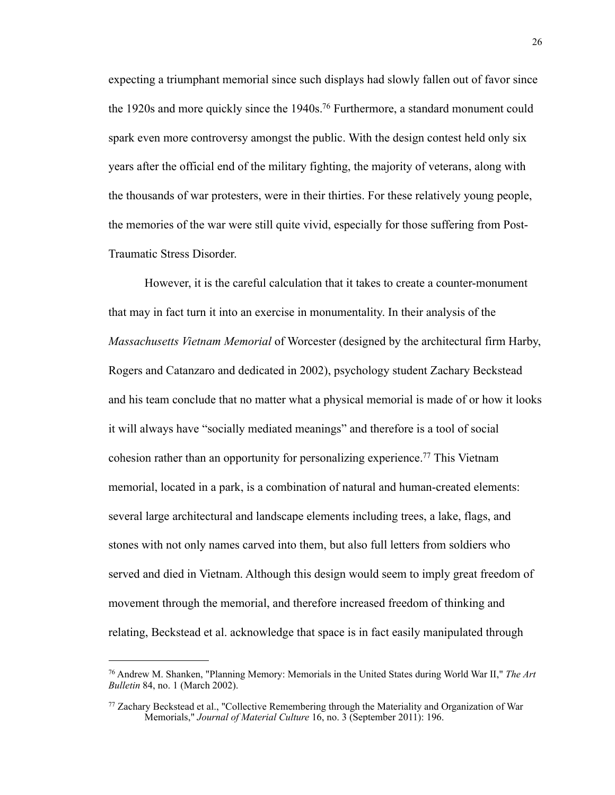expecting a triumphant memorial since such displays had slowly fallen out of favor since the 1920s and more quickly since the 1940s[.76](#page-30-0) Furthermore, a standard monument could spark even more controversy amongst the public. With the design contest held only six years after the official end of the military fighting, the majority of veterans, along with the thousands of war protesters, were in their thirties. For these relatively young people, the memories of the war were still quite vivid, especially for those suffering from Post-Traumatic Stress Disorder.

 However, it is the careful calculation that it takes to create a counter-monument that may in fact turn it into an exercise in monumentality. In their analysis of the *Massachusetts Vietnam Memorial* of Worcester (designed by the architectural firm Harby, Rogers and Catanzaro and dedicated in 2002), psychology student Zachary Beckstead and his team conclude that no matter what a physical memorial is made of or how it looks it will always have "socially mediated meanings" and therefore is a tool of social cohesion rather than an opportunity for personalizing experience[.77](#page-30-1) This Vietnam memorial, located in a park, is a combination of natural and human-created elements: several large architectural and landscape elements including trees, a lake, flags, and stones with not only names carved into them, but also full letters from soldiers who served and died in Vietnam. Although this design would seem to imply great freedom of movement through the memorial, and therefore increased freedom of thinking and relating, Beckstead et al. acknowledge that space is in fact easily manipulated through

<span id="page-30-0"></span><sup>76</sup> Andrew M. Shanken, "Planning Memory: Memorials in the United States during World War II," *The Art Bulletin* 84, no. 1 (March 2002).

<span id="page-30-1"></span><sup>77</sup> Zachary Beckstead et al., "Collective Remembering through the Materiality and Organization of War Memorials," *Journal of Material Culture* 16, no. 3 (September 2011): 196.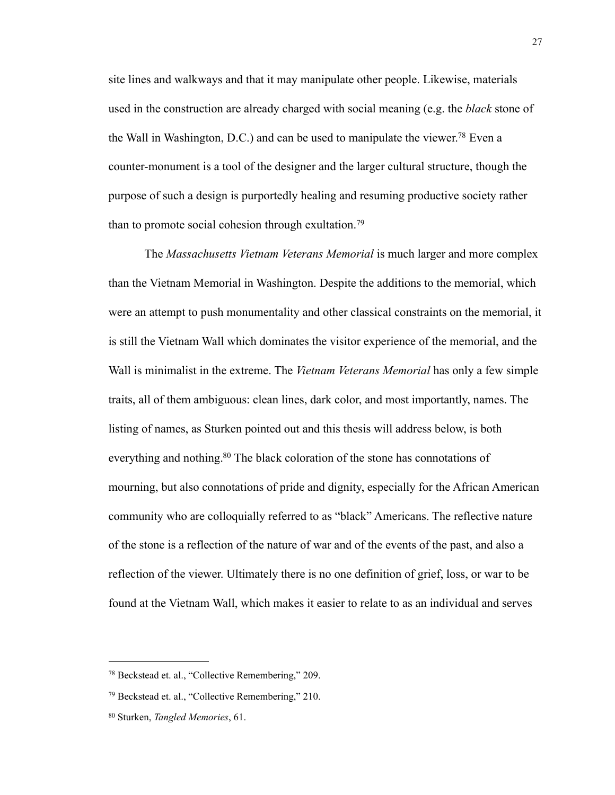site lines and walkways and that it may manipulate other people. Likewise, materials used in the construction are already charged with social meaning (e.g. the *black* stone of the Wall in Washington, D.C.) and can be used to manipulate the viewer[.78](#page-31-0) Even a counter-monument is a tool of the designer and the larger cultural structure, though the purpose of such a design is purportedly healing and resuming productive society rather than to promote social cohesion through exultation.[79](#page-31-1)

 The *Massachusetts Vietnam Veterans Memorial* is much larger and more complex than the Vietnam Memorial in Washington. Despite the additions to the memorial, which were an attempt to push monumentality and other classical constraints on the memorial, it is still the Vietnam Wall which dominates the visitor experience of the memorial, and the Wall is minimalist in the extreme. The *Vietnam Veterans Memorial* has only a few simple traits, all of them ambiguous: clean lines, dark color, and most importantly, names. The listing of names, as Sturken pointed out and this thesis will address below, is both everything and nothing.<sup>80</sup> The black coloration of the stone has connotations of mourning, but also connotations of pride and dignity, especially for the African American community who are colloquially referred to as "black" Americans. The reflective nature of the stone is a reflection of the nature of war and of the events of the past, and also a reflection of the viewer. Ultimately there is no one definition of grief, loss, or war to be found at the Vietnam Wall, which makes it easier to relate to as an individual and serves

<span id="page-31-0"></span><sup>78</sup> Beckstead et. al., "Collective Remembering," 209.

<span id="page-31-1"></span><sup>79</sup> Beckstead et. al., "Collective Remembering," 210.

<span id="page-31-2"></span><sup>80</sup> Sturken, *Tangled Memories*, 61.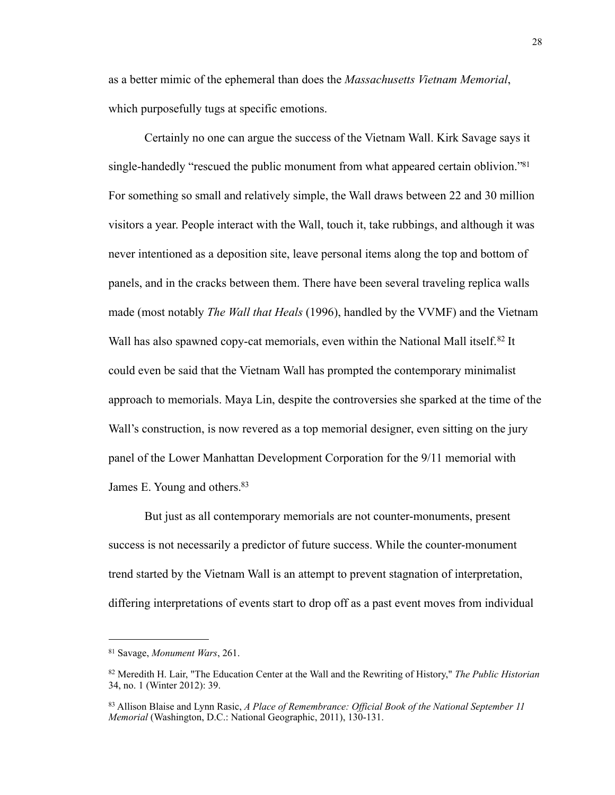as a better mimic of the ephemeral than does the *Massachusetts Vietnam Memorial*, which purposefully tugs at specific emotions.

 Certainly no one can argue the success of the Vietnam Wall. Kirk Savage says it single-handedly "rescued the public monument from what appeared certain oblivion."<sup>81</sup> For something so small and relatively simple, the Wall draws between 22 and 30 million visitors a year. People interact with the Wall, touch it, take rubbings, and although it was never intentioned as a deposition site, leave personal items along the top and bottom of panels, and in the cracks between them. There have been several traveling replica walls made (most notably *The Wall that Heals* (1996), handled by the VVMF) and the Vietnam Wall has also spawned copy-cat memorials, even within the National Mall itself.<sup>82</sup> It could even be said that the Vietnam Wall has prompted the contemporary minimalist approach to memorials. Maya Lin, despite the controversies she sparked at the time of the Wall's construction, is now revered as a top memorial designer, even sitting on the jury panel of the Lower Manhattan Development Corporation for the 9/11 memorial with James E. Young and others.<sup>83</sup>

 But just as all contemporary memorials are not counter-monuments, present success is not necessarily a predictor of future success. While the counter-monument trend started by the Vietnam Wall is an attempt to prevent stagnation of interpretation, differing interpretations of events start to drop off as a past event moves from individual

<span id="page-32-0"></span><sup>81</sup> Savage, *Monument Wars*, 261.

<span id="page-32-1"></span><sup>82</sup> Meredith H. Lair, "The Education Center at the Wall and the Rewriting of History," *The Public Historian* 34, no. 1 (Winter 2012): 39.

<span id="page-32-2"></span><sup>83</sup> Allison Blaise and Lynn Rasic, *A Place of Remembrance: Official Book of the National September 11 Memorial* (Washington, D.C.: National Geographic, 2011), 130-131.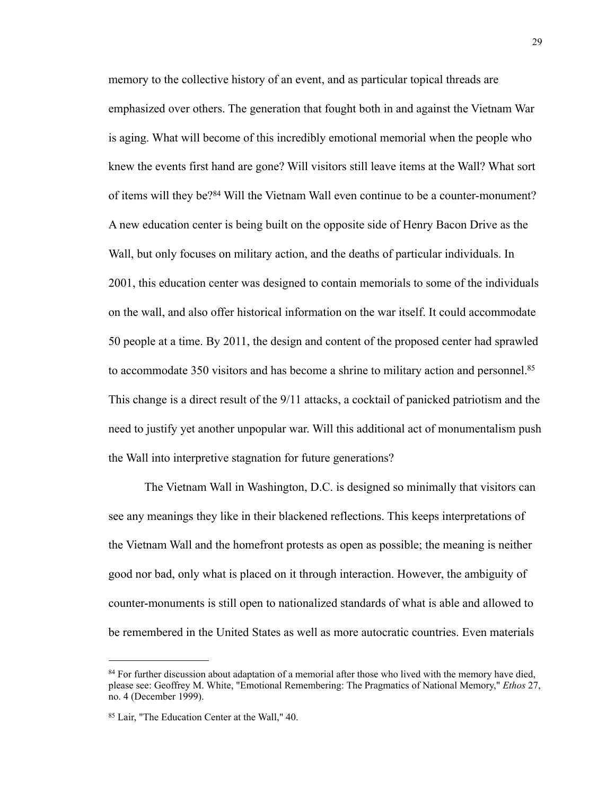memory to the collective history of an event, and as particular topical threads are emphasized over others. The generation that fought both in and against the Vietnam War is aging. What will become of this incredibly emotional memorial when the people who knew the events first hand are gone? Will visitors still leave items at the Wall? What sort of items will they be?[84](#page-33-0) Will the Vietnam Wall even continue to be a counter-monument? A new education center is being built on the opposite side of Henry Bacon Drive as the Wall, but only focuses on military action, and the deaths of particular individuals. In 2001, this education center was designed to contain memorials to some of the individuals on the wall, and also offer historical information on the war itself. It could accommodate 50 people at a time. By 2011, the design and content of the proposed center had sprawled to accommodate 350 visitors and has become a shrine to military action and personnel.<sup>85</sup> This change is a direct result of the 9/11 attacks, a cocktail of panicked patriotism and the need to justify yet another unpopular war. Will this additional act of monumentalism push the Wall into interpretive stagnation for future generations?

 The Vietnam Wall in Washington, D.C. is designed so minimally that visitors can see any meanings they like in their blackened reflections. This keeps interpretations of the Vietnam Wall and the homefront protests as open as possible; the meaning is neither good nor bad, only what is placed on it through interaction. However, the ambiguity of counter-monuments is still open to nationalized standards of what is able and allowed to be remembered in the United States as well as more autocratic countries. Even materials

<span id="page-33-0"></span><sup>&</sup>lt;sup>84</sup> For further discussion about adaptation of a memorial after those who lived with the memory have died, please see: Geoffrey M. White, "Emotional Remembering: The Pragmatics of National Memory," *Ethos* 27, no. 4 (December 1999).

<span id="page-33-1"></span><sup>85</sup> Lair, "The Education Center at the Wall," 40.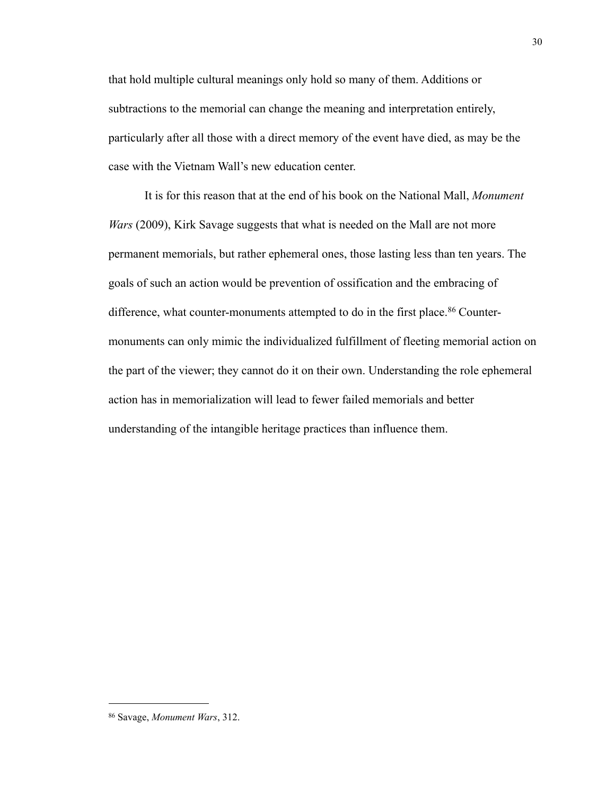that hold multiple cultural meanings only hold so many of them. Additions or subtractions to the memorial can change the meaning and interpretation entirely, particularly after all those with a direct memory of the event have died, as may be the case with the Vietnam Wall's new education center.

 It is for this reason that at the end of his book on the National Mall, *Monument Wars* (2009), Kirk Savage suggests that what is needed on the Mall are not more permanent memorials, but rather ephemeral ones, those lasting less than ten years. The goals of such an action would be prevention of ossification and the embracing of difference, what counter-monuments attempted to do in the first place.<sup>86</sup> Countermonuments can only mimic the individualized fulfillment of fleeting memorial action on the part of the viewer; they cannot do it on their own. Understanding the role ephemeral action has in memorialization will lead to fewer failed memorials and better understanding of the intangible heritage practices than influence them.

<span id="page-34-0"></span><sup>86</sup> Savage, *Monument Wars*, 312.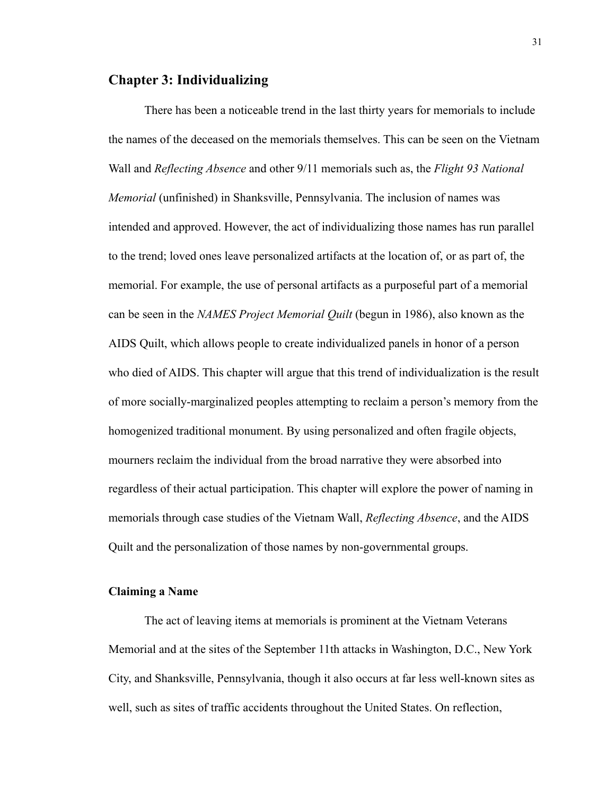## **Chapter 3: Individualizing**

 There has been a noticeable trend in the last thirty years for memorials to include the names of the deceased on the memorials themselves. This can be seen on the Vietnam Wall and *Reflecting Absence* and other 9/11 memorials such as, the *Flight 93 National Memorial* (unfinished) in Shanksville, Pennsylvania. The inclusion of names was intended and approved. However, the act of individualizing those names has run parallel to the trend; loved ones leave personalized artifacts at the location of, or as part of, the memorial. For example, the use of personal artifacts as a purposeful part of a memorial can be seen in the *NAMES Project Memorial Quilt* (begun in 1986), also known as the AIDS Quilt, which allows people to create individualized panels in honor of a person who died of AIDS. This chapter will argue that this trend of individualization is the result of more socially-marginalized peoples attempting to reclaim a person's memory from the homogenized traditional monument. By using personalized and often fragile objects, mourners reclaim the individual from the broad narrative they were absorbed into regardless of their actual participation. This chapter will explore the power of naming in memorials through case studies of the Vietnam Wall, *Reflecting Absence*, and the AIDS Quilt and the personalization of those names by non-governmental groups.

### **Claiming a Name**

 The act of leaving items at memorials is prominent at the Vietnam Veterans Memorial and at the sites of the September 11th attacks in Washington, D.C., New York City, and Shanksville, Pennsylvania, though it also occurs at far less well-known sites as well, such as sites of traffic accidents throughout the United States. On reflection,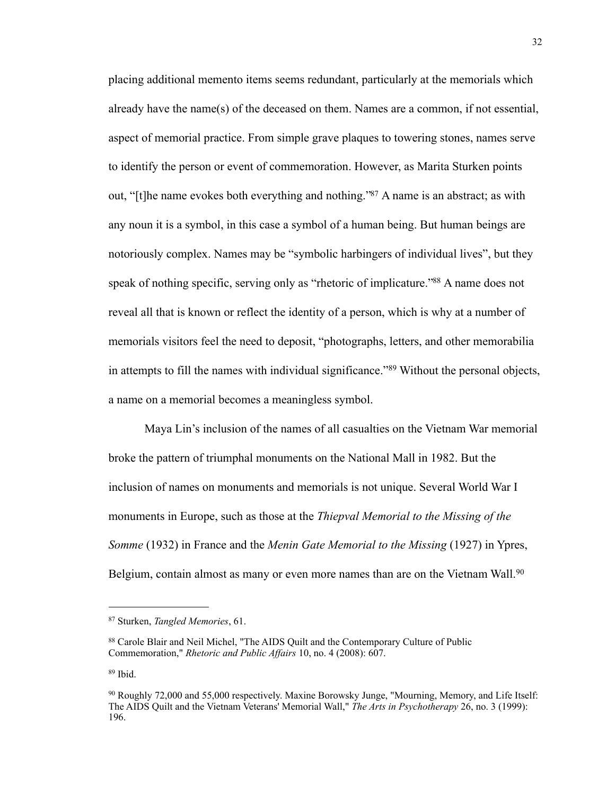placing additional memento items seems redundant, particularly at the memorials which already have the name(s) of the deceased on them. Names are a common, if not essential, aspect of memorial practice. From simple grave plaques to towering stones, names serve to identify the person or event of commemoration. However, as Marita Sturken points out, "[t]he name evokes both everything and nothing.["87](#page-36-0) A name is an abstract; as with any noun it is a symbol, in this case a symbol of a human being. But human beings are notoriously complex. Names may be "symbolic harbingers of individual lives", but they speak of nothing specific, serving only as "rhetoric of implicature."<sup>88</sup> A name does not reveal all that is known or reflect the identity of a person, which is why at a number of memorials visitors feel the need to deposit, "photographs, letters, and other memorabilia in attempts to fill the names with individual significance."[89](#page-36-2) Without the personal objects, a name on a memorial becomes a meaningless symbol.

 Maya Lin's inclusion of the names of all casualties on the Vietnam War memorial broke the pattern of triumphal monuments on the National Mall in 1982. But the inclusion of names on monuments and memorials is not unique. Several World War I monuments in Europe, such as those at the *Thiepval Memorial to the Missing of the Somme* (1932) in France and the *Menin Gate Memorial to the Missing* (1927) in Ypres, Belgium, contain almost as many or even more names than are on the Vietnam Wall.<sup>[90](#page-36-3)</sup>

<span id="page-36-0"></span><sup>87</sup> Sturken, *Tangled Memories*, 61.

<span id="page-36-1"></span><sup>88</sup> Carole Blair and Neil Michel, "The AIDS Quilt and the Contemporary Culture of Public Commemoration," *Rhetoric and Public Affairs* 10, no. 4 (2008): 607.

<span id="page-36-2"></span><sup>89</sup> Ibid.

<span id="page-36-3"></span><sup>90</sup> Roughly 72,000 and 55,000 respectively. Maxine Borowsky Junge, "Mourning, Memory, and Life Itself: The AIDS Quilt and the Vietnam Veterans' Memorial Wall," *The Arts in Psychotherapy* 26, no. 3 (1999): 196.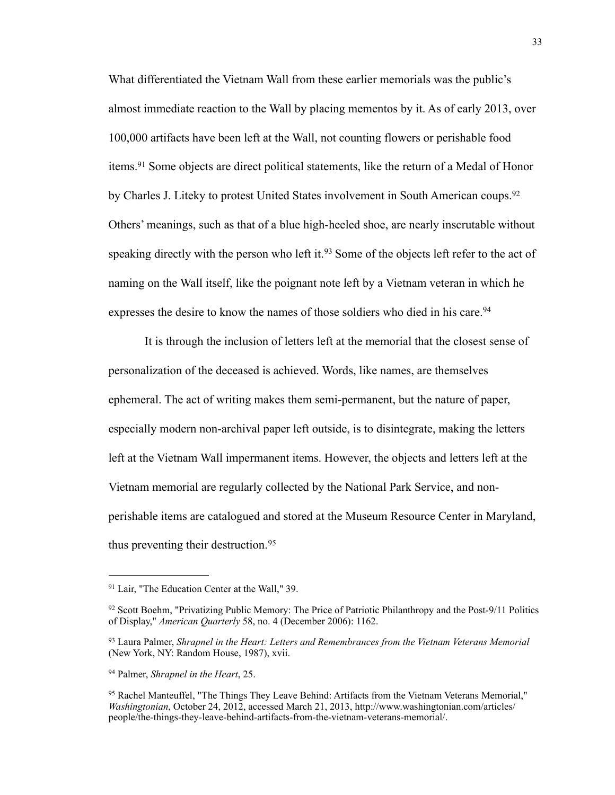What differentiated the Vietnam Wall from these earlier memorials was the public's almost immediate reaction to the Wall by placing mementos by it. As of early 2013, over 100,000 artifacts have been left at the Wall, not counting flowers or perishable food items.[91](#page-37-0) Some objects are direct political statements, like the return of a Medal of Honor by Charles J. Liteky to protest United States involvement in South American coups.<sup>[92](#page-37-1)</sup> Others' meanings, such as that of a blue high-heeled shoe, are nearly inscrutable without speaking directly with the person who left it.<sup>93</sup> Some of the objects left refer to the act of naming on the Wall itself, like the poignant note left by a Vietnam veteran in which he expresses the desire to know the names of those soldiers who died in his care.<sup>[94](#page-37-3)</sup>

 It is through the inclusion of letters left at the memorial that the closest sense of personalization of the deceased is achieved. Words, like names, are themselves ephemeral. The act of writing makes them semi-permanent, but the nature of paper, especially modern non-archival paper left outside, is to disintegrate, making the letters left at the Vietnam Wall impermanent items. However, the objects and letters left at the Vietnam memorial are regularly collected by the National Park Service, and nonperishable items are catalogued and stored at the Museum Resource Center in Maryland, thus preventing their destruction.<sup>[95](#page-37-4)</sup>

<span id="page-37-0"></span><sup>91</sup> Lair, "The Education Center at the Wall," 39.

<span id="page-37-1"></span><sup>92</sup> Scott Boehm, "Privatizing Public Memory: The Price of Patriotic Philanthropy and the Post-9/11 Politics of Display," *American Quarterly* 58, no. 4 (December 2006): 1162.

<span id="page-37-2"></span><sup>93</sup> Laura Palmer, *Shrapnel in the Heart: Letters and Remembrances from the Vietnam Veterans Memorial* (New York, NY: Random House, 1987), xvii.

<span id="page-37-3"></span><sup>94</sup> Palmer, *Shrapnel in the Heart*, 25.

<span id="page-37-4"></span><sup>95</sup> Rachel Manteuffel, "The Things They Leave Behind: Artifacts from the Vietnam Veterans Memorial," *Washingtonian*, October 24, 2012, accessed March 21, 2013, [http://www.washingtonian.com/articles/](http://www.washingtonian.com/articles/people/the-things-they-leave-behind-artifacts-from-the-vietnam-veterans-memorial/) [people/the-things-they-leave-behind-artifacts-from-the-vietnam-veterans-memorial/](http://www.washingtonian.com/articles/people/the-things-they-leave-behind-artifacts-from-the-vietnam-veterans-memorial/).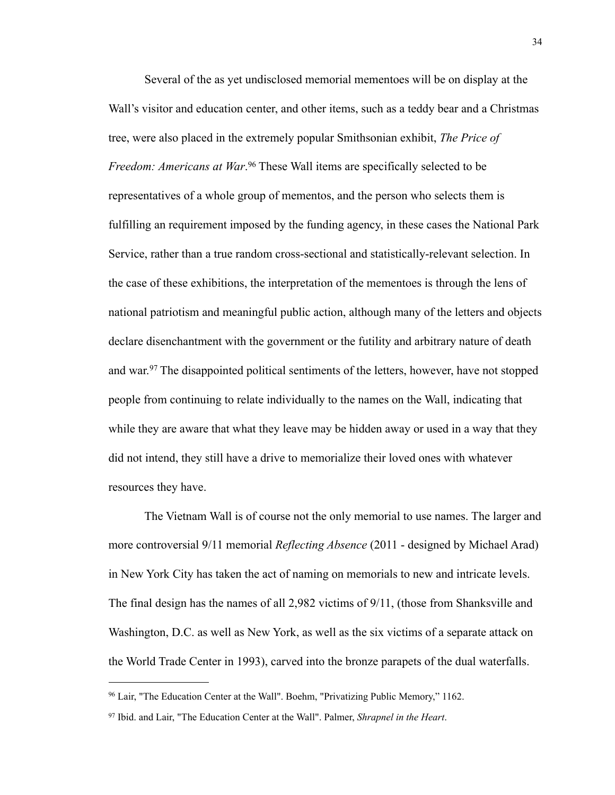Several of the as yet undisclosed memorial mementoes will be on display at the Wall's visitor and education center, and other items, such as a teddy bear and a Christmas tree, were also placed in the extremely popular Smithsonian exhibit, *The Price of Freedom: Americans at War*. [96](#page-38-0) These Wall items are specifically selected to be representatives of a whole group of mementos, and the person who selects them is fulfilling an requirement imposed by the funding agency, in these cases the National Park Service, rather than a true random cross-sectional and statistically-relevant selection. In the case of these exhibitions, the interpretation of the mementoes is through the lens of national patriotism and meaningful public action, although many of the letters and objects declare disenchantment with the government or the futility and arbitrary nature of death and war.<sup>97</sup> The disappointed political sentiments of the letters, however, have not stopped people from continuing to relate individually to the names on the Wall, indicating that while they are aware that what they leave may be hidden away or used in a way that they did not intend, they still have a drive to memorialize their loved ones with whatever resources they have.

 The Vietnam Wall is of course not the only memorial to use names. The larger and more controversial 9/11 memorial *Reflecting Absence* (2011 - designed by Michael Arad) in New York City has taken the act of naming on memorials to new and intricate levels. The final design has the names of all 2,982 victims of 9/11, (those from Shanksville and Washington, D.C. as well as New York, as well as the six victims of a separate attack on the World Trade Center in 1993), carved into the bronze parapets of the dual waterfalls.

<span id="page-38-0"></span><sup>96</sup> Lair, "The Education Center at the Wall". Boehm, "Privatizing Public Memory," 1162.

<span id="page-38-1"></span><sup>97</sup> Ibid. and Lair, "The Education Center at the Wall". Palmer, *Shrapnel in the Heart*.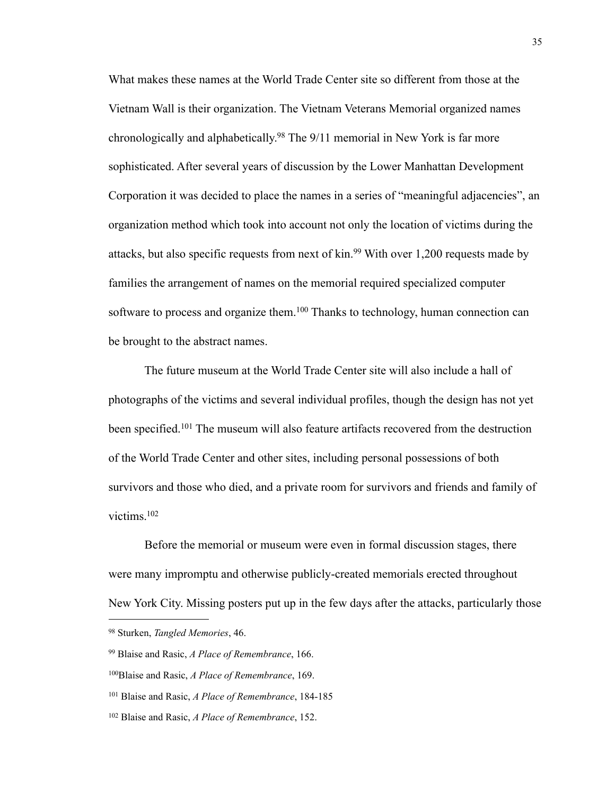What makes these names at the World Trade Center site so different from those at the Vietnam Wall is their organization. The Vietnam Veterans Memorial organized names chronologically and alphabetically[.98](#page-39-0) The 9/11 memorial in New York is far more sophisticated. After several years of discussion by the Lower Manhattan Development Corporation it was decided to place the names in a series of "meaningful adjacencies", an organization method which took into account not only the location of victims during the attacks, but also specific requests from next of kin.<sup>99</sup> With over 1,200 requests made by families the arrangement of names on the memorial required specialized computer software to process and organize them.<sup>100</sup> Thanks to technology, human connection can be brought to the abstract names.

 The future museum at the World Trade Center site will also include a hall of photographs of the victims and several individual profiles, though the design has not yet been specified.<sup>101</sup> The museum will also feature artifacts recovered from the destruction of the World Trade Center and other sites, including personal possessions of both survivors and those who died, and a private room for survivors and friends and family of victims[.102](#page-39-4)

 Before the memorial or museum were even in formal discussion stages, there were many impromptu and otherwise publicly-created memorials erected throughout New York City. Missing posters put up in the few days after the attacks, particularly those

<span id="page-39-0"></span><sup>98</sup> Sturken, *Tangled Memories*, 46.

<span id="page-39-1"></span><sup>99</sup> Blaise and Rasic, *A Place of Remembrance*, 166.

<span id="page-39-2"></span><sup>100</sup>Blaise and Rasic, *A Place of Remembrance*, 169.

<span id="page-39-3"></span><sup>101</sup> Blaise and Rasic, *A Place of Remembrance*, 184-185

<span id="page-39-4"></span><sup>102</sup> Blaise and Rasic, *A Place of Remembrance*, 152.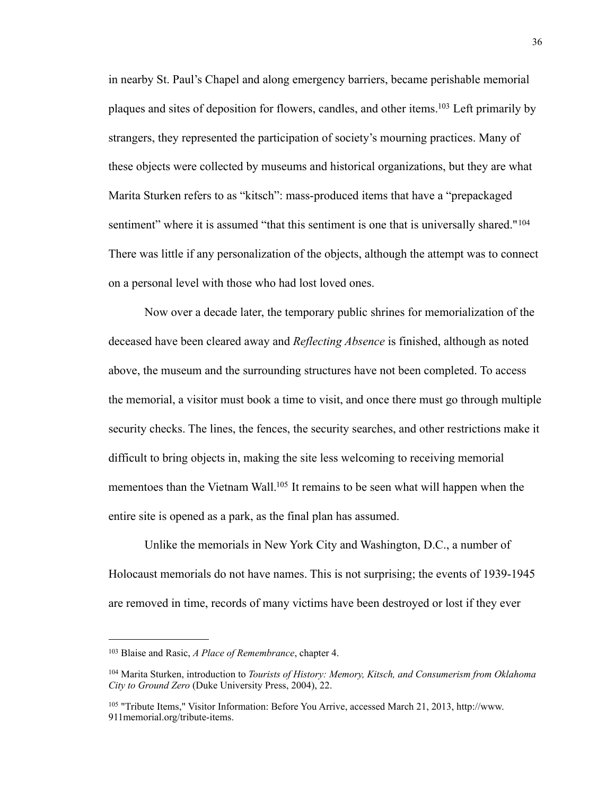in nearby St. Paul's Chapel and along emergency barriers, became perishable memorial plaques and sites of deposition for flowers, candles, and other items[.103](#page-40-0) Left primarily by strangers, they represented the participation of society's mourning practices. Many of these objects were collected by museums and historical organizations, but they are what Marita Sturken refers to as "kitsch": mass-produced items that have a "prepackaged sentiment" where it is assumed "that this sentiment is one that is universally shared."<sup>[104](#page-40-1)</sup> There was little if any personalization of the objects, although the attempt was to connect on a personal level with those who had lost loved ones.

 Now over a decade later, the temporary public shrines for memorialization of the deceased have been cleared away and *Reflecting Absence* is finished, although as noted above, the museum and the surrounding structures have not been completed. To access the memorial, a visitor must book a time to visit, and once there must go through multiple security checks. The lines, the fences, the security searches, and other restrictions make it difficult to bring objects in, making the site less welcoming to receiving memorial mementoes than the Vietnam Wall.<sup>105</sup> It remains to be seen what will happen when the entire site is opened as a park, as the final plan has assumed.

 Unlike the memorials in New York City and Washington, D.C., a number of Holocaust memorials do not have names. This is not surprising; the events of 1939-1945 are removed in time, records of many victims have been destroyed or lost if they ever

<span id="page-40-0"></span><sup>103</sup> Blaise and Rasic, *A Place of Remembrance*, chapter 4.

<span id="page-40-1"></span><sup>104</sup> Marita Sturken, introduction to *Tourists of History: Memory, Kitsch, and Consumerism from Oklahoma City to Ground Zero* (Duke University Press, 2004), 22.

<span id="page-40-2"></span><sup>105 &</sup>quot;Tribute Items," Visitor Information: Before You Arrive, accessed March 21, 2013, [http://www.](http://www.911memorial.org/tribute-items) [911memorial.org/tribute-items](http://www.911memorial.org/tribute-items).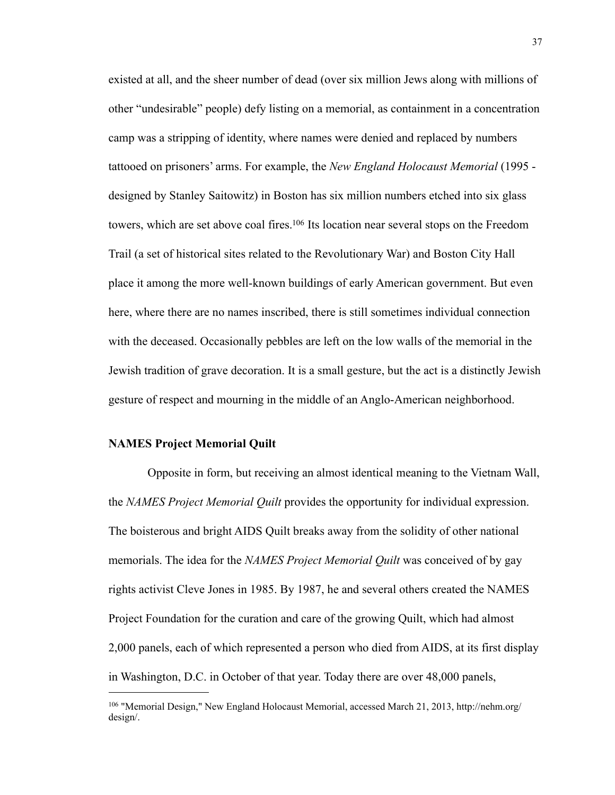existed at all, and the sheer number of dead (over six million Jews along with millions of other "undesirable" people) defy listing on a memorial, as containment in a concentration camp was a stripping of identity, where names were denied and replaced by numbers tattooed on prisoners' arms. For example, the *New England Holocaust Memorial* (1995 designed by Stanley Saitowitz) in Boston has six million numbers etched into six glass towers, which are set above coal fires.<sup>106</sup> Its location near several stops on the Freedom Trail (a set of historical sites related to the Revolutionary War) and Boston City Hall place it among the more well-known buildings of early American government. But even here, where there are no names inscribed, there is still sometimes individual connection with the deceased. Occasionally pebbles are left on the low walls of the memorial in the Jewish tradition of grave decoration. It is a small gesture, but the act is a distinctly Jewish gesture of respect and mourning in the middle of an Anglo-American neighborhood.

### **NAMES Project Memorial Quilt**

 Opposite in form, but receiving an almost identical meaning to the Vietnam Wall, the *NAMES Project Memorial Quilt* provides the opportunity for individual expression. The boisterous and bright AIDS Quilt breaks away from the solidity of other national memorials. The idea for the *NAMES Project Memorial Quilt* was conceived of by gay rights activist Cleve Jones in 1985. By 1987, he and several others created the NAMES Project Foundation for the curation and care of the growing Quilt, which had almost 2,000 panels, each of which represented a person who died from AIDS, at its first display in Washington, D.C. in October of that year. Today there are over 48,000 panels,

<span id="page-41-0"></span><sup>106</sup> "Memorial Design," New England Holocaust Memorial, accessed March 21, 2013, http://nehm.org/ design/.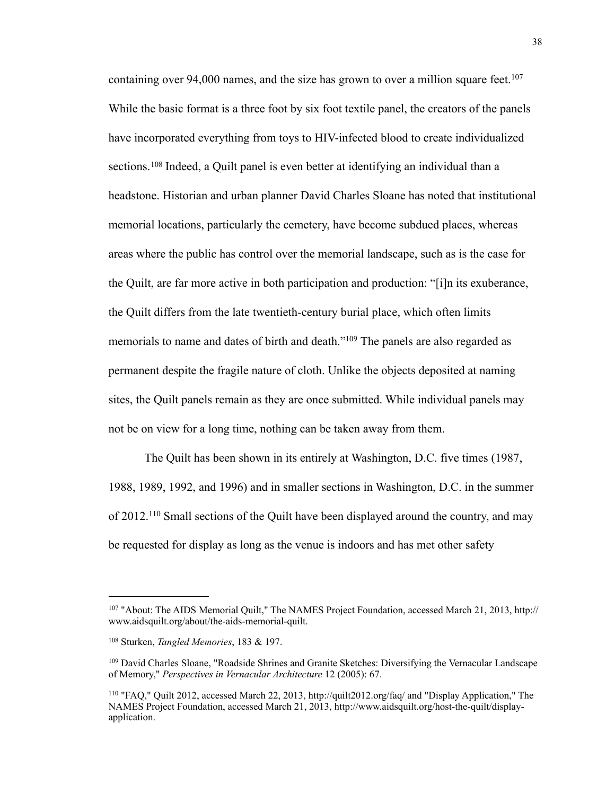containing over 94,000 names, and the size has grown to over a million square feet.<sup>[107](#page-42-0)</sup> While the basic format is a three foot by six foot textile panel, the creators of the panels have incorporated everything from toys to HIV-infected blood to create individualized sections.[108](#page-42-1) Indeed, a Quilt panel is even better at identifying an individual than a headstone. Historian and urban planner David Charles Sloane has noted that institutional memorial locations, particularly the cemetery, have become subdued places, whereas areas where the public has control over the memorial landscape, such as is the case for the Quilt, are far more active in both participation and production: "[i]n its exuberance, the Quilt differs from the late twentieth-century burial place, which often limits memorials to name and dates of birth and death.["109](#page-42-2) The panels are also regarded as permanent despite the fragile nature of cloth. Unlike the objects deposited at naming sites, the Quilt panels remain as they are once submitted. While individual panels may not be on view for a long time, nothing can be taken away from them.

 The Quilt has been shown in its entirely at Washington, D.C. five times (1987, 1988, 1989, 1992, and 1996) and in smaller sections in Washington, D.C. in the summer of 2012.[110](#page-42-3) Small sections of the Quilt have been displayed around the country, and may be requested for display as long as the venue is indoors and has met other safety

<span id="page-42-0"></span><sup>107 &</sup>quot;About: The AIDS Memorial Quilt," The NAMES Project Foundation, accessed March 21, 2013, http:// www.aidsquilt.org/about/the-aids-memorial-quilt.

<span id="page-42-1"></span><sup>108</sup> Sturken, *Tangled Memories*, 183 & 197.

<span id="page-42-2"></span><sup>109</sup> David Charles Sloane, "Roadside Shrines and Granite Sketches: Diversifying the Vernacular Landscape of Memory," *Perspectives in Vernacular Architecture* 12 (2005): 67.

<span id="page-42-3"></span><sup>110 &</sup>quot;FAQ," Quilt 2012, accessed March 22, 2013,<http://quilt2012.org/faq/> and "Display Application," The NAMES Project Foundation, accessed March 21, 2013, [http://www.aidsquilt.org/host-the-quilt/display](http://www.aidsquilt.org/host-the-quilt/display-application)[application](http://www.aidsquilt.org/host-the-quilt/display-application).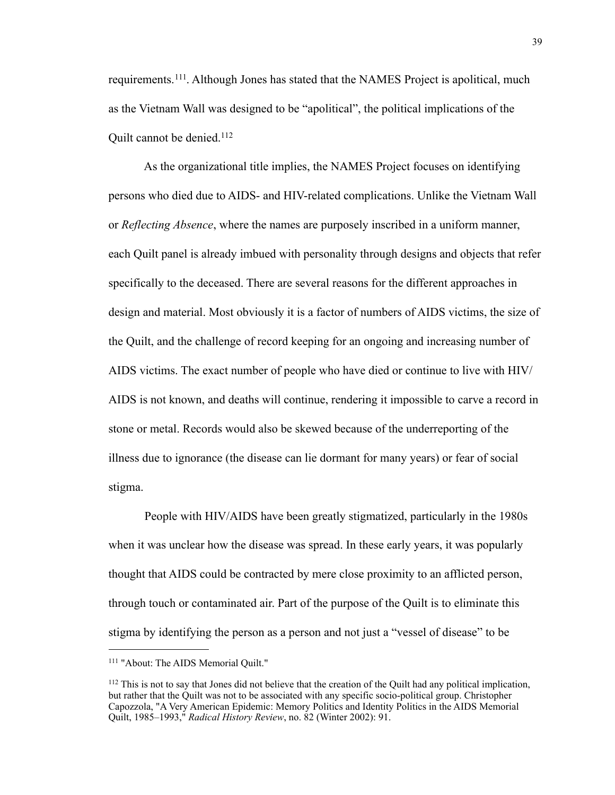requirements.[111.](#page-43-0) Although Jones has stated that the NAMES Project is apolitical, much as the Vietnam Wall was designed to be "apolitical", the political implications of the Quilt cannot be denied.<sup>[112](#page-43-1)</sup>

 As the organizational title implies, the NAMES Project focuses on identifying persons who died due to AIDS- and HIV-related complications. Unlike the Vietnam Wall or *Reflecting Absence*, where the names are purposely inscribed in a uniform manner, each Quilt panel is already imbued with personality through designs and objects that refer specifically to the deceased. There are several reasons for the different approaches in design and material. Most obviously it is a factor of numbers of AIDS victims, the size of the Quilt, and the challenge of record keeping for an ongoing and increasing number of AIDS victims. The exact number of people who have died or continue to live with HIV/ AIDS is not known, and deaths will continue, rendering it impossible to carve a record in stone or metal. Records would also be skewed because of the underreporting of the illness due to ignorance (the disease can lie dormant for many years) or fear of social stigma.

 People with HIV/AIDS have been greatly stigmatized, particularly in the 1980s when it was unclear how the disease was spread. In these early years, it was popularly thought that AIDS could be contracted by mere close proximity to an afflicted person, through touch or contaminated air. Part of the purpose of the Quilt is to eliminate this stigma by identifying the person as a person and not just a "vessel of disease" to be

<span id="page-43-0"></span><sup>111 &</sup>quot;About: The AIDS Memorial Quilt."

<span id="page-43-1"></span><sup>&</sup>lt;sup>112</sup> This is not to say that Jones did not believe that the creation of the Quilt had any political implication, but rather that the Quilt was not to be associated with any specific socio-political group. Christopher Capozzola, "A Very American Epidemic: Memory Politics and Identity Politics in the AIDS Memorial Quilt, 1985–1993," *Radical History Review*, no. 82 (Winter 2002): 91.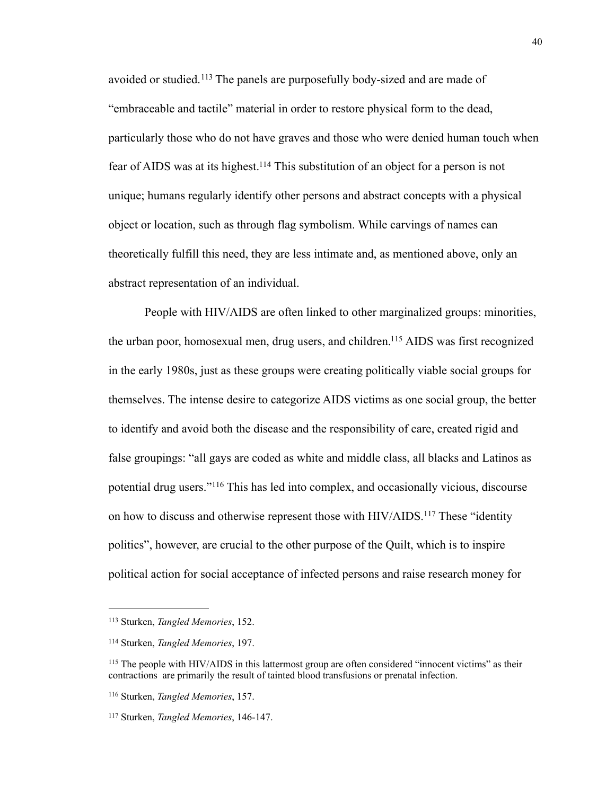avoided or studied.[113](#page-44-0) The panels are purposefully body-sized and are made of "embraceable and tactile" material in order to restore physical form to the dead, particularly those who do not have graves and those who were denied human touch when fear of AIDS was at its highest[.114](#page-44-1) This substitution of an object for a person is not unique; humans regularly identify other persons and abstract concepts with a physical object or location, such as through flag symbolism. While carvings of names can theoretically fulfill this need, they are less intimate and, as mentioned above, only an abstract representation of an individual.

 People with HIV/AIDS are often linked to other marginalized groups: minorities, the urban poor, homosexual men, drug users, and children[.115](#page-44-2) AIDS was first recognized in the early 1980s, just as these groups were creating politically viable social groups for themselves. The intense desire to categorize AIDS victims as one social group, the better to identify and avoid both the disease and the responsibility of care, created rigid and false groupings: "all gays are coded as white and middle class, all blacks and Latinos as potential drug users."[116](#page-44-3) This has led into complex, and occasionally vicious, discourse on how to discuss and otherwise represent those with HIV/AIDS.[117](#page-44-4) These "identity politics", however, are crucial to the other purpose of the Quilt, which is to inspire political action for social acceptance of infected persons and raise research money for

<span id="page-44-0"></span><sup>113</sup> Sturken, *Tangled Memories*, 152.

<span id="page-44-1"></span><sup>114</sup> Sturken, *Tangled Memories*, 197.

<span id="page-44-2"></span><sup>115</sup> The people with HIV/AIDS in this lattermost group are often considered "innocent victims" as their contractions are primarily the result of tainted blood transfusions or prenatal infection.

<span id="page-44-3"></span><sup>116</sup> Sturken, *Tangled Memories*, 157.

<span id="page-44-4"></span><sup>117</sup> Sturken, *Tangled Memories*, 146-147.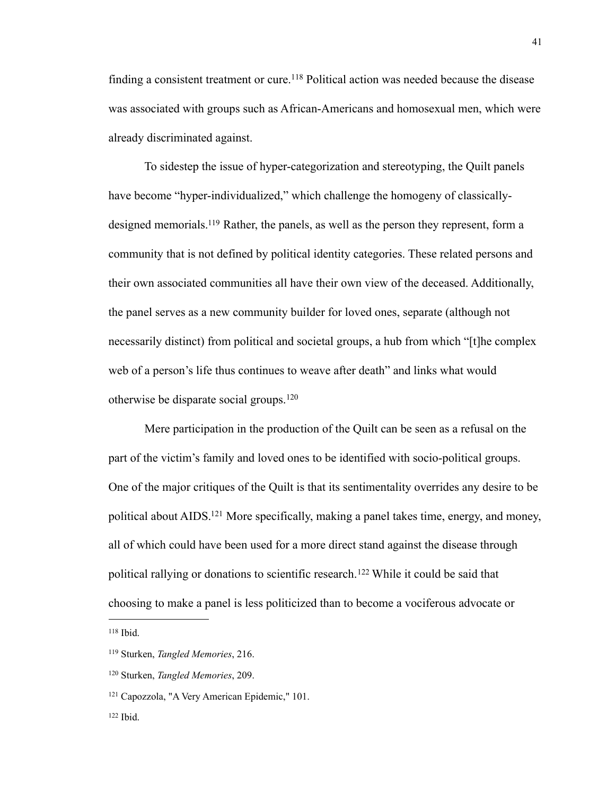finding a consistent treatment or cure.<sup>118</sup> Political action was needed because the disease was associated with groups such as African-Americans and homosexual men, which were already discriminated against.

 To sidestep the issue of hyper-categorization and stereotyping, the Quilt panels have become "hyper-individualized," which challenge the homogeny of classicallydesigned memorials[.119](#page-45-1) Rather, the panels, as well as the person they represent, form a community that is not defined by political identity categories. These related persons and their own associated communities all have their own view of the deceased. Additionally, the panel serves as a new community builder for loved ones, separate (although not necessarily distinct) from political and societal groups, a hub from which "[t]he complex web of a person's life thus continues to weave after death" and links what would otherwise be disparate social groups.[120](#page-45-2)

 Mere participation in the production of the Quilt can be seen as a refusal on the part of the victim's family and loved ones to be identified with socio-political groups. One of the major critiques of the Quilt is that its sentimentality overrides any desire to be political about AIDS[.121](#page-45-3) More specifically, making a panel takes time, energy, and money, all of which could have been used for a more direct stand against the disease through political rallying or donations to scientific research.<sup>122</sup> While it could be said that choosing to make a panel is less politicized than to become a vociferous advocate or

<span id="page-45-0"></span><sup>118</sup> Ibid.

<span id="page-45-1"></span><sup>119</sup> Sturken, *Tangled Memories*, 216.

<span id="page-45-2"></span><sup>120</sup> Sturken, *Tangled Memories*, 209.

<span id="page-45-3"></span><sup>121</sup> Capozzola, "A Very American Epidemic," 101.

<span id="page-45-4"></span> $122$  Ibid.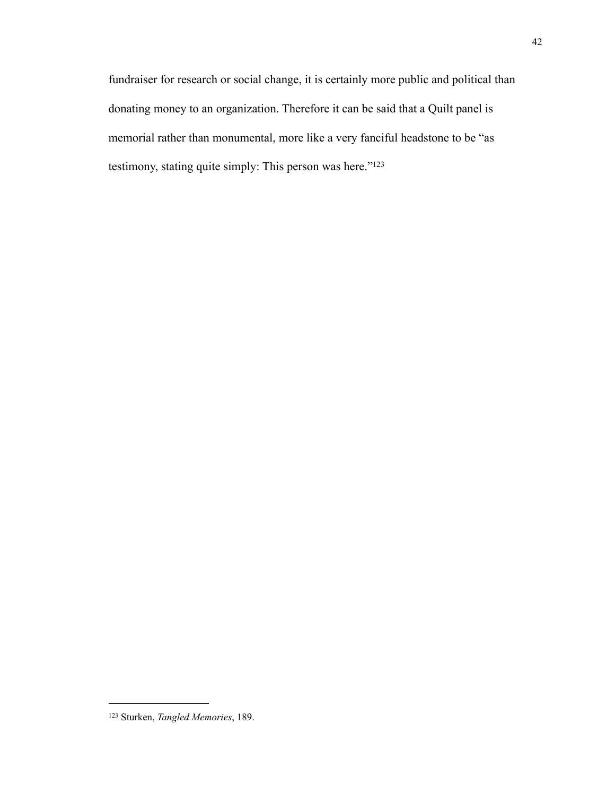fundraiser for research or social change, it is certainly more public and political than donating money to an organization. Therefore it can be said that a Quilt panel is memorial rather than monumental, more like a very fanciful headstone to be "as testimony, stating quite simply: This person was here."<sup>123</sup>

<span id="page-46-0"></span><sup>123</sup> Sturken, *Tangled Memories*, 189.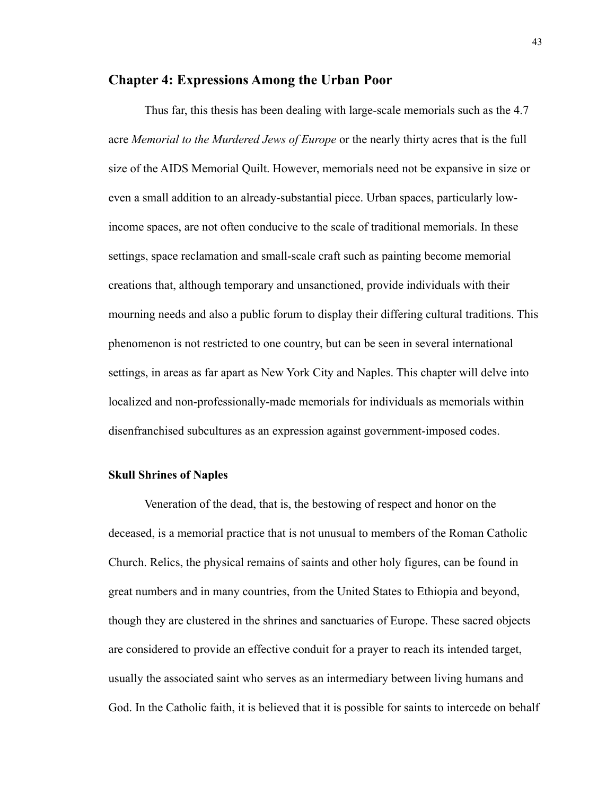## **Chapter 4: Expressions Among the Urban Poor**

 Thus far, this thesis has been dealing with large-scale memorials such as the 4.7 acre *Memorial to the Murdered Jews of Europe* or the nearly thirty acres that is the full size of the AIDS Memorial Quilt. However, memorials need not be expansive in size or even a small addition to an already-substantial piece. Urban spaces, particularly lowincome spaces, are not often conducive to the scale of traditional memorials. In these settings, space reclamation and small-scale craft such as painting become memorial creations that, although temporary and unsanctioned, provide individuals with their mourning needs and also a public forum to display their differing cultural traditions. This phenomenon is not restricted to one country, but can be seen in several international settings, in areas as far apart as New York City and Naples. This chapter will delve into localized and non-professionally-made memorials for individuals as memorials within disenfranchised subcultures as an expression against government-imposed codes.

## **Skull Shrines of Naples**

 Veneration of the dead, that is, the bestowing of respect and honor on the deceased, is a memorial practice that is not unusual to members of the Roman Catholic Church. Relics, the physical remains of saints and other holy figures, can be found in great numbers and in many countries, from the United States to Ethiopia and beyond, though they are clustered in the shrines and sanctuaries of Europe. These sacred objects are considered to provide an effective conduit for a prayer to reach its intended target, usually the associated saint who serves as an intermediary between living humans and God. In the Catholic faith, it is believed that it is possible for saints to intercede on behalf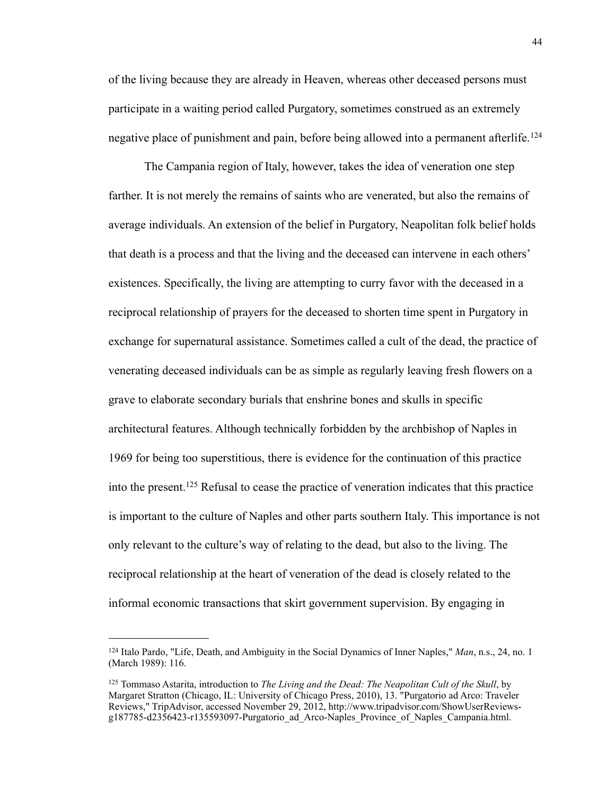of the living because they are already in Heaven, whereas other deceased persons must participate in a waiting period called Purgatory, sometimes construed as an extremely negative place of punishment and pain, before being allowed into a permanent afterlife.<sup>[124](#page-48-0)</sup>

 The Campania region of Italy, however, takes the idea of veneration one step farther. It is not merely the remains of saints who are venerated, but also the remains of average individuals. An extension of the belief in Purgatory, Neapolitan folk belief holds that death is a process and that the living and the deceased can intervene in each others' existences. Specifically, the living are attempting to curry favor with the deceased in a reciprocal relationship of prayers for the deceased to shorten time spent in Purgatory in exchange for supernatural assistance. Sometimes called a cult of the dead, the practice of venerating deceased individuals can be as simple as regularly leaving fresh flowers on a grave to elaborate secondary burials that enshrine bones and skulls in specific architectural features. Although technically forbidden by the archbishop of Naples in 1969 for being too superstitious, there is evidence for the continuation of this practice into the present.[125](#page-48-1) Refusal to cease the practice of veneration indicates that this practice is important to the culture of Naples and other parts southern Italy. This importance is not only relevant to the culture's way of relating to the dead, but also to the living. The reciprocal relationship at the heart of veneration of the dead is closely related to the informal economic transactions that skirt government supervision. By engaging in

<span id="page-48-0"></span><sup>124</sup> Italo Pardo, "Life, Death, and Ambiguity in the Social Dynamics of Inner Naples," *Man*, n.s., 24, no. 1 (March 1989): 116.

<span id="page-48-1"></span><sup>125</sup> Tommaso Astarita, introduction to *The Living and the Dead: The Neapolitan Cult of the Skull*, by Margaret Stratton (Chicago, IL: University of Chicago Press, 2010), 13. "Purgatorio ad Arco: Traveler Reviews," TripAdvisor, accessed November 29, 2012, [http://www.tripadvisor.com/ShowUserReviews](http://www.tripadvisor.com/ShowUserReviews-g187785-d2356423-r135593097-Purgatorio_ad_Arco-)[g187785-d2356423-r135593097-Purgatorio\\_ad\\_Arco-](http://www.tripadvisor.com/ShowUserReviews-g187785-d2356423-r135593097-Purgatorio_ad_Arco-)Naples\_Province\_of\_Naples\_Campania.html.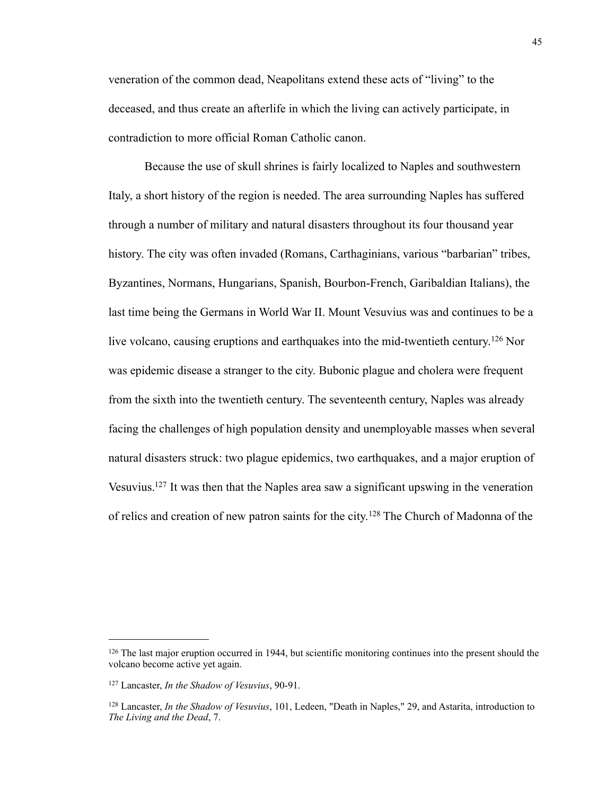veneration of the common dead, Neapolitans extend these acts of "living" to the deceased, and thus create an afterlife in which the living can actively participate, in contradiction to more official Roman Catholic canon.

 Because the use of skull shrines is fairly localized to Naples and southwestern Italy, a short history of the region is needed. The area surrounding Naples has suffered through a number of military and natural disasters throughout its four thousand year history. The city was often invaded (Romans, Carthaginians, various "barbarian" tribes, Byzantines, Normans, Hungarians, Spanish, Bourbon-French, Garibaldian Italians), the last time being the Germans in World War II. Mount Vesuvius was and continues to be a live volcano, causing eruptions and earthquakes into the mid-twentieth century.[126](#page-49-0) Nor was epidemic disease a stranger to the city. Bubonic plague and cholera were frequent from the sixth into the twentieth century. The seventeenth century, Naples was already facing the challenges of high population density and unemployable masses when several natural disasters struck: two plague epidemics, two earthquakes, and a major eruption of Vesuvius[.127](#page-49-1) It was then that the Naples area saw a significant upswing in the veneration of relics and creation of new patron saints for the city.<sup>128</sup> The Church of Madonna of the

<span id="page-49-0"></span><sup>&</sup>lt;sup>126</sup> The last major eruption occurred in 1944, but scientific monitoring continues into the present should the volcano become active yet again.

<span id="page-49-1"></span><sup>127</sup> Lancaster, *In the Shadow of Vesuvius*, 90-91.

<span id="page-49-2"></span><sup>128</sup> Lancaster, *In the Shadow of Vesuvius*, 101, Ledeen, "Death in Naples," 29, and Astarita, introduction to *The Living and the Dead*, 7.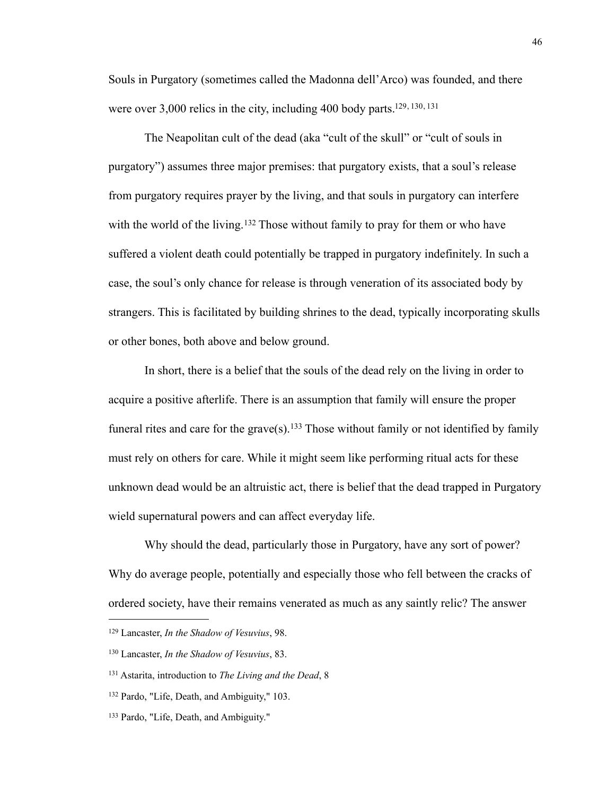Souls in Purgatory (sometimes called the Madonna dell'Arco) was founded, and there were over 3,000 relics in the city, including 400 body parts.<sup>129, [130](#page-50-1), [131](#page-50-2)</sup>

 The Neapolitan cult of the dead (aka "cult of the skull" or "cult of souls in purgatory") assumes three major premises: that purgatory exists, that a soul's release from purgatory requires prayer by the living, and that souls in purgatory can interfere with the world of the living.<sup>132</sup> Those without family to pray for them or who have suffered a violent death could potentially be trapped in purgatory indefinitely. In such a case, the soul's only chance for release is through veneration of its associated body by strangers. This is facilitated by building shrines to the dead, typically incorporating skulls or other bones, both above and below ground.

 In short, there is a belief that the souls of the dead rely on the living in order to acquire a positive afterlife. There is an assumption that family will ensure the proper funeral rites and care for the grave $(s)$ .<sup>133</sup> Those without family or not identified by family must rely on others for care. While it might seem like performing ritual acts for these unknown dead would be an altruistic act, there is belief that the dead trapped in Purgatory wield supernatural powers and can affect everyday life.

 Why should the dead, particularly those in Purgatory, have any sort of power? Why do average people, potentially and especially those who fell between the cracks of ordered society, have their remains venerated as much as any saintly relic? The answer

<span id="page-50-0"></span><sup>129</sup> Lancaster, *In the Shadow of Vesuvius*, 98.

<span id="page-50-1"></span><sup>130</sup> Lancaster, *In the Shadow of Vesuvius*, 83.

<span id="page-50-2"></span><sup>131</sup> Astarita, introduction to *The Living and the Dead*, 8

<span id="page-50-3"></span><sup>132</sup> Pardo, "Life, Death, and Ambiguity," 103.

<span id="page-50-4"></span><sup>133</sup> Pardo, "Life, Death, and Ambiguity."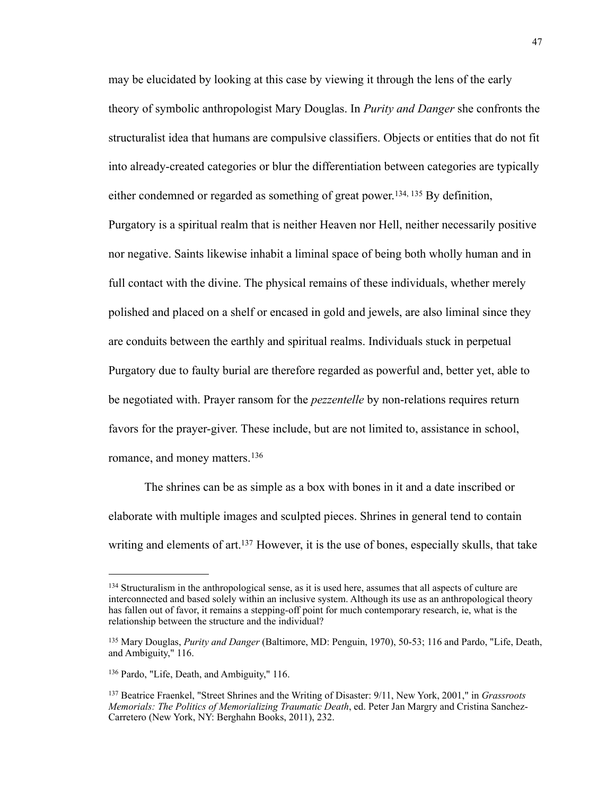may be elucidated by looking at this case by viewing it through the lens of the early theory of symbolic anthropologist Mary Douglas. In *Purity and Danger* she confronts the structuralist idea that humans are compulsive classifiers. Objects or entities that do not fit into already-created categories or blur the differentiation between categories are typically either condemned or regarded as something of great power.<sup>[134,](#page-51-0) 135</sup> By definition, Purgatory is a spiritual realm that is neither Heaven nor Hell, neither necessarily positive nor negative. Saints likewise inhabit a liminal space of being both wholly human and in full contact with the divine. The physical remains of these individuals, whether merely polished and placed on a shelf or encased in gold and jewels, are also liminal since they are conduits between the earthly and spiritual realms. Individuals stuck in perpetual Purgatory due to faulty burial are therefore regarded as powerful and, better yet, able to be negotiated with. Prayer ransom for the *pezzentelle* by non-relations requires return favors for the prayer-giver. These include, but are not limited to, assistance in school, romance, and money matters.<sup>[136](#page-51-2)</sup>

 The shrines can be as simple as a box with bones in it and a date inscribed or elaborate with multiple images and sculpted pieces. Shrines in general tend to contain writing and elements of art.<sup>137</sup> However, it is the use of bones, especially skulls, that take

<span id="page-51-0"></span><sup>&</sup>lt;sup>134</sup> Structuralism in the anthropological sense, as it is used here, assumes that all aspects of culture are interconnected and based solely within an inclusive system. Although its use as an anthropological theory has fallen out of favor, it remains a stepping-off point for much contemporary research, ie, what is the relationship between the structure and the individual?

<span id="page-51-1"></span><sup>135</sup> Mary Douglas, *Purity and Danger* (Baltimore, MD: Penguin, 1970), 50-53; 116 and Pardo, "Life, Death, and Ambiguity," 116.

<span id="page-51-2"></span><sup>136</sup> Pardo, "Life, Death, and Ambiguity," 116.

<span id="page-51-3"></span><sup>137</sup> Beatrice Fraenkel, "Street Shrines and the Writing of Disaster: 9/11, New York, 2001," in *Grassroots Memorials: The Politics of Memorializing Traumatic Death*, ed. Peter Jan Margry and Cristina Sanchez-Carretero (New York, NY: Berghahn Books, 2011), 232.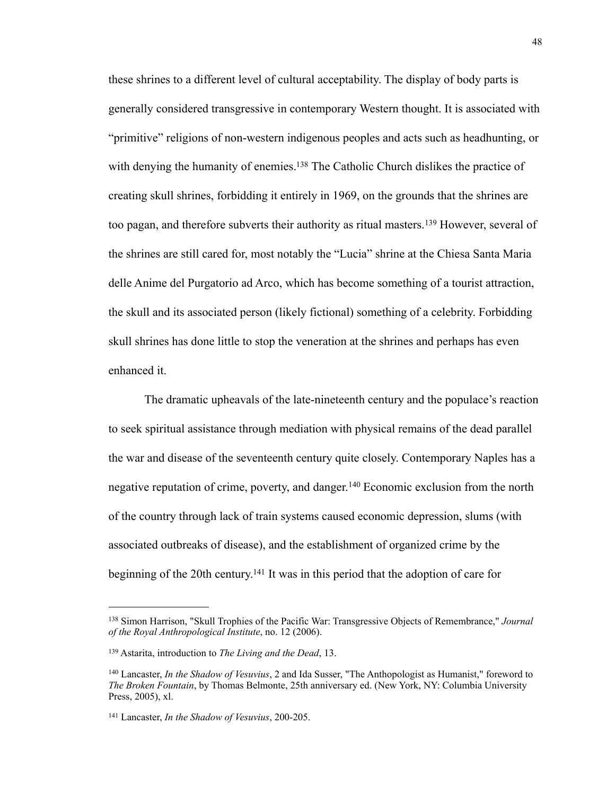these shrines to a different level of cultural acceptability. The display of body parts is generally considered transgressive in contemporary Western thought. It is associated with "primitive" religions of non-western indigenous peoples and acts such as headhunting, or with denying the humanity of enemies.<sup>138</sup> The Catholic Church dislikes the practice of creating skull shrines, forbidding it entirely in 1969, on the grounds that the shrines are too pagan, and therefore subverts their authority as ritual masters.<sup>139</sup> However, several of the shrines are still cared for, most notably the "Lucia" shrine at the Chiesa Santa Maria delle Anime del Purgatorio ad Arco, which has become something of a tourist attraction, the skull and its associated person (likely fictional) something of a celebrity. Forbidding skull shrines has done little to stop the veneration at the shrines and perhaps has even enhanced it.

 The dramatic upheavals of the late-nineteenth century and the populace's reaction to seek spiritual assistance through mediation with physical remains of the dead parallel the war and disease of the seventeenth century quite closely. Contemporary Naples has a negative reputation of crime, poverty, and danger.<sup>140</sup> Economic exclusion from the north of the country through lack of train systems caused economic depression, slums (with associated outbreaks of disease), and the establishment of organized crime by the beginning of the 20th century.<sup>141</sup> It was in this period that the adoption of care for

<span id="page-52-0"></span><sup>138</sup> Simon Harrison, "Skull Trophies of the Pacific War: Transgressive Objects of Remembrance," *Journal of the Royal Anthropological Institute*, no. 12 (2006).

<span id="page-52-1"></span><sup>139</sup> Astarita, introduction to *The Living and the Dead*, 13.

<span id="page-52-2"></span><sup>140</sup> Lancaster, *In the Shadow of Vesuvius*, 2 and Ida Susser, "The Anthopologist as Humanist," foreword to *The Broken Fountain*, by Thomas Belmonte, 25th anniversary ed. (New York, NY: Columbia University Press, 2005), xl.

<span id="page-52-3"></span><sup>141</sup> Lancaster, *In the Shadow of Vesuvius*, 200-205.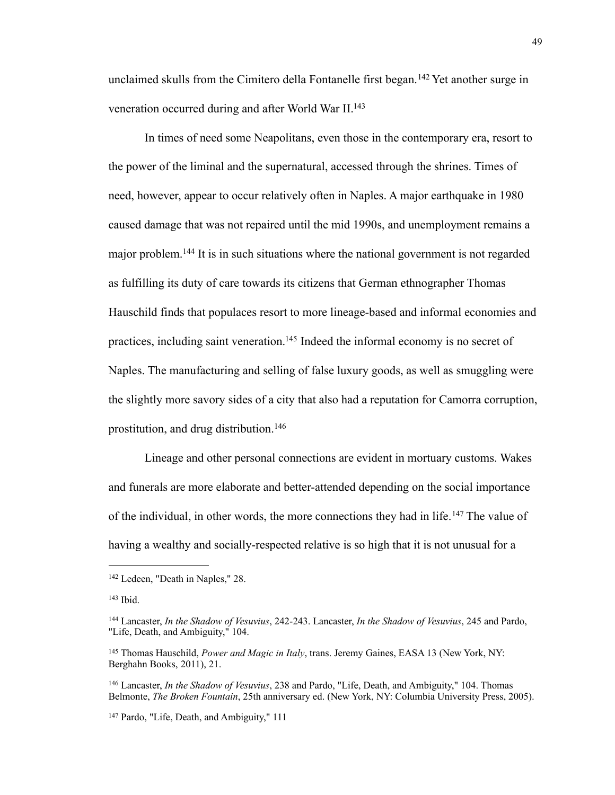unclaimed skulls from the Cimitero della Fontanelle first began.<sup>142</sup> Yet another surge in veneration occurred during and after World War II[.143](#page-53-1)

 In times of need some Neapolitans, even those in the contemporary era, resort to the power of the liminal and the supernatural, accessed through the shrines. Times of need, however, appear to occur relatively often in Naples. A major earthquake in 1980 caused damage that was not repaired until the mid 1990s, and unemployment remains a major problem.[144](#page-53-2) It is in such situations where the national government is not regarded as fulfilling its duty of care towards its citizens that German ethnographer Thomas Hauschild finds that populaces resort to more lineage-based and informal economies and practices, including saint veneration.<sup>145</sup> Indeed the informal economy is no secret of Naples. The manufacturing and selling of false luxury goods, as well as smuggling were the slightly more savory sides of a city that also had a reputation for Camorra corruption, prostitution, and drug distribution.[146](#page-53-4)

 Lineage and other personal connections are evident in mortuary customs. Wakes and funerals are more elaborate and better-attended depending on the social importance of the individual, in other words, the more connections they had in life.[147](#page-53-5) The value of having a wealthy and socially-respected relative is so high that it is not unusual for a

<span id="page-53-0"></span><sup>142</sup> Ledeen, "Death in Naples," 28.

<span id="page-53-1"></span> $143$  Ibid.

<span id="page-53-2"></span><sup>144</sup> Lancaster, *In the Shadow of Vesuvius*, 242-243. Lancaster, *In the Shadow of Vesuvius*, 245 and Pardo, "Life, Death, and Ambiguity," 104.

<span id="page-53-3"></span><sup>145</sup> Thomas Hauschild, *Power and Magic in Italy*, trans. Jeremy Gaines, EASA 13 (New York, NY: Berghahn Books, 2011), 21.

<span id="page-53-4"></span><sup>146</sup> Lancaster, *In the Shadow of Vesuvius*, 238 and Pardo, "Life, Death, and Ambiguity," 104. Thomas Belmonte, *The Broken Fountain*, 25th anniversary ed. (New York, NY: Columbia University Press, 2005).

<span id="page-53-5"></span><sup>147</sup> Pardo, "Life, Death, and Ambiguity," 111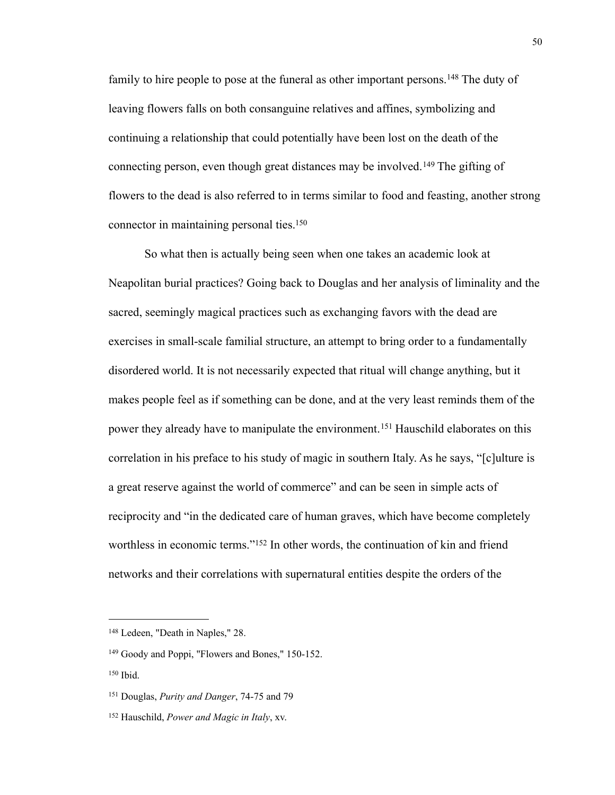family to hire people to pose at the funeral as other important persons.<sup>148</sup> The duty of leaving flowers falls on both consanguine relatives and affines, symbolizing and continuing a relationship that could potentially have been lost on the death of the connecting person, even though great distances may be involved.[149](#page-54-1) The gifting of flowers to the dead is also referred to in terms similar to food and feasting, another strong connector in maintaining personal ties.<sup>150</sup>

 So what then is actually being seen when one takes an academic look at Neapolitan burial practices? Going back to Douglas and her analysis of liminality and the sacred, seemingly magical practices such as exchanging favors with the dead are exercises in small-scale familial structure, an attempt to bring order to a fundamentally disordered world. It is not necessarily expected that ritual will change anything, but it makes people feel as if something can be done, and at the very least reminds them of the power they already have to manipulate the environment.<sup>151</sup> Hauschild elaborates on this correlation in his preface to his study of magic in southern Italy. As he says, "[c]ulture is a great reserve against the world of commerce" and can be seen in simple acts of reciprocity and "in the dedicated care of human graves, which have become completely worthless in economic terms."<sup>152</sup> In other words, the continuation of kin and friend networks and their correlations with supernatural entities despite the orders of the

<span id="page-54-0"></span><sup>148</sup> Ledeen, "Death in Naples," 28.

<span id="page-54-1"></span><sup>149</sup> Goody and Poppi, "Flowers and Bones," 150-152.

<span id="page-54-2"></span><sup>150</sup> Ibid.

<span id="page-54-3"></span><sup>151</sup> Douglas, *Purity and Danger*, 74-75 and 79

<span id="page-54-4"></span><sup>152</sup> Hauschild, *Power and Magic in Italy*, xv.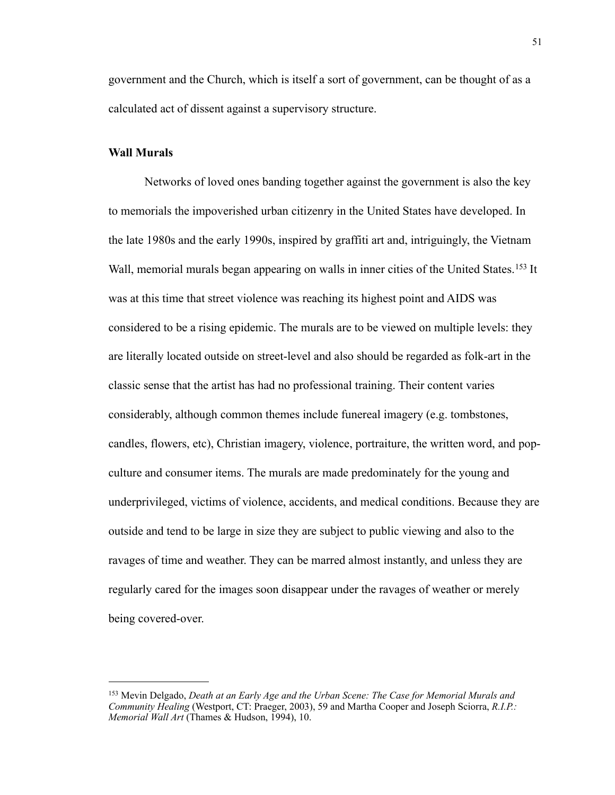government and the Church, which is itself a sort of government, can be thought of as a calculated act of dissent against a supervisory structure.

#### **Wall Murals**

 Networks of loved ones banding together against the government is also the key to memorials the impoverished urban citizenry in the United States have developed. In the late 1980s and the early 1990s, inspired by graffiti art and, intriguingly, the Vietnam Wall, memorial murals began appearing on walls in inner cities of the United States.<sup>153</sup> It was at this time that street violence was reaching its highest point and AIDS was considered to be a rising epidemic. The murals are to be viewed on multiple levels: they are literally located outside on street-level and also should be regarded as folk-art in the classic sense that the artist has had no professional training. Their content varies considerably, although common themes include funereal imagery (e.g. tombstones, candles, flowers, etc), Christian imagery, violence, portraiture, the written word, and popculture and consumer items. The murals are made predominately for the young and underprivileged, victims of violence, accidents, and medical conditions. Because they are outside and tend to be large in size they are subject to public viewing and also to the ravages of time and weather. They can be marred almost instantly, and unless they are regularly cared for the images soon disappear under the ravages of weather or merely being covered-over.

<span id="page-55-0"></span><sup>153</sup> Mevin Delgado, *Death at an Early Age and the Urban Scene: The Case for Memorial Murals and Community Healing* (Westport, CT: Praeger, 2003), 59 and Martha Cooper and Joseph Sciorra, *R.I.P.: Memorial Wall Art* (Thames & Hudson, 1994), 10.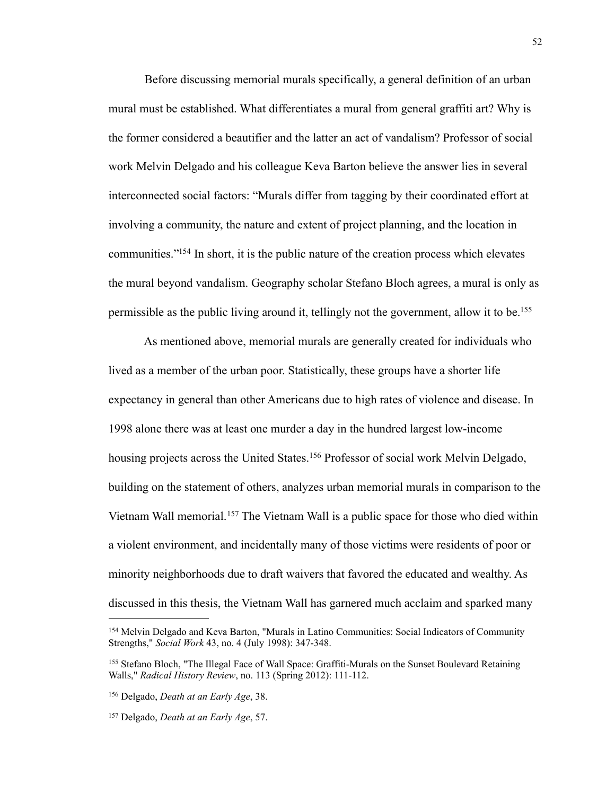Before discussing memorial murals specifically, a general definition of an urban mural must be established. What differentiates a mural from general graffiti art? Why is the former considered a beautifier and the latter an act of vandalism? Professor of social work Melvin Delgado and his colleague Keva Barton believe the answer lies in several interconnected social factors: "Murals differ from tagging by their coordinated effort at involving a community, the nature and extent of project planning, and the location in communities.["154](#page-56-0) In short, it is the public nature of the creation process which elevates the mural beyond vandalism. Geography scholar Stefano Bloch agrees, a mural is only as permissible as the public living around it, tellingly not the government, allow it to be[.155](#page-56-1)

 As mentioned above, memorial murals are generally created for individuals who lived as a member of the urban poor. Statistically, these groups have a shorter life expectancy in general than other Americans due to high rates of violence and disease. In 1998 alone there was at least one murder a day in the hundred largest low-income housing projects across the United States.<sup>156</sup> Professor of social work Melvin Delgado, building on the statement of others, analyzes urban memorial murals in comparison to the Vietnam Wall memorial.[157](#page-56-3) The Vietnam Wall is a public space for those who died within a violent environment, and incidentally many of those victims were residents of poor or minority neighborhoods due to draft waivers that favored the educated and wealthy. As discussed in this thesis, the Vietnam Wall has garnered much acclaim and sparked many

<span id="page-56-0"></span><sup>154</sup> Melvin Delgado and Keva Barton, "Murals in Latino Communities: Social Indicators of Community Strengths," *Social Work* 43, no. 4 (July 1998): 347-348.

<span id="page-56-1"></span><sup>155</sup> Stefano Bloch, "The Illegal Face of Wall Space: Graffiti-Murals on the Sunset Boulevard Retaining Walls," *Radical History Review*, no. 113 (Spring 2012): 111-112.

<span id="page-56-2"></span><sup>156</sup> Delgado, *Death at an Early Age*, 38.

<span id="page-56-3"></span><sup>157</sup> Delgado, *Death at an Early Age*, 57.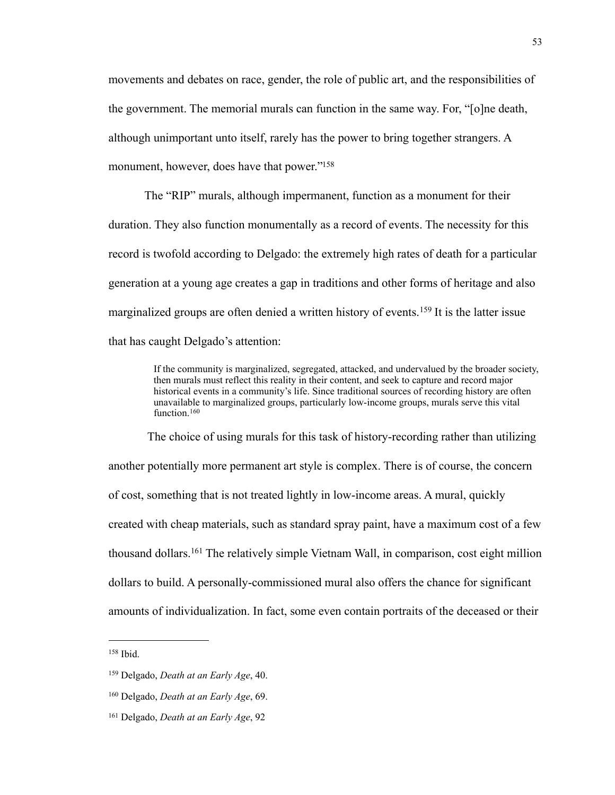movements and debates on race, gender, the role of public art, and the responsibilities of the government. The memorial murals can function in the same way. For, "[o]ne death, although unimportant unto itself, rarely has the power to bring together strangers. A monument, however, does have that power.["158](#page-57-0)

 The "RIP" murals, although impermanent, function as a monument for their duration. They also function monumentally as a record of events. The necessity for this record is twofold according to Delgado: the extremely high rates of death for a particular generation at a young age creates a gap in traditions and other forms of heritage and also marginalized groups are often denied a written history of events.<sup>159</sup> It is the latter issue that has caught Delgado's attention:

> If the community is marginalized, segregated, attacked, and undervalued by the broader society, then murals must reflect this reality in their content, and seek to capture and record major historical events in a community's life. Since traditional sources of recording history are often unavailable to marginalized groups, particularly low-income groups, murals serve this vital function.<sup>[160](#page-57-2)</sup>

 The choice of using murals for this task of history-recording rather than utilizing another potentially more permanent art style is complex. There is of course, the concern of cost, something that is not treated lightly in low-income areas. A mural, quickly created with cheap materials, such as standard spray paint, have a maximum cost of a few thousand dollars.[161](#page-57-3) The relatively simple Vietnam Wall, in comparison, cost eight million dollars to build. A personally-commissioned mural also offers the chance for significant amounts of individualization. In fact, some even contain portraits of the deceased or their

<span id="page-57-0"></span><sup>158</sup> Ibid.

<span id="page-57-1"></span><sup>159</sup> Delgado, *Death at an Early Age*, 40.

<span id="page-57-2"></span><sup>160</sup> Delgado, *Death at an Early Age*, 69.

<span id="page-57-3"></span><sup>161</sup> Delgado, *Death at an Early Age*, 92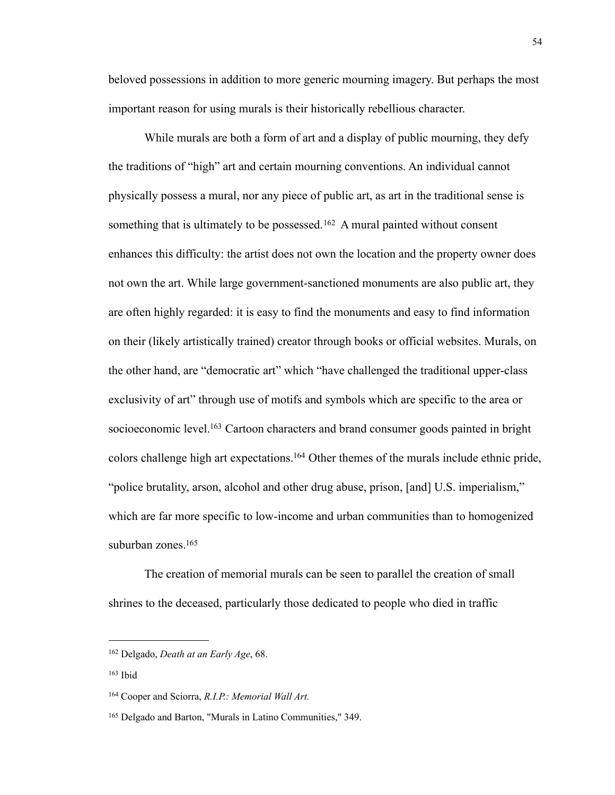beloved possessions in addition to more generic mourning imagery. But perhaps the most important reason for using murals is their historically rebellious character.

 While murals are both a form of art and a display of public mourning, they defy the traditions of "high" art and certain mourning conventions. An individual cannot physically possess a mural, nor any piece of public art, as art in the traditional sense is something that is ultimately to be possessed.<sup>162</sup> A mural painted without consent enhances this difficulty: the artist does not own the location and the property owner does not own the art. While large government-sanctioned monuments are also public art, they are often highly regarded: it is easy to find the monuments and easy to find information on their (likely artistically trained) creator through books or official websites. Murals, on the other hand, are "democratic art" which "have challenged the traditional upper-class exclusivity of art" through use of motifs and symbols which are specific to the area or socioeconomic level.<sup>163</sup> Cartoon characters and brand consumer goods painted in bright colors challenge high art expectations[.164](#page-58-2) Other themes of the murals include ethnic pride, "police brutality, arson, alcohol and other drug abuse, prison, [and] U.S. imperialism," which are far more specific to low-income and urban communities than to homogenized suburban zones.<sup>165</sup>

 The creation of memorial murals can be seen to parallel the creation of small shrines to the deceased, particularly those dedicated to people who died in traffic

<span id="page-58-0"></span><sup>162</sup> Delgado, *Death at an Early Age*, 68.

<span id="page-58-1"></span><sup>163</sup> Ibid

<span id="page-58-2"></span><sup>164</sup> Cooper and Sciorra, *R.I.P.: Memorial Wall Art.*

<span id="page-58-3"></span><sup>165</sup> Delgado and Barton, "Murals in Latino Communities," 349.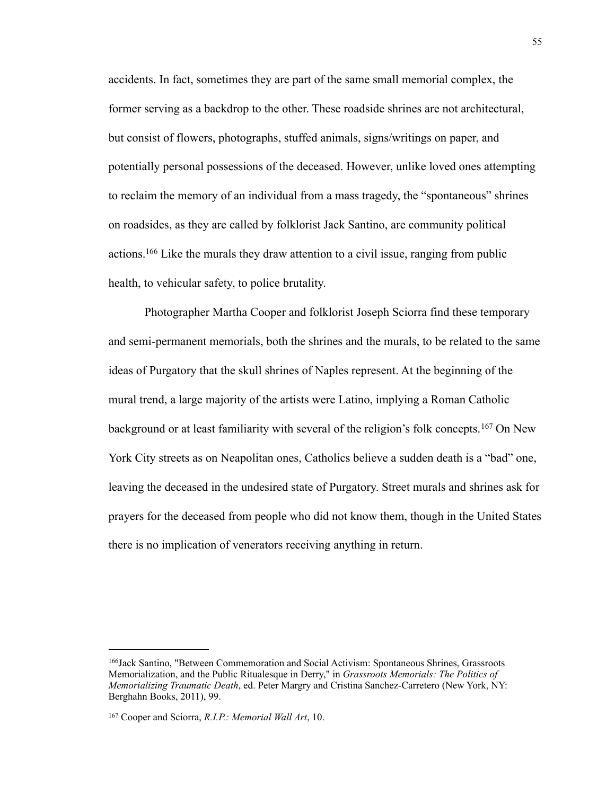accidents. In fact, sometimes they are part of the same small memorial complex, the former serving as a backdrop to the other. These roadside shrines are not architectural, but consist of flowers, photographs, stuffed animals, signs/writings on paper, and potentially personal possessions of the deceased. However, unlike loved ones attempting to reclaim the memory of an individual from a mass tragedy, the "spontaneous" shrines on roadsides, as they are called by folklorist Jack Santino, are community political actions.[166](#page-59-0) Like the murals they draw attention to a civil issue, ranging from public health, to vehicular safety, to police brutality.

 Photographer Martha Cooper and folklorist Joseph Sciorra find these temporary and semi-permanent memorials, both the shrines and the murals, to be related to the same ideas of Purgatory that the skull shrines of Naples represent. At the beginning of the mural trend, a large majority of the artists were Latino, implying a Roman Catholic background or at least familiarity with several of the religion's folk concepts.[167](#page-59-1) On New York City streets as on Neapolitan ones, Catholics believe a sudden death is a "bad" one, leaving the deceased in the undesired state of Purgatory. Street murals and shrines ask for prayers for the deceased from people who did not know them, though in the United States there is no implication of venerators receiving anything in return.

<span id="page-59-0"></span><sup>166</sup>Jack Santino, "Between Commemoration and Social Activism: Spontaneous Shrines, Grassroots Memorialization, and the Public Ritualesque in Derry," in *Grassroots Memorials: The Politics of Memorializing Traumatic Death*, ed. Peter Margry and Cristina Sanchez-Carretero (New York, NY: Berghahn Books, 2011), 99.

<span id="page-59-1"></span><sup>167</sup> Cooper and Sciorra, *R.I.P.: Memorial Wall Art*, 10.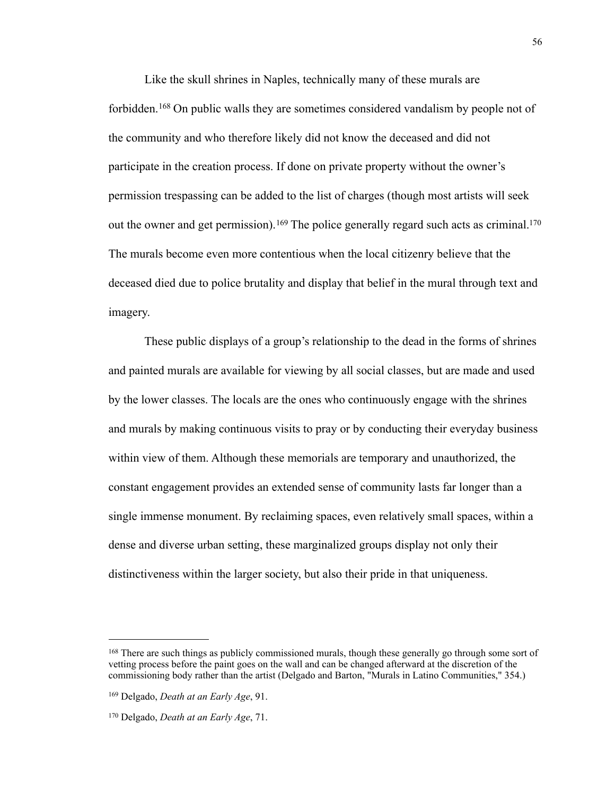Like the skull shrines in Naples, technically many of these murals are forbidden.[168](#page-60-0) On public walls they are sometimes considered vandalism by people not of the community and who therefore likely did not know the deceased and did not participate in the creation process. If done on private property without the owner's permission trespassing can be added to the list of charges (though most artists will seek out the owner and get permission).<sup>169</sup> The police generally regard such acts as criminal.<sup>170</sup> The murals become even more contentious when the local citizenry believe that the deceased died due to police brutality and display that belief in the mural through text and imagery.

 These public displays of a group's relationship to the dead in the forms of shrines and painted murals are available for viewing by all social classes, but are made and used by the lower classes. The locals are the ones who continuously engage with the shrines and murals by making continuous visits to pray or by conducting their everyday business within view of them. Although these memorials are temporary and unauthorized, the constant engagement provides an extended sense of community lasts far longer than a single immense monument. By reclaiming spaces, even relatively small spaces, within a dense and diverse urban setting, these marginalized groups display not only their distinctiveness within the larger society, but also their pride in that uniqueness.

<span id="page-60-0"></span><sup>&</sup>lt;sup>168</sup> There are such things as publicly commissioned murals, though these generally go through some sort of vetting process before the paint goes on the wall and can be changed afterward at the discretion of the commissioning body rather than the artist (Delgado and Barton, "Murals in Latino Communities," 354.)

<span id="page-60-1"></span><sup>169</sup> Delgado, *Death at an Early Age*, 91.

<span id="page-60-2"></span><sup>170</sup> Delgado, *Death at an Early Age*, 71.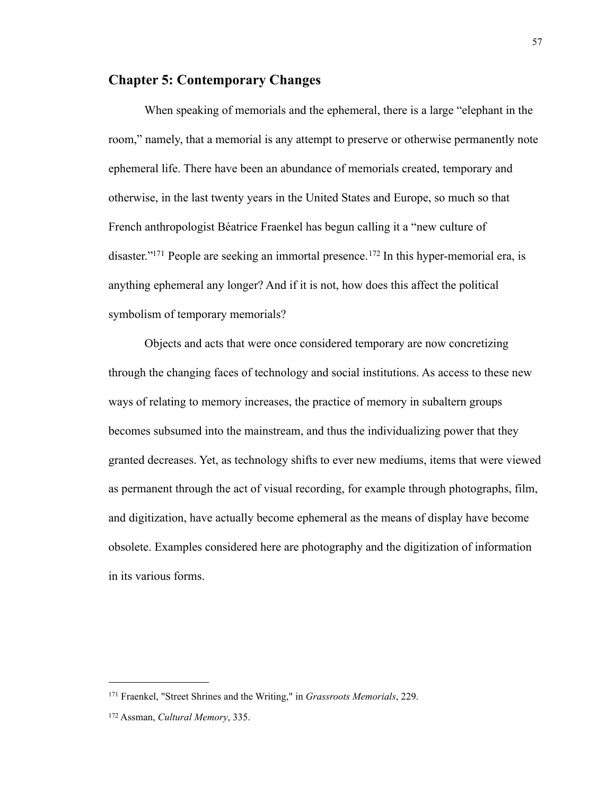# **Chapter 5: Contemporary Changes**

 When speaking of memorials and the ephemeral, there is a large "elephant in the room," namely, that a memorial is any attempt to preserve or otherwise permanently note ephemeral life. There have been an abundance of memorials created, temporary and otherwise, in the last twenty years in the United States and Europe, so much so that French anthropologist Béatrice Fraenkel has begun calling it a "new culture of disaster."<sup>171</sup> People are seeking an immortal presence.<sup>172</sup> In this hyper-memorial era, is anything ephemeral any longer? And if it is not, how does this affect the political symbolism of temporary memorials?

 Objects and acts that were once considered temporary are now concretizing through the changing faces of technology and social institutions. As access to these new ways of relating to memory increases, the practice of memory in subaltern groups becomes subsumed into the mainstream, and thus the individualizing power that they granted decreases. Yet, as technology shifts to ever new mediums, items that were viewed as permanent through the act of visual recording, for example through photographs, film, and digitization, have actually become ephemeral as the means of display have become obsolete. Examples considered here are photography and the digitization of information in its various forms.

<span id="page-61-0"></span><sup>171</sup> Fraenkel, "Street Shrines and the Writing," in *Grassroots Memorials*, 229.

<span id="page-61-1"></span><sup>172</sup> Assman, *Cultural Memory*, 335.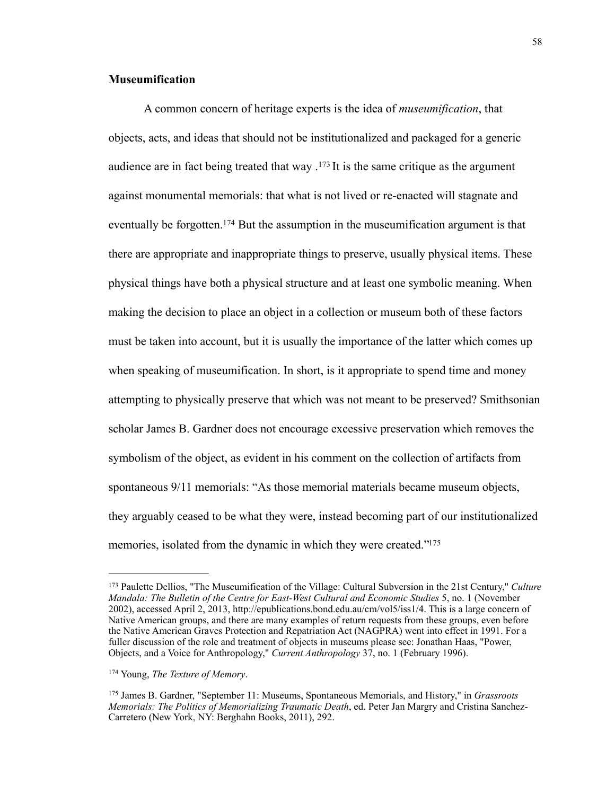# **Museumification**

 A common concern of heritage experts is the idea of *museumification*, that objects, acts, and ideas that should not be institutionalized and packaged for a generic audience are in fact being treated that way  $1^{173}$  $1^{173}$  $1^{173}$  It is the same critique as the argument against monumental memorials: that what is not lived or re-enacted will stagnate and eventually be forgotten.<sup>174</sup> But the assumption in the museumification argument is that there are appropriate and inappropriate things to preserve, usually physical items. These physical things have both a physical structure and at least one symbolic meaning. When making the decision to place an object in a collection or museum both of these factors must be taken into account, but it is usually the importance of the latter which comes up when speaking of museumification. In short, is it appropriate to spend time and money attempting to physically preserve that which was not meant to be preserved? Smithsonian scholar James B. Gardner does not encourage excessive preservation which removes the symbolism of the object, as evident in his comment on the collection of artifacts from spontaneous 9/11 memorials: "As those memorial materials became museum objects, they arguably ceased to be what they were, instead becoming part of our institutionalized memories, isolated from the dynamic in which they were created."<sup>175</sup>

<span id="page-62-0"></span><sup>173</sup> Paulette Dellios, "The Museumification of the Village: Cultural Subversion in the 21st Century," *Culture Mandala: The Bulletin of the Centre for East-West Cultural and Economic Studies* 5, no. 1 (November 2002), accessed April 2, 2013, <http://epublications.bond.edu.au/cm/vol5/iss1/4>. This is a large concern of Native American groups, and there are many examples of return requests from these groups, even before the Native American Graves Protection and Repatriation Act (NAGPRA) went into effect in 1991. For a fuller discussion of the role and treatment of objects in museums please see: Jonathan Haas, "Power, Objects, and a Voice for Anthropology," *Current Anthropology* 37, no. 1 (February 1996).

<span id="page-62-1"></span><sup>174</sup> Young, *The Texture of Memory*.

<span id="page-62-2"></span><sup>175</sup> James B. Gardner, "September 11: Museums, Spontaneous Memorials, and History," in *Grassroots Memorials: The Politics of Memorializing Traumatic Death*, ed. Peter Jan Margry and Cristina Sanchez-Carretero (New York, NY: Berghahn Books, 2011), 292.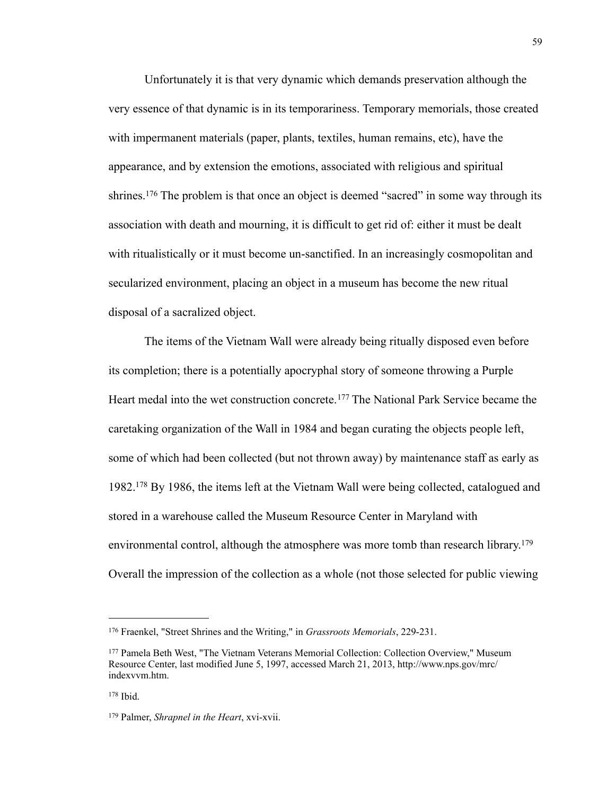Unfortunately it is that very dynamic which demands preservation although the very essence of that dynamic is in its temporariness. Temporary memorials, those created with impermanent materials (paper, plants, textiles, human remains, etc), have the appearance, and by extension the emotions, associated with religious and spiritual shrines.<sup>176</sup> The problem is that once an object is deemed "sacred" in some way through its association with death and mourning, it is difficult to get rid of: either it must be dealt with ritualistically or it must become un-sanctified. In an increasingly cosmopolitan and secularized environment, placing an object in a museum has become the new ritual disposal of a sacralized object.

 The items of the Vietnam Wall were already being ritually disposed even before its completion; there is a potentially apocryphal story of someone throwing a Purple Heart medal into the wet construction concrete.<sup>177</sup> The National Park Service became the caretaking organization of the Wall in 1984 and began curating the objects people left, some of which had been collected (but not thrown away) by maintenance staff as early as 1982.[178](#page-63-2) By 1986, the items left at the Vietnam Wall were being collected, catalogued and stored in a warehouse called the Museum Resource Center in Maryland with environmental control, although the atmosphere was more tomb than research library.<sup>179</sup> Overall the impression of the collection as a whole (not those selected for public viewing

<span id="page-63-0"></span><sup>176</sup> Fraenkel, "Street Shrines and the Writing," in *Grassroots Memorials*, 229-231.

<span id="page-63-1"></span><sup>177</sup> Pamela Beth West, "The Vietnam Veterans Memorial Collection: Collection Overview," Museum Resource Center, last modified June 5, 1997, accessed March 21, 2013, http://www.nps.gov/mrc/ indexvvm.htm.

<span id="page-63-2"></span> $178$  Ibid.

<span id="page-63-3"></span><sup>179</sup> Palmer, *Shrapnel in the Heart*, xvi-xvii.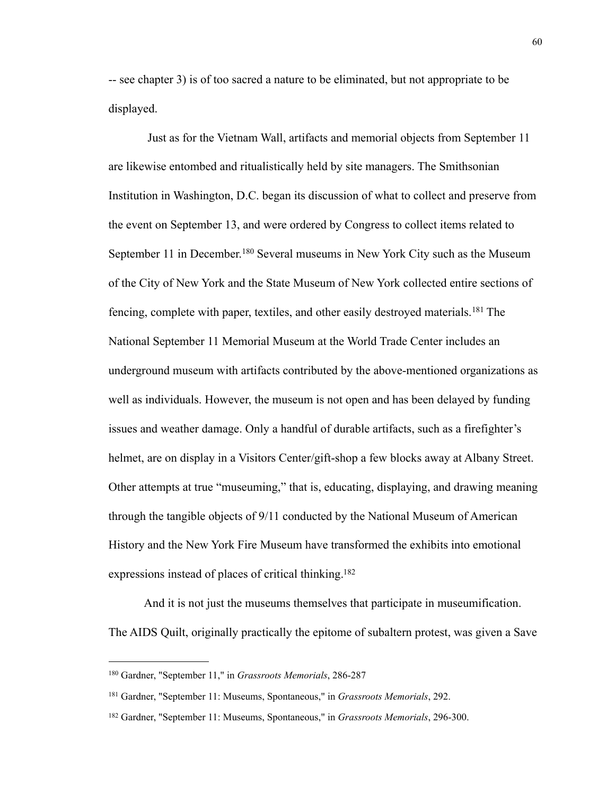-- see chapter 3) is of too sacred a nature to be eliminated, but not appropriate to be displayed.

 Just as for the Vietnam Wall, artifacts and memorial objects from September 11 are likewise entombed and ritualistically held by site managers. The Smithsonian Institution in Washington, D.C. began its discussion of what to collect and preserve from the event on September 13, and were ordered by Congress to collect items related to September 11 in December.<sup>180</sup> Several museums in New York City such as the Museum of the City of New York and the State Museum of New York collected entire sections of fencing, complete with paper, textiles, and other easily destroyed materials.[181](#page-64-1) The National September 11 Memorial Museum at the World Trade Center includes an underground museum with artifacts contributed by the above-mentioned organizations as well as individuals. However, the museum is not open and has been delayed by funding issues and weather damage. Only a handful of durable artifacts, such as a firefighter's helmet, are on display in a Visitors Center/gift-shop a few blocks away at Albany Street. Other attempts at true "museuming," that is, educating, displaying, and drawing meaning through the tangible objects of 9/11 conducted by the National Museum of American History and the New York Fire Museum have transformed the exhibits into emotional expressions instead of places of critical thinking[.182](#page-64-2)

 And it is not just the museums themselves that participate in museumification. The AIDS Quilt, originally practically the epitome of subaltern protest, was given a Save

<span id="page-64-0"></span><sup>180</sup> Gardner, "September 11," in *Grassroots Memorials*, 286-287

<span id="page-64-1"></span><sup>181</sup> Gardner, "September 11: Museums, Spontaneous," in *Grassroots Memorials*, 292.

<span id="page-64-2"></span><sup>182</sup> Gardner, "September 11: Museums, Spontaneous," in *Grassroots Memorials*, 296-300.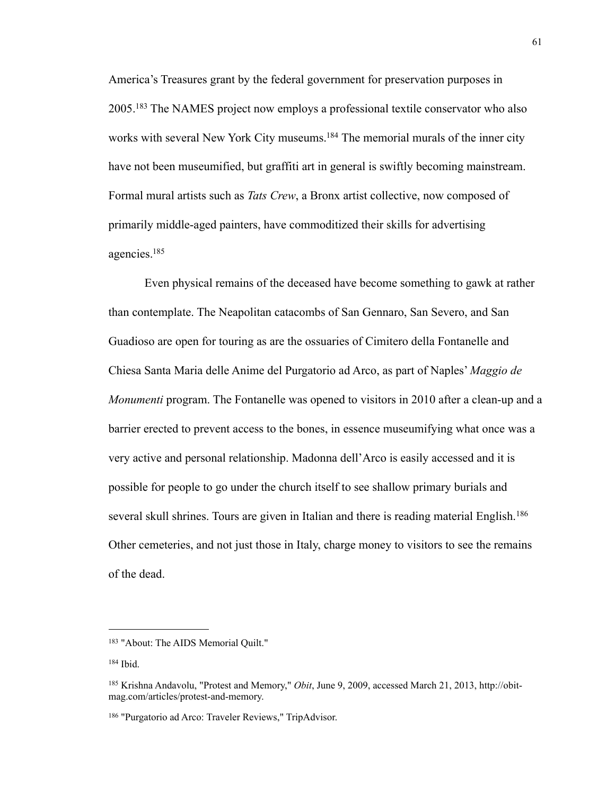America's Treasures grant by the federal government for preservation purposes in 2005.[183](#page-65-0) The NAMES project now employs a professional textile conservator who also works with several New York City museums.<sup>184</sup> The memorial murals of the inner city have not been museumified, but graffiti art in general is swiftly becoming mainstream. Formal mural artists such as *Tats Crew*, a Bronx artist collective, now composed of primarily middle-aged painters, have commoditized their skills for advertising agencies[.185](#page-65-2)

 Even physical remains of the deceased have become something to gawk at rather than contemplate. The Neapolitan catacombs of San Gennaro, San Severo, and San Guadioso are open for touring as are the ossuaries of Cimitero della Fontanelle and Chiesa Santa Maria delle Anime del Purgatorio ad Arco, as part of Naples' *Maggio de Monumenti* program. The Fontanelle was opened to visitors in 2010 after a clean-up and a barrier erected to prevent access to the bones, in essence museumifying what once was a very active and personal relationship. Madonna dell'Arco is easily accessed and it is possible for people to go under the church itself to see shallow primary burials and several skull shrines. Tours are given in Italian and there is reading material English.<sup>[186](#page-65-3)</sup> Other cemeteries, and not just those in Italy, charge money to visitors to see the remains of the dead.

<span id="page-65-0"></span><sup>183 &</sup>quot;About: The AIDS Memorial Quilt."

<span id="page-65-1"></span><sup>184</sup> Ibid.

<span id="page-65-2"></span><sup>185</sup> Krishna Andavolu, "Protest and Memory," *Obit*, June 9, 2009, accessed March 21, 2013, http://obitmag.com/articles/protest-and-memory.

<span id="page-65-3"></span><sup>186 &</sup>quot;Purgatorio ad Arco: Traveler Reviews," TripAdvisor.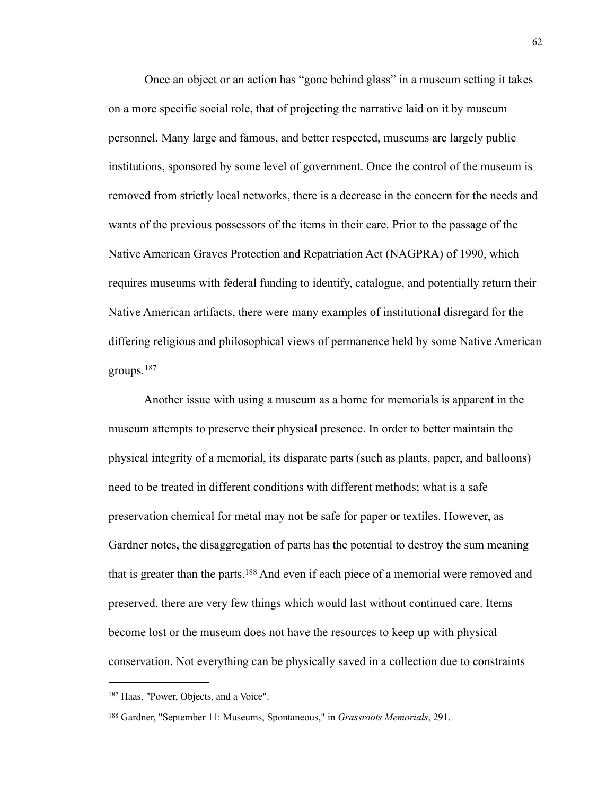Once an object or an action has "gone behind glass" in a museum setting it takes on a more specific social role, that of projecting the narrative laid on it by museum personnel. Many large and famous, and better respected, museums are largely public institutions, sponsored by some level of government. Once the control of the museum is removed from strictly local networks, there is a decrease in the concern for the needs and wants of the previous possessors of the items in their care. Prior to the passage of the Native American Graves Protection and Repatriation Act (NAGPRA) of 1990, which requires museums with federal funding to identify, catalogue, and potentially return their Native American artifacts, there were many examples of institutional disregard for the differing religious and philosophical views of permanence held by some Native American groups.[187](#page-66-0)

 Another issue with using a museum as a home for memorials is apparent in the museum attempts to preserve their physical presence. In order to better maintain the physical integrity of a memorial, its disparate parts (such as plants, paper, and balloons) need to be treated in different conditions with different methods; what is a safe preservation chemical for metal may not be safe for paper or textiles. However, as Gardner notes, the disaggregation of parts has the potential to destroy the sum meaning that is greater than the parts.<sup>188</sup> And even if each piece of a memorial were removed and preserved, there are very few things which would last without continued care. Items become lost or the museum does not have the resources to keep up with physical conservation. Not everything can be physically saved in a collection due to constraints

<span id="page-66-0"></span><sup>187</sup> Haas, "Power, Objects, and a Voice".

<span id="page-66-1"></span><sup>188</sup> Gardner, "September 11: Museums, Spontaneous," in *Grassroots Memorials*, 291.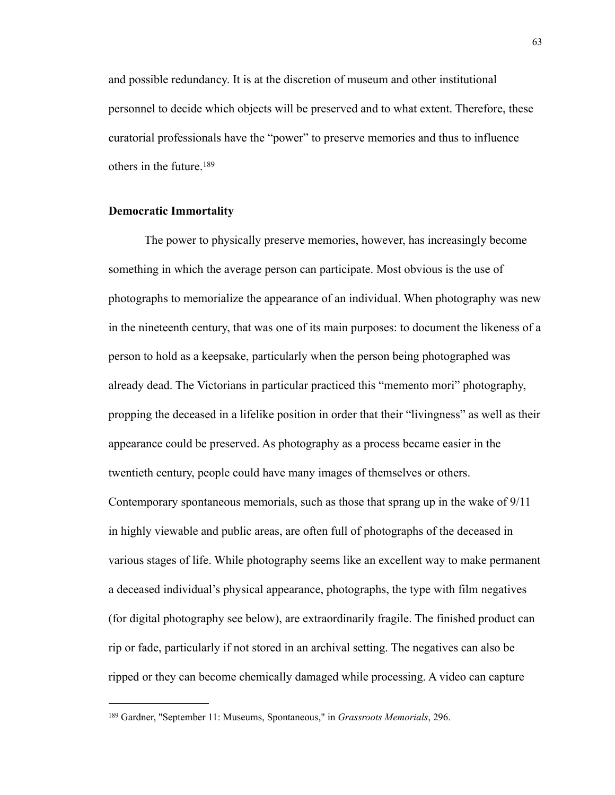and possible redundancy. It is at the discretion of museum and other institutional personnel to decide which objects will be preserved and to what extent. Therefore, these curatorial professionals have the "power" to preserve memories and thus to influence others in the future.[189](#page-67-0)

## **Democratic Immortality**

 The power to physically preserve memories, however, has increasingly become something in which the average person can participate. Most obvious is the use of photographs to memorialize the appearance of an individual. When photography was new in the nineteenth century, that was one of its main purposes: to document the likeness of a person to hold as a keepsake, particularly when the person being photographed was already dead. The Victorians in particular practiced this "memento mori" photography, propping the deceased in a lifelike position in order that their "livingness" as well as their appearance could be preserved. As photography as a process became easier in the twentieth century, people could have many images of themselves or others. Contemporary spontaneous memorials, such as those that sprang up in the wake of 9/11 in highly viewable and public areas, are often full of photographs of the deceased in various stages of life. While photography seems like an excellent way to make permanent a deceased individual's physical appearance, photographs, the type with film negatives (for digital photography see below), are extraordinarily fragile. The finished product can rip or fade, particularly if not stored in an archival setting. The negatives can also be ripped or they can become chemically damaged while processing. A video can capture

<span id="page-67-0"></span><sup>189</sup> Gardner, "September 11: Museums, Spontaneous," in *Grassroots Memorials*, 296.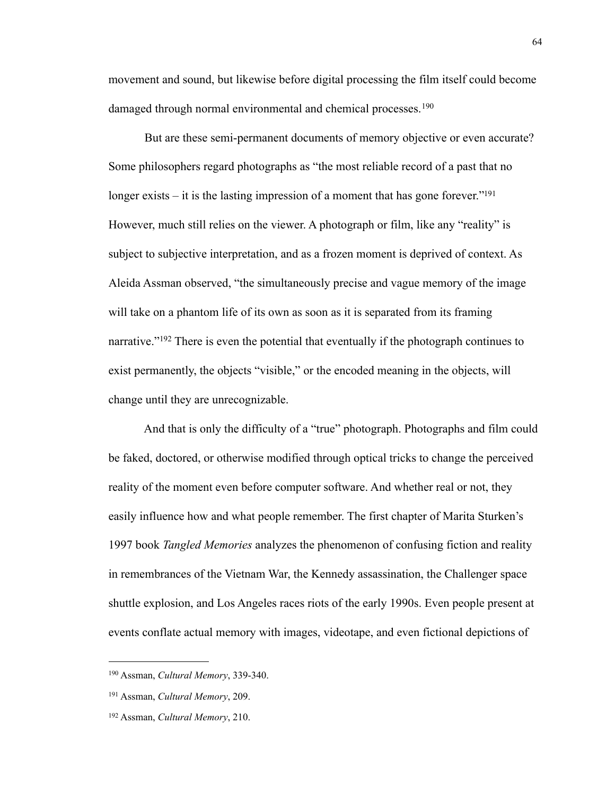movement and sound, but likewise before digital processing the film itself could become damaged through normal environmental and chemical processes.<sup>[190](#page-68-0)</sup>

 But are these semi-permanent documents of memory objective or even accurate? Some philosophers regard photographs as "the most reliable record of a past that no longer exists – it is the lasting impression of a moment that has gone forever."<sup>191</sup> However, much still relies on the viewer. A photograph or film, like any "reality" is subject to subjective interpretation, and as a frozen moment is deprived of context. As Aleida Assman observed, "the simultaneously precise and vague memory of the image will take on a phantom life of its own as soon as it is separated from its framing narrative."<sup>192</sup> There is even the potential that eventually if the photograph continues to exist permanently, the objects "visible," or the encoded meaning in the objects, will change until they are unrecognizable.

 And that is only the difficulty of a "true" photograph. Photographs and film could be faked, doctored, or otherwise modified through optical tricks to change the perceived reality of the moment even before computer software. And whether real or not, they easily influence how and what people remember. The first chapter of Marita Sturken's 1997 book *Tangled Memories* analyzes the phenomenon of confusing fiction and reality in remembrances of the Vietnam War, the Kennedy assassination, the Challenger space shuttle explosion, and Los Angeles races riots of the early 1990s. Even people present at events conflate actual memory with images, videotape, and even fictional depictions of

<span id="page-68-0"></span><sup>190</sup> Assman, *Cultural Memory*, 339-340.

<span id="page-68-1"></span><sup>191</sup> Assman, *Cultural Memory*, 209.

<span id="page-68-2"></span><sup>192</sup> Assman, *Cultural Memory*, 210.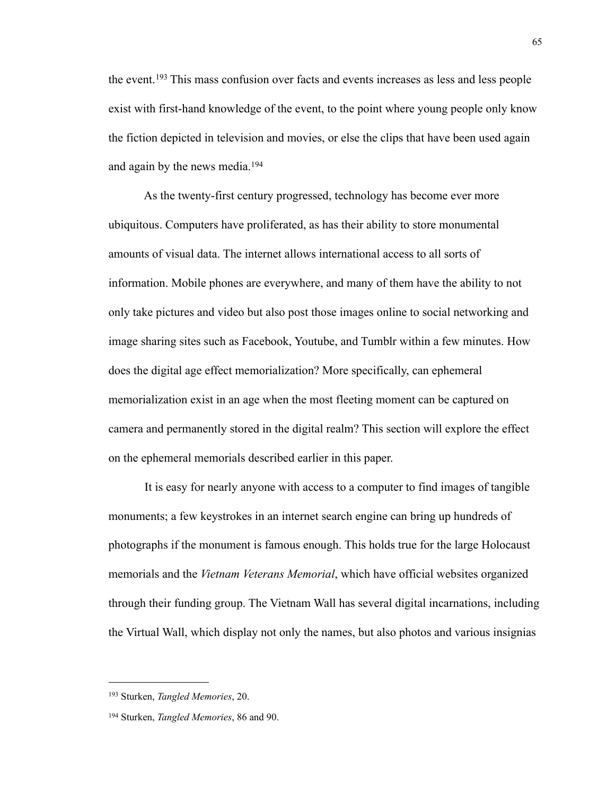the event.[193](#page-69-0) This mass confusion over facts and events increases as less and less people exist with first-hand knowledge of the event, to the point where young people only know the fiction depicted in television and movies, or else the clips that have been used again and again by the news media.[194](#page-69-1)

 As the twenty-first century progressed, technology has become ever more ubiquitous. Computers have proliferated, as has their ability to store monumental amounts of visual data. The internet allows international access to all sorts of information. Mobile phones are everywhere, and many of them have the ability to not only take pictures and video but also post those images online to social networking and image sharing sites such as Facebook, Youtube, and Tumblr within a few minutes. How does the digital age effect memorialization? More specifically, can ephemeral memorialization exist in an age when the most fleeting moment can be captured on camera and permanently stored in the digital realm? This section will explore the effect on the ephemeral memorials described earlier in this paper.

 It is easy for nearly anyone with access to a computer to find images of tangible monuments; a few keystrokes in an internet search engine can bring up hundreds of photographs if the monument is famous enough. This holds true for the large Holocaust memorials and the *Vietnam Veterans Memorial*, which have official websites organized through their funding group. The Vietnam Wall has several digital incarnations, including the Virtual Wall, which display not only the names, but also photos and various insignias

<span id="page-69-0"></span><sup>193</sup> Sturken, *Tangled Memories*, 20.

<span id="page-69-1"></span><sup>194</sup> Sturken, *Tangled Memories*, 86 and 90.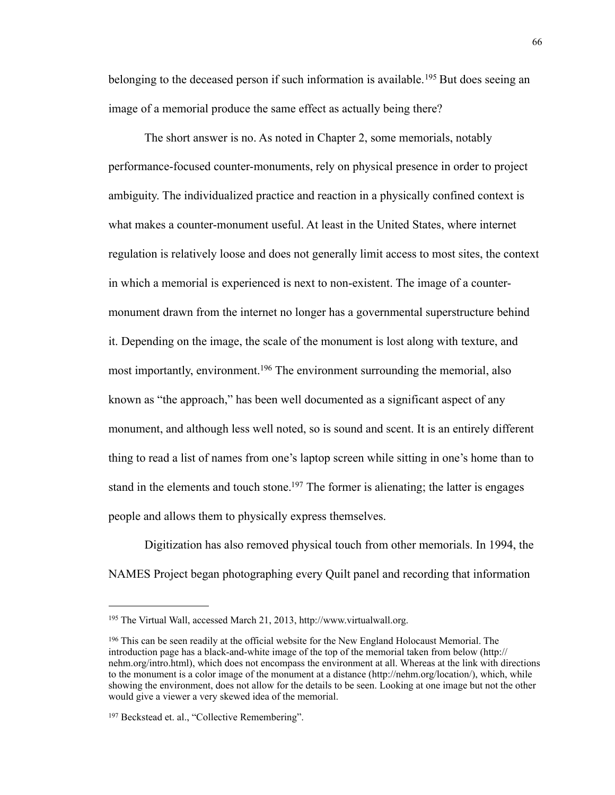belonging to the deceased person if such information is available.<sup>195</sup> But does seeing an image of a memorial produce the same effect as actually being there?

 The short answer is no. As noted in Chapter 2, some memorials, notably performance-focused counter-monuments, rely on physical presence in order to project ambiguity. The individualized practice and reaction in a physically confined context is what makes a counter-monument useful. At least in the United States, where internet regulation is relatively loose and does not generally limit access to most sites, the context in which a memorial is experienced is next to non-existent. The image of a countermonument drawn from the internet no longer has a governmental superstructure behind it. Depending on the image, the scale of the monument is lost along with texture, and most importantly, environment[.196](#page-70-1) The environment surrounding the memorial, also known as "the approach," has been well documented as a significant aspect of any monument, and although less well noted, so is sound and scent. It is an entirely different thing to read a list of names from one's laptop screen while sitting in one's home than to stand in the elements and touch stone.<sup>197</sup> The former is alienating; the latter is engages people and allows them to physically express themselves.

 Digitization has also removed physical touch from other memorials. In 1994, the NAMES Project began photographing every Quilt panel and recording that information

<span id="page-70-0"></span><sup>195</sup> The Virtual Wall, accessed March 21, 2013, http://www.virtualwall.org.

<span id="page-70-1"></span><sup>196</sup> This can be seen readily at the official website for the New England Holocaust Memorial. The introduction page has a black-and-white image of the top of the memorial taken from below (http:// nehm.org/intro.html), which does not encompass the environment at all. Whereas at the link with directions to the monument is a color image of the monument at a distance [\(http://nehm.org/location/\)](http://nehm.org/location/), which, while showing the environment, does not allow for the details to be seen. Looking at one image but not the other would give a viewer a very skewed idea of the memorial.

<span id="page-70-2"></span><sup>&</sup>lt;sup>197</sup> Beckstead et. al., "Collective Remembering".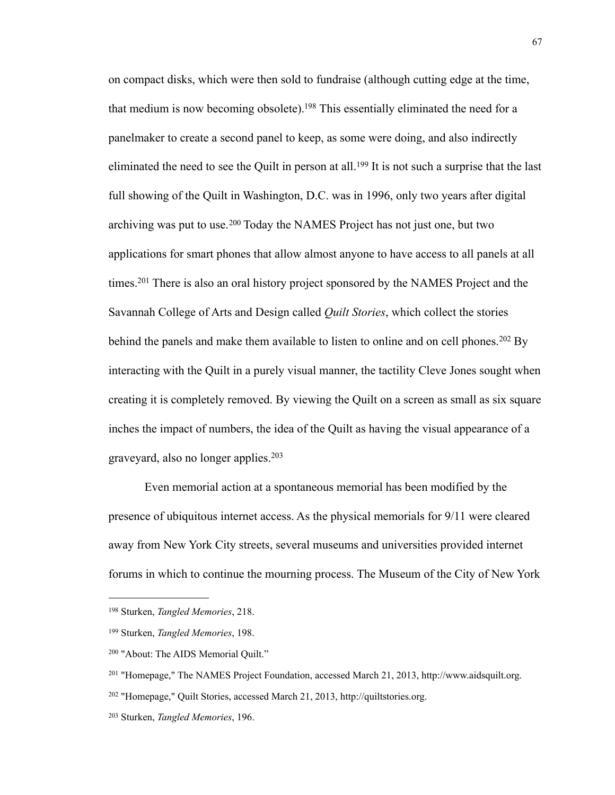on compact disks, which were then sold to fundraise (although cutting edge at the time, that medium is now becoming obsolete).<sup>198</sup> This essentially eliminated the need for a panelmaker to create a second panel to keep, as some were doing, and also indirectly eliminated the need to see the Quilt in person at all.<sup>199</sup> It is not such a surprise that the last full showing of the Quilt in Washington, D.C. was in 1996, only two years after digital archiving was put to use.<sup>200</sup> Today the NAMES Project has not just one, but two applications for smart phones that allow almost anyone to have access to all panels at all times.<sup>201</sup> There is also an oral history project sponsored by the NAMES Project and the Savannah College of Arts and Design called *Quilt Stories*, which collect the stories behind the panels and make them available to listen to online and on cell phones.<sup>202</sup> By interacting with the Quilt in a purely visual manner, the tactility Cleve Jones sought when creating it is completely removed. By viewing the Quilt on a screen as small as six square inches the impact of numbers, the idea of the Quilt as having the visual appearance of a graveyard, also no longer applies.[203](#page-71-5)

 Even memorial action at a spontaneous memorial has been modified by the presence of ubiquitous internet access. As the physical memorials for 9/11 were cleared away from New York City streets, several museums and universities provided internet forums in which to continue the mourning process. The Museum of the City of New York

<span id="page-71-0"></span><sup>198</sup> Sturken, *Tangled Memories*, 218.

<span id="page-71-1"></span><sup>199</sup> Sturken, *Tangled Memories*, 198.

<span id="page-71-2"></span><sup>200 &</sup>quot;About: The AIDS Memorial Quilt."

<span id="page-71-3"></span><sup>201 &</sup>quot;Homepage," The NAMES Project Foundation, accessed March 21, 2013, <http://www.aidsquilt.org>.

<span id="page-71-4"></span><sup>202 &</sup>quot;Homepage," Quilt Stories, accessed March 21, 2013, http://quiltstories.org.

<span id="page-71-5"></span><sup>203</sup> Sturken, *Tangled Memories*, 196.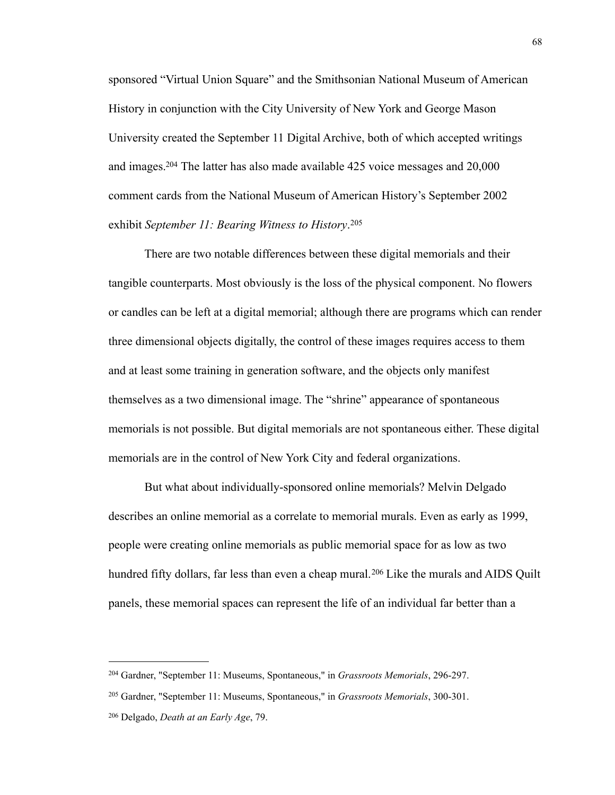sponsored "Virtual Union Square" and the Smithsonian National Museum of American History in conjunction with the City University of New York and George Mason University created the September 11 Digital Archive, both of which accepted writings and images[.204](#page-72-0) The latter has also made available 425 voice messages and 20,000 comment cards from the National Museum of American History's September 2002 exhibit *September 11: Bearing Witness to History*. [205](#page-72-1)

 There are two notable differences between these digital memorials and their tangible counterparts. Most obviously is the loss of the physical component. No flowers or candles can be left at a digital memorial; although there are programs which can render three dimensional objects digitally, the control of these images requires access to them and at least some training in generation software, and the objects only manifest themselves as a two dimensional image. The "shrine" appearance of spontaneous memorials is not possible. But digital memorials are not spontaneous either. These digital memorials are in the control of New York City and federal organizations.

 But what about individually-sponsored online memorials? Melvin Delgado describes an online memorial as a correlate to memorial murals. Even as early as 1999, people were creating online memorials as public memorial space for as low as two hundred fifty dollars, far less than even a cheap mural.<sup>206</sup> Like the murals and AIDS Quilt panels, these memorial spaces can represent the life of an individual far better than a

<span id="page-72-0"></span><sup>204</sup> Gardner, "September 11: Museums, Spontaneous," in *Grassroots Memorials*, 296-297.

<span id="page-72-1"></span><sup>205</sup> Gardner, "September 11: Museums, Spontaneous," in *Grassroots Memorials*, 300-301.

<span id="page-72-2"></span><sup>206</sup> Delgado, *Death at an Early Age*, 79.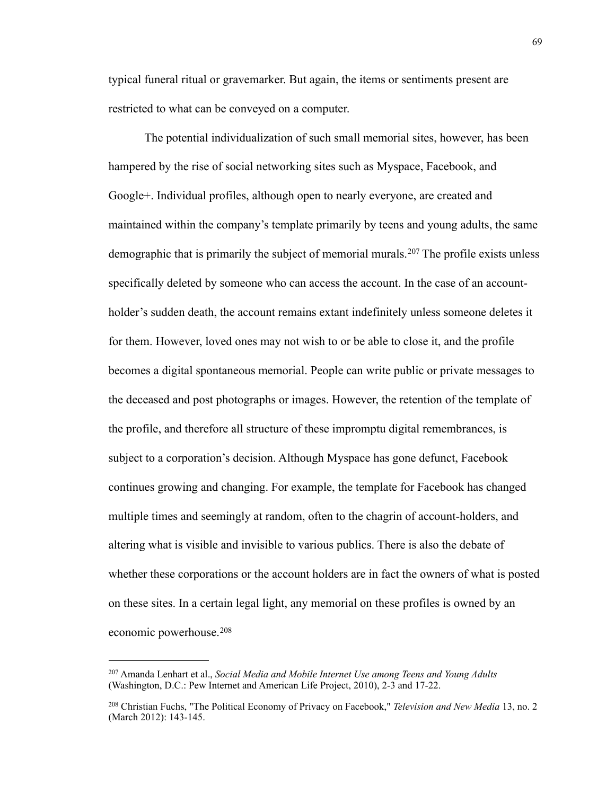typical funeral ritual or gravemarker. But again, the items or sentiments present are restricted to what can be conveyed on a computer.

 The potential individualization of such small memorial sites, however, has been hampered by the rise of social networking sites such as Myspace, Facebook, and Google+. Individual profiles, although open to nearly everyone, are created and maintained within the company's template primarily by teens and young adults, the same demographic that is primarily the subject of memorial murals.<sup>207</sup> The profile exists unless specifically deleted by someone who can access the account. In the case of an accountholder's sudden death, the account remains extant indefinitely unless someone deletes it for them. However, loved ones may not wish to or be able to close it, and the profile becomes a digital spontaneous memorial. People can write public or private messages to the deceased and post photographs or images. However, the retention of the template of the profile, and therefore all structure of these impromptu digital remembrances, is subject to a corporation's decision. Although Myspace has gone defunct, Facebook continues growing and changing. For example, the template for Facebook has changed multiple times and seemingly at random, often to the chagrin of account-holders, and altering what is visible and invisible to various publics. There is also the debate of whether these corporations or the account holders are in fact the owners of what is posted on these sites. In a certain legal light, any memorial on these profiles is owned by an economic powerhouse.[208](#page-73-1)

<span id="page-73-0"></span><sup>207</sup> Amanda Lenhart et al., *Social Media and Mobile Internet Use among Teens and Young Adults* (Washington, D.C.: Pew Internet and American Life Project, 2010), 2-3 and 17-22.

<span id="page-73-1"></span><sup>208</sup> Christian Fuchs, "The Political Economy of Privacy on Facebook," *Television and New Media* 13, no. 2 (March 2012): 143-145.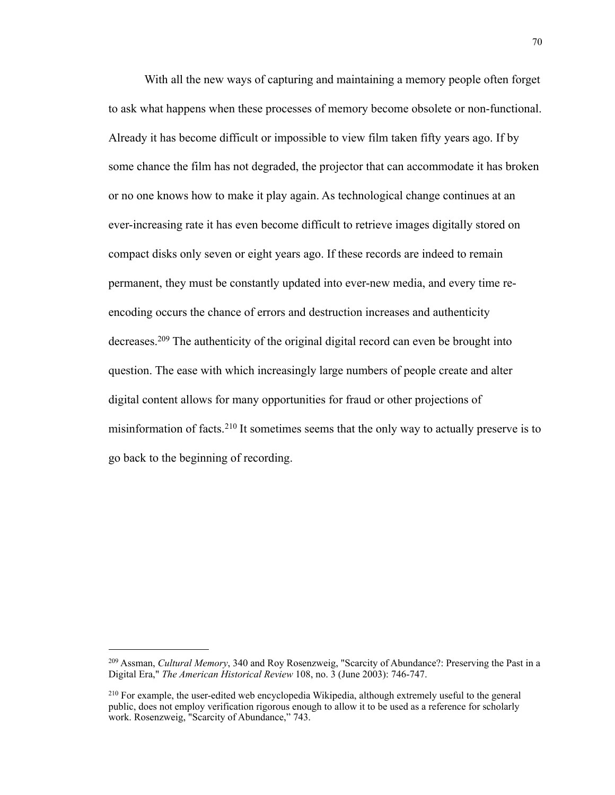With all the new ways of capturing and maintaining a memory people often forget to ask what happens when these processes of memory become obsolete or non-functional. Already it has become difficult or impossible to view film taken fifty years ago. If by some chance the film has not degraded, the projector that can accommodate it has broken or no one knows how to make it play again. As technological change continues at an ever-increasing rate it has even become difficult to retrieve images digitally stored on compact disks only seven or eight years ago. If these records are indeed to remain permanent, they must be constantly updated into ever-new media, and every time reencoding occurs the chance of errors and destruction increases and authenticity decreases.[209](#page-74-0) The authenticity of the original digital record can even be brought into question. The ease with which increasingly large numbers of people create and alter digital content allows for many opportunities for fraud or other projections of misinformation of facts.[210](#page-74-1) It sometimes seems that the only way to actually preserve is to go back to the beginning of recording.

<span id="page-74-0"></span><sup>209</sup> Assman, *Cultural Memory*, 340 and Roy Rosenzweig, "Scarcity of Abundance?: Preserving the Past in a Digital Era," *The American Historical Review* 108, no. 3 (June 2003): 746-747.

<span id="page-74-1"></span><sup>210</sup> For example, the user-edited web encyclopedia Wikipedia, although extremely useful to the general public, does not employ verification rigorous enough to allow it to be used as a reference for scholarly work. Rosenzweig, "Scarcity of Abundance," 743.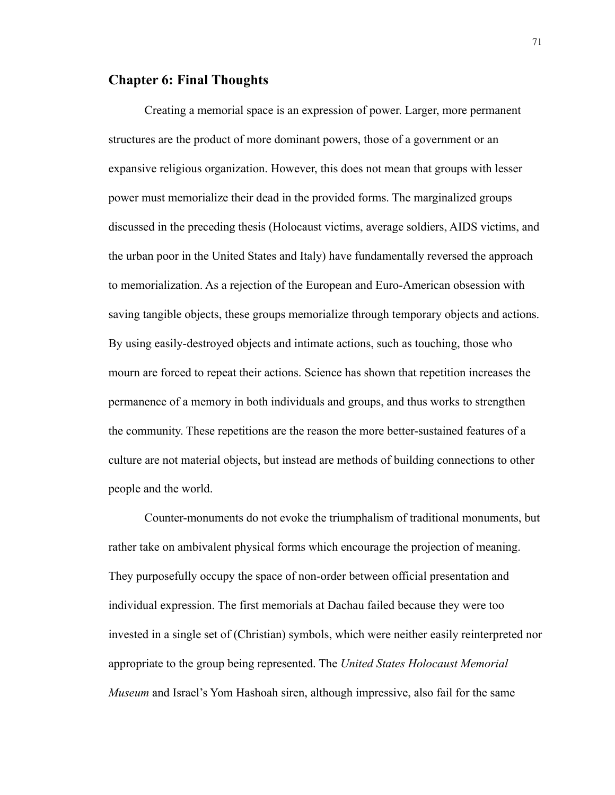## **Chapter 6: Final Thoughts**

 Creating a memorial space is an expression of power. Larger, more permanent structures are the product of more dominant powers, those of a government or an expansive religious organization. However, this does not mean that groups with lesser power must memorialize their dead in the provided forms. The marginalized groups discussed in the preceding thesis (Holocaust victims, average soldiers, AIDS victims, and the urban poor in the United States and Italy) have fundamentally reversed the approach to memorialization. As a rejection of the European and Euro-American obsession with saving tangible objects, these groups memorialize through temporary objects and actions. By using easily-destroyed objects and intimate actions, such as touching, those who mourn are forced to repeat their actions. Science has shown that repetition increases the permanence of a memory in both individuals and groups, and thus works to strengthen the community. These repetitions are the reason the more better-sustained features of a culture are not material objects, but instead are methods of building connections to other people and the world.

 Counter-monuments do not evoke the triumphalism of traditional monuments, but rather take on ambivalent physical forms which encourage the projection of meaning. They purposefully occupy the space of non-order between official presentation and individual expression. The first memorials at Dachau failed because they were too invested in a single set of (Christian) symbols, which were neither easily reinterpreted nor appropriate to the group being represented. The *United States Holocaust Memorial Museum* and Israel's Yom Hashoah siren, although impressive, also fail for the same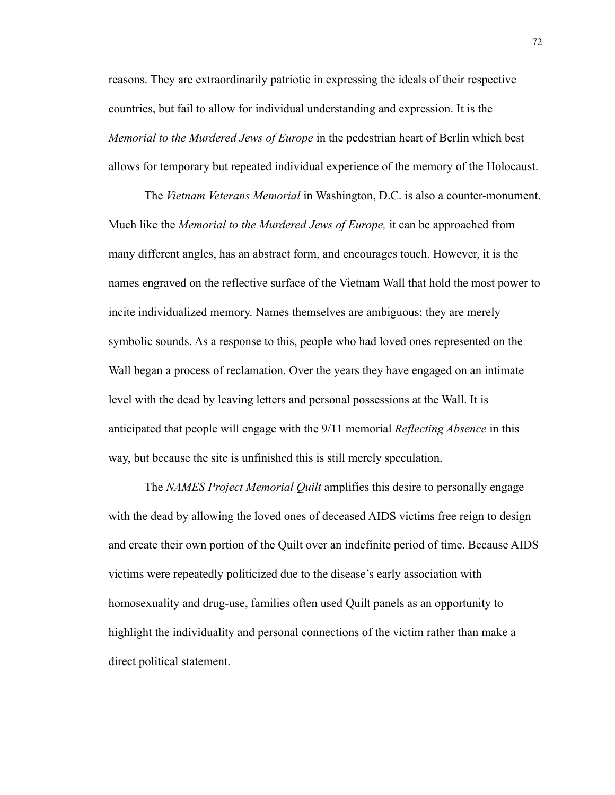reasons. They are extraordinarily patriotic in expressing the ideals of their respective countries, but fail to allow for individual understanding and expression. It is the *Memorial to the Murdered Jews of Europe* in the pedestrian heart of Berlin which best allows for temporary but repeated individual experience of the memory of the Holocaust.

 The *Vietnam Veterans Memorial* in Washington, D.C. is also a counter-monument. Much like the *Memorial to the Murdered Jews of Europe,* it can be approached from many different angles, has an abstract form, and encourages touch. However, it is the names engraved on the reflective surface of the Vietnam Wall that hold the most power to incite individualized memory. Names themselves are ambiguous; they are merely symbolic sounds. As a response to this, people who had loved ones represented on the Wall began a process of reclamation. Over the years they have engaged on an intimate level with the dead by leaving letters and personal possessions at the Wall. It is anticipated that people will engage with the 9/11 memorial *Reflecting Absence* in this way, but because the site is unfinished this is still merely speculation.

 The *NAMES Project Memorial Quilt* amplifies this desire to personally engage with the dead by allowing the loved ones of deceased AIDS victims free reign to design and create their own portion of the Quilt over an indefinite period of time. Because AIDS victims were repeatedly politicized due to the disease's early association with homosexuality and drug-use, families often used Quilt panels as an opportunity to highlight the individuality and personal connections of the victim rather than make a direct political statement.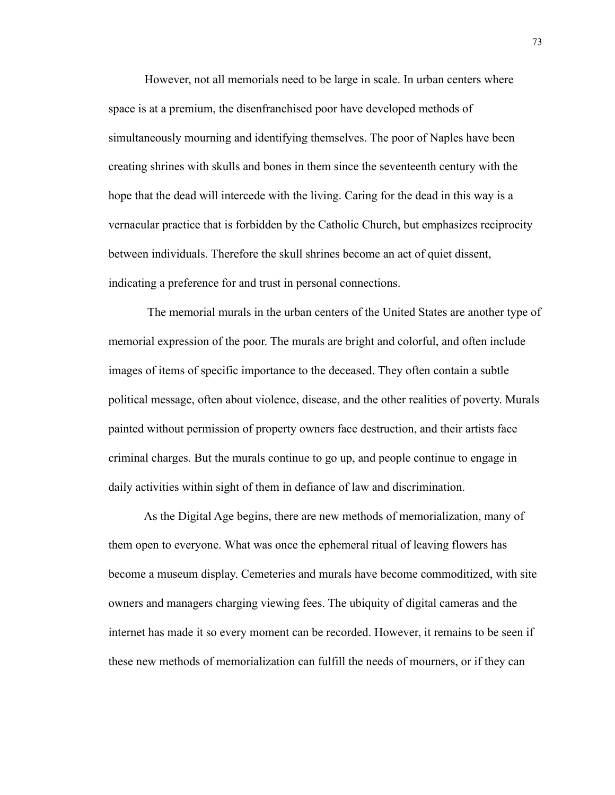However, not all memorials need to be large in scale. In urban centers where space is at a premium, the disenfranchised poor have developed methods of simultaneously mourning and identifying themselves. The poor of Naples have been creating shrines with skulls and bones in them since the seventeenth century with the hope that the dead will intercede with the living. Caring for the dead in this way is a vernacular practice that is forbidden by the Catholic Church, but emphasizes reciprocity between individuals. Therefore the skull shrines become an act of quiet dissent, indicating a preference for and trust in personal connections.

 The memorial murals in the urban centers of the United States are another type of memorial expression of the poor. The murals are bright and colorful, and often include images of items of specific importance to the deceased. They often contain a subtle political message, often about violence, disease, and the other realities of poverty. Murals painted without permission of property owners face destruction, and their artists face criminal charges. But the murals continue to go up, and people continue to engage in daily activities within sight of them in defiance of law and discrimination.

 As the Digital Age begins, there are new methods of memorialization, many of them open to everyone. What was once the ephemeral ritual of leaving flowers has become a museum display. Cemeteries and murals have become commoditized, with site owners and managers charging viewing fees. The ubiquity of digital cameras and the internet has made it so every moment can be recorded. However, it remains to be seen if these new methods of memorialization can fulfill the needs of mourners, or if they can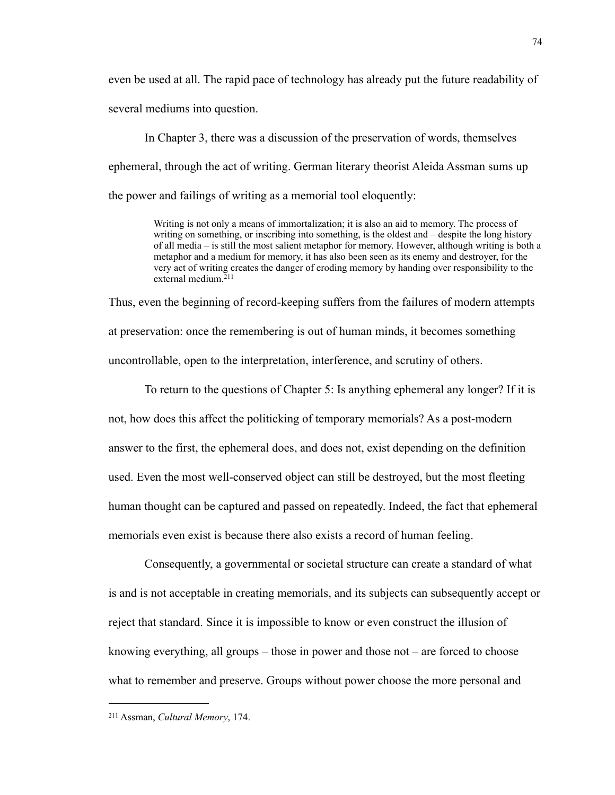even be used at all. The rapid pace of technology has already put the future readability of several mediums into question.

 In Chapter 3, there was a discussion of the preservation of words, themselves ephemeral, through the act of writing. German literary theorist Aleida Assman sums up the power and failings of writing as a memorial tool eloquently:

> Writing is not only a means of immortalization; it is also an aid to memory. The process of writing on something, or inscribing into something, is the oldest and – despite the long history of all media – is still the most salient metaphor for memory. However, although writing is both a metaphor and a medium for memory, it has also been seen as its enemy and destroyer, for the very act of writing creates the danger of eroding memory by handing over responsibility to the external medium.[211](#page-78-0)

Thus, even the beginning of record-keeping suffers from the failures of modern attempts at preservation: once the remembering is out of human minds, it becomes something uncontrollable, open to the interpretation, interference, and scrutiny of others.

 To return to the questions of Chapter 5: Is anything ephemeral any longer? If it is not, how does this affect the politicking of temporary memorials? As a post-modern answer to the first, the ephemeral does, and does not, exist depending on the definition used. Even the most well-conserved object can still be destroyed, but the most fleeting human thought can be captured and passed on repeatedly. Indeed, the fact that ephemeral memorials even exist is because there also exists a record of human feeling.

 Consequently, a governmental or societal structure can create a standard of what is and is not acceptable in creating memorials, and its subjects can subsequently accept or reject that standard. Since it is impossible to know or even construct the illusion of knowing everything, all groups – those in power and those not – are forced to choose what to remember and preserve. Groups without power choose the more personal and

<span id="page-78-0"></span><sup>211</sup> Assman, *Cultural Memory*, 174.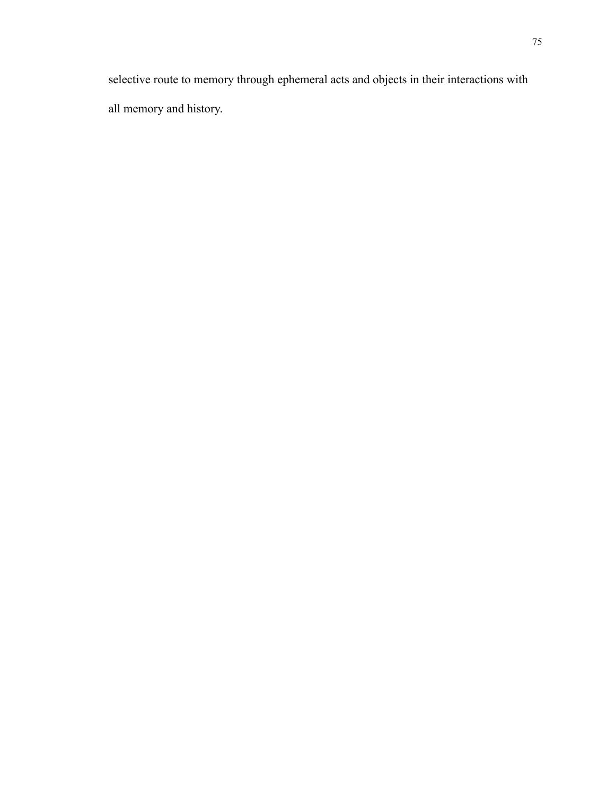selective route to memory through ephemeral acts and objects in their interactions with all memory and history.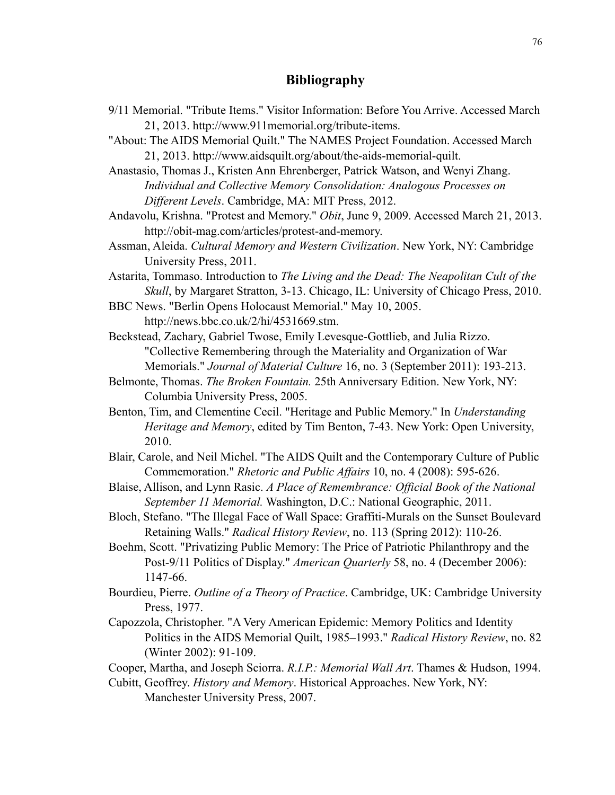## **Bibliography**

- 9/11 Memorial. "Tribute Items." Visitor Information: Before You Arrive. Accessed March 21, 2013. [http://www.911memorial.org/tribute-items.](http://www.911memorial.org/tribute-items)
- "About: The AIDS Memorial Quilt." The NAMES Project Foundation. Accessed March 21, 2013. <http://www.aidsquilt.org/about/the-aids-memorial-quilt>.

Anastasio, Thomas J., Kristen Ann Ehrenberger, Patrick Watson, and Wenyi Zhang. *Individual and Collective Memory Consolidation: Analogous Processes on Different Levels*. Cambridge, MA: MIT Press, 2012.

- Andavolu, Krishna. "Protest and Memory." *Obit*, June 9, 2009. Accessed March 21, 2013. <http://obit-mag.com/articles/protest-and-memory>.
- Assman, Aleida. *Cultural Memory and Western Civilization*. New York, NY: Cambridge University Press, 2011.
- Astarita, Tommaso. Introduction to *The Living and the Dead: The Neapolitan Cult of the Skull*, by Margaret Stratton, 3-13. Chicago, IL: University of Chicago Press, 2010.
- BBC News. "Berlin Opens Holocaust Memorial." May 10, 2005.

[http://news.bbc.co.uk/2/hi/4531669.stm.](http://news.bbc.co.uk/2/hi/4531669.stm)

- Beckstead, Zachary, Gabriel Twose, Emily Levesque-Gottlieb, and Julia Rizzo. "Collective Remembering through the Materiality and Organization of War Memorials." *Journal of Material Culture* 16, no. 3 (September 2011): 193-213.
- Belmonte, Thomas. *The Broken Fountain.* 25th Anniversary Edition. New York, NY: Columbia University Press, 2005.
- Benton, Tim, and Clementine Cecil. "Heritage and Public Memory." In *Understanding Heritage and Memory*, edited by Tim Benton, 7-43. New York: Open University, 2010.
- Blair, Carole, and Neil Michel. "The AIDS Quilt and the Contemporary Culture of Public Commemoration." *Rhetoric and Public Affairs* 10, no. 4 (2008): 595-626.
- Blaise, Allison, and Lynn Rasic. *A Place of Remembrance: Official Book of the National September 11 Memorial.* Washington, D.C.: National Geographic, 2011.
- Bloch, Stefano. "The Illegal Face of Wall Space: Graffiti-Murals on the Sunset Boulevard Retaining Walls." *Radical History Review*, no. 113 (Spring 2012): 110-26.
- Boehm, Scott. "Privatizing Public Memory: The Price of Patriotic Philanthropy and the Post-9/11 Politics of Display." *American Quarterly* 58, no. 4 (December 2006): 1147-66.
- Bourdieu, Pierre. *Outline of a Theory of Practice*. Cambridge, UK: Cambridge University Press, 1977.
- Capozzola, Christopher. "A Very American Epidemic: Memory Politics and Identity Politics in the AIDS Memorial Quilt, 1985–1993." *Radical History Review*, no. 82 (Winter 2002): 91-109.
- Cooper, Martha, and Joseph Sciorra. *R.I.P.: Memorial Wall Art*. Thames & Hudson, 1994.
- Cubitt, Geoffrey. *History and Memory*. Historical Approaches. New York, NY: Manchester University Press, 2007.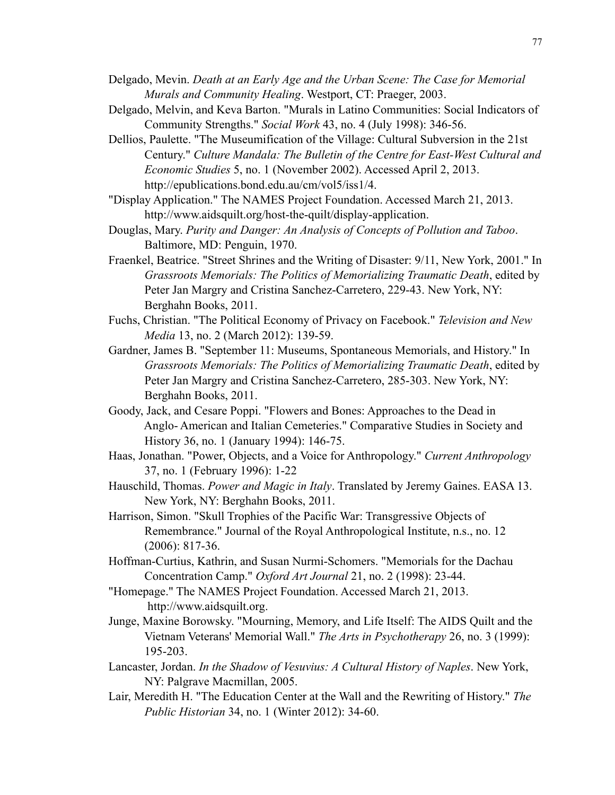- Delgado, Mevin. *Death at an Early Age and the Urban Scene: The Case for Memorial Murals and Community Healing*. Westport, CT: Praeger, 2003.
- Delgado, Melvin, and Keva Barton. "Murals in Latino Communities: Social Indicators of Community Strengths." *Social Work* 43, no. 4 (July 1998): 346-56.
- Dellios, Paulette. "The Museumification of the Village: Cultural Subversion in the 21st Century." *Culture Mandala: The Bulletin of the Centre for East-West Cultural and Economic Studies* 5, no. 1 (November 2002). Accessed April 2, 2013. <http://epublications.bond.edu.au/cm/vol5/iss1/4>.
- "Display Application." The NAMES Project Foundation. Accessed March 21, 2013. <http://www.aidsquilt.org/host-the-quilt/display-application>.
- Douglas, Mary. *Purity and Danger: An Analysis of Concepts of Pollution and Taboo*. Baltimore, MD: Penguin, 1970.
- Fraenkel, Beatrice. "Street Shrines and the Writing of Disaster: 9/11, New York, 2001." In *Grassroots Memorials: The Politics of Memorializing Traumatic Death*, edited by Peter Jan Margry and Cristina Sanchez-Carretero, 229-43. New York, NY: Berghahn Books, 2011.
- Fuchs, Christian. "The Political Economy of Privacy on Facebook." *Television and New Media* 13, no. 2 (March 2012): 139-59.
- Gardner, James B. "September 11: Museums, Spontaneous Memorials, and History." In *Grassroots Memorials: The Politics of Memorializing Traumatic Death*, edited by Peter Jan Margry and Cristina Sanchez-Carretero, 285-303. New York, NY: Berghahn Books, 2011.
- Goody, Jack, and Cesare Poppi. "Flowers and Bones: Approaches to the Dead in Anglo- American and Italian Cemeteries." Comparative Studies in Society and History 36, no. 1 (January 1994): 146-75.
- Haas, Jonathan. "Power, Objects, and a Voice for Anthropology." *Current Anthropology* 37, no. 1 (February 1996): 1-22
- Hauschild, Thomas. *Power and Magic in Italy*. Translated by Jeremy Gaines. EASA 13. New York, NY: Berghahn Books, 2011.
- Harrison, Simon. "Skull Trophies of the Pacific War: Transgressive Objects of Remembrance." Journal of the Royal Anthropological Institute, n.s., no. 12 (2006): 817-36.
- Hoffman-Curtius, Kathrin, and Susan Nurmi-Schomers. "Memorials for the Dachau Concentration Camp." *Oxford Art Journal* 21, no. 2 (1998): 23-44.
- "Homepage." The NAMES Project Foundation. Accessed March 21, 2013. <http://www.aidsquilt.org>.
- Junge, Maxine Borowsky. "Mourning, Memory, and Life Itself: The AIDS Quilt and the Vietnam Veterans' Memorial Wall." *The Arts in Psychotherapy* 26, no. 3 (1999): 195-203.
- Lancaster, Jordan. *In the Shadow of Vesuvius: A Cultural History of Naples*. New York, NY: Palgrave Macmillan, 2005.
- Lair, Meredith H. "The Education Center at the Wall and the Rewriting of History." *The Public Historian* 34, no. 1 (Winter 2012): 34-60.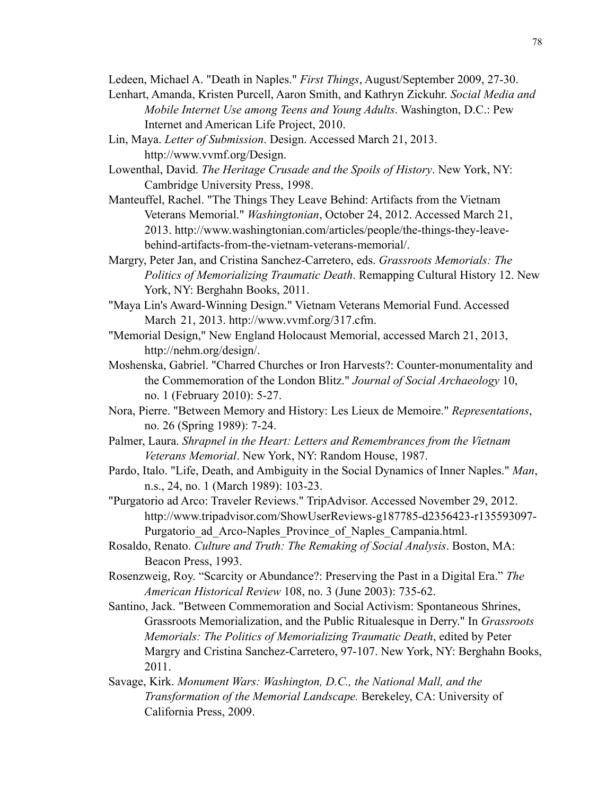Ledeen, Michael A. "Death in Naples." *First Things*, August/September 2009, 27-30.

- Lenhart, Amanda, Kristen Purcell, Aaron Smith, and Kathryn Zickuhr. *Social Media and Mobile Internet Use among Teens and Young Adults*. Washington, D.C.: Pew Internet and American Life Project, 2010.
- Lin, Maya. *Letter of Submission*. Design. Accessed March 21, 2013. <http://www.vvmf.org/Design>.
- Lowenthal, David. *The Heritage Crusade and the Spoils of History*. New York, NY: Cambridge University Press, 1998.
- Manteuffel, Rachel. "The Things They Leave Behind: Artifacts from the Vietnam Veterans Memorial." *Washingtonian*, October 24, 2012. Accessed March 21, 2013. [http://www.washingtonian.com/](http://www.washingtonian.com)articles/people/the-things-they-leave behind-artifacts-from-the-vietnam-veterans-memorial/.
- Margry, Peter Jan, and Cristina Sanchez-Carretero, eds. *Grassroots Memorials: The Politics of Memorializing Traumatic Death*. Remapping Cultural History 12. New York, NY: Berghahn Books, 2011.
- "Maya Lin's Award-Winning Design." Vietnam Veterans Memorial Fund. Accessed March 21, 2013. [http://www.vvmf.org/317.cfm.](http://www.vvmf.org/317.cfm)
- "Memorial Design," New England Holocaust Memorial, accessed March 21, 2013, <http://nehm.org/design/>.
- Moshenska, Gabriel. "Charred Churches or Iron Harvests?: Counter-monumentality and the Commemoration of the London Blitz." *Journal of Social Archaeology* 10, no. 1 (February 2010): 5-27.
- Nora, Pierre. "Between Memory and History: Les Lieux de Memoire." *Representations*, no. 26 (Spring 1989): 7-24.
- Palmer, Laura. *Shrapnel in the Heart: Letters and Remembrances from the Vietnam Veterans Memorial*. New York, NY: Random House, 1987.
- Pardo, Italo. "Life, Death, and Ambiguity in the Social Dynamics of Inner Naples." *Man*, n.s., 24, no. 1 (March 1989): 103-23.
- "Purgatorio ad Arco: Traveler Reviews." TripAdvisor. Accessed November 29, 2012. [http://www.tripadvisor.com/](http://www.tripadvisor.com)ShowUserReviews-g187785-d2356423-r135593097- Purgatorio ad Arco-Naples Province of Naples Campania.html.
- Rosaldo, Renato. *Culture and Truth: The Remaking of Social Analysis*. Boston, MA: Beacon Press, 1993.
- Rosenzweig, Roy. "Scarcity or Abundance?: Preserving the Past in a Digital Era." *The American Historical Review* 108, no. 3 (June 2003): 735-62.
- Santino, Jack. "Between Commemoration and Social Activism: Spontaneous Shrines, Grassroots Memorialization, and the Public Ritualesque in Derry." In *Grassroots Memorials: The Politics of Memorializing Traumatic Death*, edited by Peter Margry and Cristina Sanchez-Carretero, 97-107. New York, NY: Berghahn Books, 2011.
- Savage, Kirk. *Monument Wars: Washington, D.C., the National Mall, and the Transformation of the Memorial Landscape.* Berekeley, CA: University of California Press, 2009.